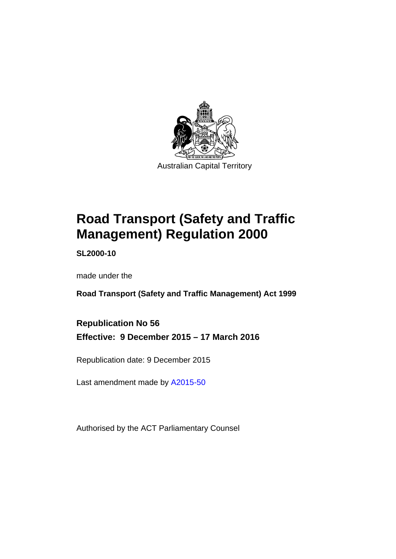

# **Road Transport (Safety and Traffic Management) Regulation 2000**

**SL2000-10** 

made under the

**Road Transport (Safety and Traffic Management) Act 1999** 

**Republication No 56 Effective: 9 December 2015 – 17 March 2016** 

Republication date: 9 December 2015

Last amendment made by [A2015-50](http://www.legislation.act.gov.au/a/2015-50)

Authorised by the ACT Parliamentary Counsel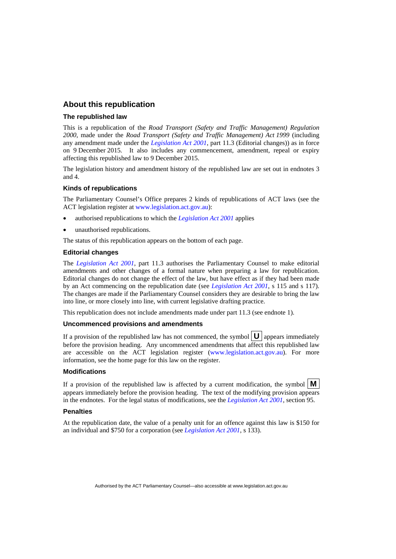#### **About this republication**

#### **The republished law**

This is a republication of the *Road Transport (Safety and Traffic Management) Regulation 2000*, made under the *Road Transport (Safety and Traffic Management) Act 1999* (including any amendment made under the *[Legislation Act 2001](http://www.legislation.act.gov.au/a/2001-14)*, part 11.3 (Editorial changes)) as in force on 9 December 2015*.* It also includes any commencement, amendment, repeal or expiry affecting this republished law to 9 December 2015.

The legislation history and amendment history of the republished law are set out in endnotes 3 and 4.

#### **Kinds of republications**

The Parliamentary Counsel's Office prepares 2 kinds of republications of ACT laws (see the ACT legislation register at [www.legislation.act.gov.au](http://www.legislation.act.gov.au/)):

- authorised republications to which the *[Legislation Act 2001](http://www.legislation.act.gov.au/a/2001-14)* applies
- unauthorised republications.

The status of this republication appears on the bottom of each page.

#### **Editorial changes**

The *[Legislation Act 2001](http://www.legislation.act.gov.au/a/2001-14)*, part 11.3 authorises the Parliamentary Counsel to make editorial amendments and other changes of a formal nature when preparing a law for republication. Editorial changes do not change the effect of the law, but have effect as if they had been made by an Act commencing on the republication date (see *[Legislation Act 2001](http://www.legislation.act.gov.au/a/2001-14)*, s 115 and s 117). The changes are made if the Parliamentary Counsel considers they are desirable to bring the law into line, or more closely into line, with current legislative drafting practice.

This republication does not include amendments made under part 11.3 (see endnote 1).

#### **Uncommenced provisions and amendments**

If a provision of the republished law has not commenced, the symbol  $\mathbf{U}$  appears immediately before the provision heading. Any uncommenced amendments that affect this republished law are accessible on the ACT legislation register [\(www.legislation.act.gov.au](http://www.legislation.act.gov.au/)). For more information, see the home page for this law on the register.

#### **Modifications**

If a provision of the republished law is affected by a current modification, the symbol  $\mathbf{M}$ appears immediately before the provision heading. The text of the modifying provision appears in the endnotes. For the legal status of modifications, see the *[Legislation Act 2001](http://www.legislation.act.gov.au/a/2001-14)*, section 95.

#### **Penalties**

At the republication date, the value of a penalty unit for an offence against this law is \$150 for an individual and \$750 for a corporation (see *[Legislation Act 2001](http://www.legislation.act.gov.au/a/2001-14)*, s 133).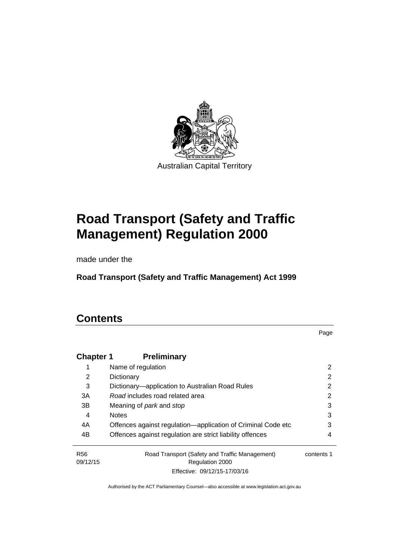

# **Road Transport (Safety and Traffic Management) Regulation 2000**

made under the

**Road Transport (Safety and Traffic Management) Act 1999** 

### **Contents**

Page

| <b>Chapter 1</b>            | <b>Preliminary</b>                                                |            |
|-----------------------------|-------------------------------------------------------------------|------------|
|                             | Name of regulation                                                | 2          |
| 2                           | Dictionary                                                        | 2          |
| 3                           | Dictionary—application to Australian Road Rules                   | 2          |
| 3A                          | Road includes road related area                                   | 2          |
| 3B                          | Meaning of <i>park</i> and <i>stop</i>                            | 3          |
| 4                           | <b>Notes</b>                                                      | 3          |
| 4A                          | Offences against regulation-application of Criminal Code etc      | 3          |
| 4B                          | Offences against regulation are strict liability offences         | 4          |
| R <sub>56</sub><br>09/12/15 | Road Transport (Safety and Traffic Management)<br>Regulation 2000 | contents 1 |
|                             | Effective: 09/12/15-17/03/16                                      |            |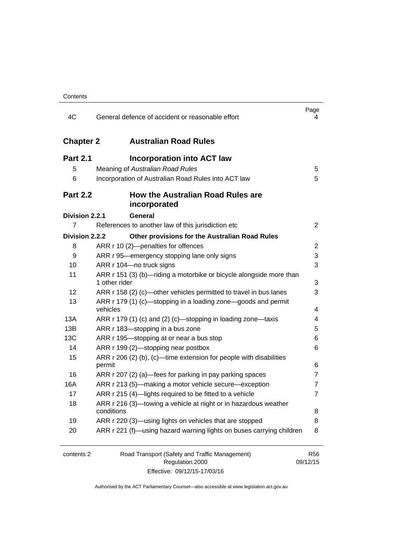| 4C               | General defence of accident or reasonable effort                                     | Page<br>4              |
|------------------|--------------------------------------------------------------------------------------|------------------------|
| <b>Chapter 2</b> | <b>Australian Road Rules</b>                                                         |                        |
| <b>Part 2.1</b>  | <b>Incorporation into ACT law</b>                                                    |                        |
| 5                | Meaning of Australian Road Rules                                                     | 5                      |
| 6                | Incorporation of Australian Road Rules into ACT law                                  | 5                      |
| <b>Part 2.2</b>  | <b>How the Australian Road Rules are</b><br>incorporated                             |                        |
| Division 2.2.1   | General                                                                              |                        |
| 7                | References to another law of this jurisdiction etc                                   | $\overline{2}$         |
| Division 2.2.2   | Other provisions for the Australian Road Rules                                       |                        |
| 8                | ARR r 10 (2)-penalties for offences                                                  | 2                      |
| 9                | ARR r 95—emergency stopping lane only signs                                          | 3                      |
| 10               | ARR r 104-no truck signs                                                             | 3                      |
| 11               | ARR r 151 (3) (b)—riding a motorbike or bicycle alongside more than<br>1 other rider | 3                      |
| 12               | ARR r 158 (2) (c)—other vehicles permitted to travel in bus lanes                    | 3                      |
| 13               | ARR r 179 (1) (c)—stopping in a loading zone—goods and permit<br>vehicles            | 4                      |
| 13A              | ARR r 179 (1) (c) and (2) (c)-stopping in loading zone-taxis                         | 4                      |
| 13B              | ARR r 183-stopping in a bus zone                                                     | 5                      |
| 13C              | ARR r 195—stopping at or near a bus stop                                             | 6                      |
| 14               | ARR r 199 (2)-stopping near postbox                                                  | 6                      |
| 15               | ARR r 206 (2) (b), (c)—time extension for people with disabilities                   |                        |
|                  | permit                                                                               | 6                      |
| 16               | ARR r 207 (2) (a)-fees for parking in pay parking spaces                             | 7                      |
| 16A              | ARR r 213 (5)—making a motor vehicle secure—exception                                | 7                      |
| 17               | ARR r 215 (4)-lights required to be fitted to a vehicle                              | 7                      |
| 18               | ARR r 216 (3)-towing a vehicle at night or in hazardous weather<br>conditions        | 8                      |
| 19               | ARR r 220 (3)—using lights on vehicles that are stopped                              | 8                      |
| 20               | ARR r 221 (f)—using hazard warning lights on buses carrying children                 | 8                      |
|                  |                                                                                      |                        |
| contents 2       | Road Transport (Safety and Traffic Management)<br>Regulation 2000                    | <b>R56</b><br>09/12/15 |

Effective: 09/12/15-17/03/16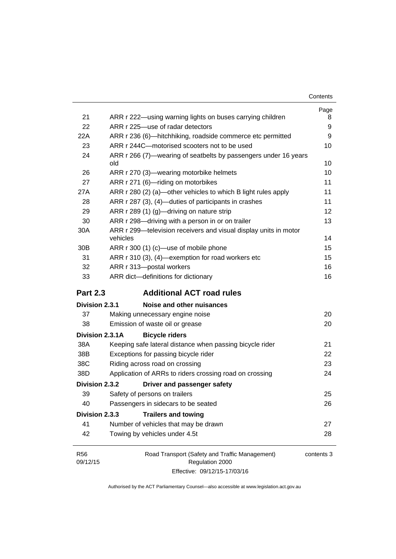| Contents |
|----------|
|----------|

|                 |                                                                        | Page |
|-----------------|------------------------------------------------------------------------|------|
| 21              | ARR r 222—using warning lights on buses carrying children              | 8    |
| 22              | ARR r 225-use of radar detectors                                       | 9    |
| 22A             | ARR r 236 (6)-hitchhiking, roadside commerce etc permitted             | 9    |
| 23              | ARR r 244C-motorised scooters not to be used                           | 10   |
| 24              | ARR r 266 (7)—wearing of seatbelts by passengers under 16 years<br>old | 10   |
| 26              | ARR r 270 (3)—wearing motorbike helmets                                | 10   |
| 27              | ARR r 271 (6)-riding on motorbikes                                     | 11   |
| 27A             | ARR r 280 (2) (a)—other vehicles to which B light rules apply          | 11   |
| 28              | ARR r 287 (3), (4)-duties of participants in crashes                   | 11   |
| 29              | ARR r 289 (1) (g)-driving on nature strip                              | 12   |
| 30              | ARR r 298-driving with a person in or on trailer                       | 13   |
| 30A             | ARR r 299-television receivers and visual display units in motor       |      |
|                 | vehicles                                                               | 14   |
| 30B             | ARR r 300 (1) (c)-use of mobile phone                                  | 15   |
| 31              | ARR r 310 (3), (4)-exemption for road workers etc                      | 15   |
| 32              | ARR r 313-postal workers                                               | 16   |
| 33              | ARR dict-definitions for dictionary                                    | 16   |
|                 |                                                                        |      |
| <b>Part 2.3</b> | <b>Additional ACT road rules</b>                                       |      |
| Division 2.3.1  | Noise and other nuisances                                              |      |
| 37              | Making unnecessary engine noise                                        | 20   |
| 38              | Emission of waste oil or grease                                        | 20   |
| Division 2.3.1A | <b>Bicycle riders</b>                                                  |      |
| 38A             | Keeping safe lateral distance when passing bicycle rider               | 21   |
| 38B             | Exceptions for passing bicycle rider                                   | 22   |
| 38C             | Riding across road on crossing                                         | 23   |
| 38D             | Application of ARRs to riders crossing road on crossing                | 24   |
| Division 2.3.2  | Driver and passenger safety                                            |      |
| 39              | Safety of persons on trailers                                          | 25   |
| 40              | Passengers in sidecars to be seated                                    | 26   |
| Division 2.3.3  | <b>Trailers and towing</b>                                             |      |
| 41              | Number of vehicles that may be drawn                                   | 27   |
| 42              | Towing by vehicles under 4.5t                                          | 28   |

Effective: 09/12/15-17/03/16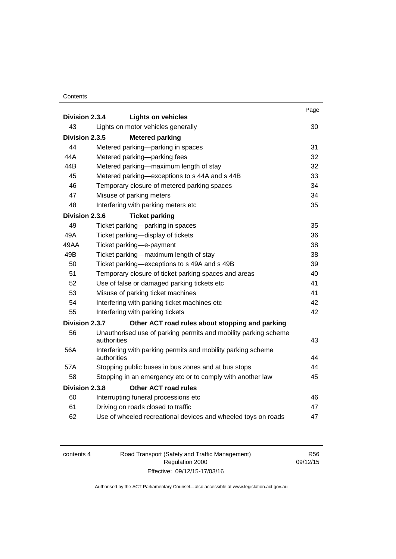#### Contents

| Division 2.3.4 | <b>Lights on vehicles</b>                                                      | Page |
|----------------|--------------------------------------------------------------------------------|------|
| 43             | Lights on motor vehicles generally                                             | 30   |
| Division 2.3.5 | <b>Metered parking</b>                                                         |      |
| 44             | Metered parking-parking in spaces                                              | 31   |
| 44A            | Metered parking-parking fees                                                   | 32   |
| 44B            | Metered parking-maximum length of stay                                         | 32   |
| 45             | Metered parking-exceptions to s 44A and s 44B                                  | 33   |
| 46             | Temporary closure of metered parking spaces                                    | 34   |
| 47             | Misuse of parking meters                                                       | 34   |
| 48             | Interfering with parking meters etc                                            | 35   |
| Division 2.3.6 | <b>Ticket parking</b>                                                          |      |
| 49             | Ticket parking-parking in spaces                                               | 35   |
| 49A            | Ticket parking-display of tickets                                              | 36   |
| 49AA           | Ticket parking-e-payment                                                       | 38   |
| 49B            | Ticket parking—maximum length of stay                                          | 38   |
| 50             | Ticket parking-exceptions to s 49A and s 49B                                   | 39   |
| 51             | Temporary closure of ticket parking spaces and areas                           | 40   |
| 52             | Use of false or damaged parking tickets etc                                    | 41   |
| 53             | Misuse of parking ticket machines                                              | 41   |
| 54             | Interfering with parking ticket machines etc                                   | 42   |
| 55             | Interfering with parking tickets                                               | 42   |
| Division 2.3.7 | Other ACT road rules about stopping and parking                                |      |
| 56             | Unauthorised use of parking permits and mobility parking scheme<br>authorities | 43   |
| 56A            | Interfering with parking permits and mobility parking scheme<br>authorities    | 44   |
| 57A            | Stopping public buses in bus zones and at bus stops                            | 44   |
| 58             | Stopping in an emergency etc or to comply with another law                     | 45   |
| Division 2.3.8 | <b>Other ACT road rules</b>                                                    |      |
| 60             | Interrupting funeral processions etc                                           | 46   |
| 61             | Driving on roads closed to traffic                                             | 47   |
| 62             | Use of wheeled recreational devices and wheeled toys on roads                  | 47   |

| contents 4 | Road Transport (Safety and Traffic Management) | R56.     |
|------------|------------------------------------------------|----------|
|            | Regulation 2000                                | 09/12/15 |
|            | Effective: 09/12/15-17/03/16                   |          |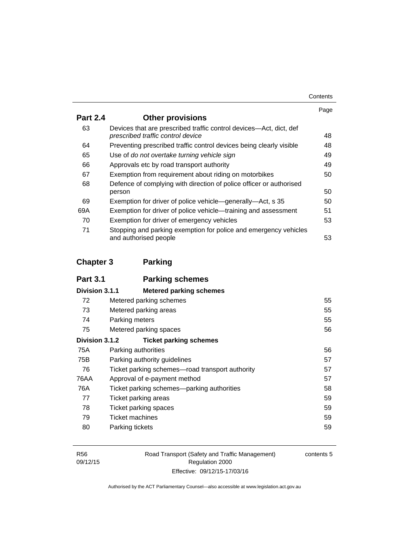| Contents |
|----------|
|----------|

|                 |                                                                                                         | Page |
|-----------------|---------------------------------------------------------------------------------------------------------|------|
| <b>Part 2.4</b> | <b>Other provisions</b>                                                                                 |      |
| 63              | Devices that are prescribed traffic control devices—Act, dict, def<br>prescribed traffic control device | 48   |
| 64              | Preventing prescribed traffic control devices being clearly visible                                     | 48   |
| 65              | Use of do not overtake turning vehicle sign                                                             | 49   |
| 66              | Approvals etc by road transport authority                                                               | 49   |
| 67              | Exemption from requirement about riding on motorbikes                                                   | 50   |
| 68              | Defence of complying with direction of police officer or authorised                                     |      |
|                 | person                                                                                                  | 50   |
| 69              | Exemption for driver of police vehicle—generally—Act, s 35                                              | 50   |
| 69A             | Exemption for driver of police vehicle-training and assessment                                          | 51   |
| 70              | Exemption for driver of emergency vehicles                                                              | 53   |
| 71              | Stopping and parking exemption for police and emergency vehicles<br>and authorised people               | 53   |

### **[Chapter 3](#page-71-0) Parking**

| <b>Part 3.1</b> | <b>Parking schemes</b>                          |    |
|-----------------|-------------------------------------------------|----|
| Division 3.1.1  | <b>Metered parking schemes</b>                  |    |
| 72              | Metered parking schemes                         | 55 |
| 73              | Metered parking areas                           | 55 |
| 74              | Parking meters                                  | 55 |
| 75              | Metered parking spaces                          | 56 |
| Division 3.1.2  | <b>Ticket parking schemes</b>                   |    |
| 75A             | Parking authorities                             | 56 |
| 75B             | Parking authority guidelines                    | 57 |
| 76              | Ticket parking schemes—road transport authority | 57 |
| 76AA            | Approval of e-payment method                    | 57 |
| 76A             | Ticket parking schemes—parking authorities      | 58 |
| 77              | Ticket parking areas                            | 59 |
| 78              | <b>Ticket parking spaces</b>                    | 59 |
| 79              | Ticket machines                                 | 59 |
| 80              | Parking tickets                                 | 59 |
|                 |                                                 |    |

Road Transport (Safety and Traffic Management) Regulation 2000 Effective: 09/12/15-17/03/16

contents 5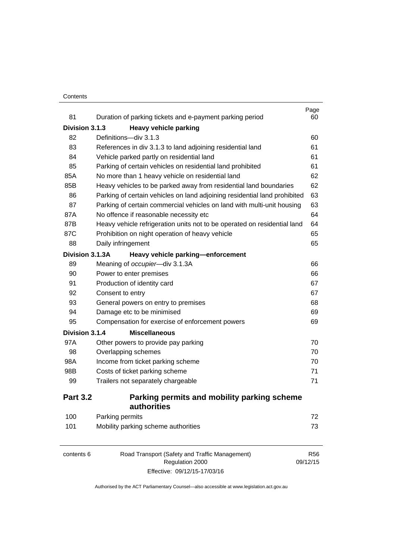#### **Contents**

| 81              | Duration of parking tickets and e-payment parking period                  | Page<br>60 |
|-----------------|---------------------------------------------------------------------------|------------|
| Division 3.1.3  | <b>Heavy vehicle parking</b>                                              |            |
| 82              | Definitions-div 3.1.3                                                     | 60         |
| 83              | References in div 3.1.3 to land adjoining residential land                | 61         |
| 84              | Vehicle parked partly on residential land                                 | 61         |
| 85              | Parking of certain vehicles on residential land prohibited                | 61         |
| 85A             | No more than 1 heavy vehicle on residential land                          | 62         |
| 85B             | Heavy vehicles to be parked away from residential land boundaries         | 62         |
| 86              | Parking of certain vehicles on land adjoining residential land prohibited | 63         |
| 87              | Parking of certain commercial vehicles on land with multi-unit housing    | 63         |
| 87A             | No offence if reasonable necessity etc                                    | 64         |
| 87B             | Heavy vehicle refrigeration units not to be operated on residential land  | 64         |
| 87C             | Prohibition on night operation of heavy vehicle                           | 65         |
| 88              | Daily infringement                                                        | 65         |
| Division 3.1.3A | Heavy vehicle parking-enforcement                                         |            |
| 89              | Meaning of occupier-div 3.1.3A                                            | 66         |
| 90              | Power to enter premises                                                   | 66         |
| 91              | Production of identity card                                               | 67         |
| 92              | Consent to entry                                                          | 67         |
| 93              | General powers on entry to premises                                       | 68         |
| 94              | Damage etc to be minimised                                                | 69         |
| 95              | Compensation for exercise of enforcement powers                           | 69         |
| Division 3.1.4  | <b>Miscellaneous</b>                                                      |            |
| 97A             | Other powers to provide pay parking                                       | 70         |
| 98              | Overlapping schemes                                                       | 70         |
| 98A             | Income from ticket parking scheme                                         | 70         |
| 98B             | Costs of ticket parking scheme                                            | 71         |
| 99              | Trailers not separately chargeable                                        | 71         |
| <b>Part 3.2</b> | Parking permits and mobility parking scheme<br>authorities                |            |
| 100             | Parking permits                                                           | 72         |
| 101             | Mobility parking scheme authorities                                       | 73         |

| contents 6 | Road Transport (Safety and Traffic Management) | R56      |
|------------|------------------------------------------------|----------|
|            | Regulation 2000                                | 09/12/15 |
|            | Effective: 09/12/15-17/03/16                   |          |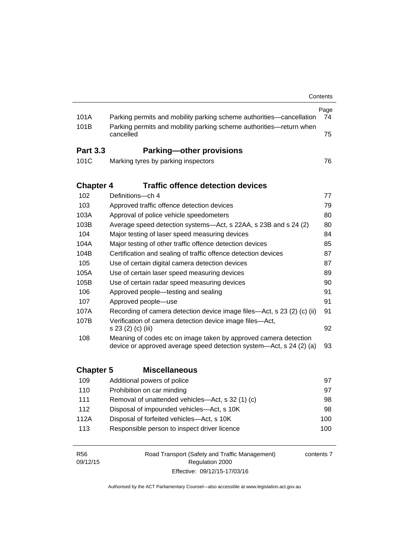|                  |                                                                                                                                         | Contents   |
|------------------|-----------------------------------------------------------------------------------------------------------------------------------------|------------|
| 101A             | Parking permits and mobility parking scheme authorities-cancellation                                                                    | Page<br>74 |
| 101B             | Parking permits and mobility parking scheme authorities-return when<br>cancelled                                                        | 75         |
| <b>Part 3.3</b>  | <b>Parking-other provisions</b>                                                                                                         |            |
| 101C             | Marking tyres by parking inspectors                                                                                                     | 76         |
| <b>Chapter 4</b> | <b>Traffic offence detection devices</b>                                                                                                |            |
| 102              | Definitions-ch 4                                                                                                                        | 77         |
| 103              | Approved traffic offence detection devices                                                                                              | 79         |
| 103A             | Approval of police vehicle speedometers                                                                                                 | 80         |
| 103B             | Average speed detection systems—Act, s 22AA, s 23B and s 24 (2)                                                                         | 80         |
| 104              | Major testing of laser speed measuring devices                                                                                          | 84         |
| 104A             | Major testing of other traffic offence detection devices                                                                                | 85         |
| 104B             | Certification and sealing of traffic offence detection devices                                                                          | 87         |
| 105              | Use of certain digital camera detection devices                                                                                         | 87         |
| 105A             | Use of certain laser speed measuring devices                                                                                            | 89         |
| 105B             | Use of certain radar speed measuring devices                                                                                            | 90         |
| 106              | Approved people-testing and sealing                                                                                                     | 91         |
| 107              | Approved people-use                                                                                                                     | 91         |
| 107A             | Recording of camera detection device image files—Act, s 23 (2) (c) (ii)                                                                 | 91         |
| 107B             | Verification of camera detection device image files-Act,<br>s 23 (2) (c) (iii)                                                          |            |
| 108              | Meaning of codes etc on image taken by approved camera detection<br>device or approved average speed detection system—Act, s 24 (2) (a) | 93         |
| <b>Chapter 5</b> | <b>Miscellaneous</b>                                                                                                                    |            |
| 109              | Additional powers of police                                                                                                             | 97         |
| 110              | Prohibition on car minding                                                                                                              | 97         |
| 111              | Removal of unattended vehicles—Act, s 32 (1) (c)                                                                                        | 98         |
| 112              | Disposal of impounded vehicles-Act, s 10K                                                                                               | 98         |
| 112A             | Disposal of forfeited vehicles-Act, s 10K                                                                                               | 100        |
| 113              | Responsible person to inspect driver licence                                                                                            | 100        |
| R <sub>56</sub>  | Road Transport (Safety and Traffic Management)                                                                                          | contents 7 |

Authorised by the ACT Parliamentary Counsel—also accessible at www.legislation.act.gov.au

Regulation 2000 Effective: 09/12/15-17/03/16

09/12/15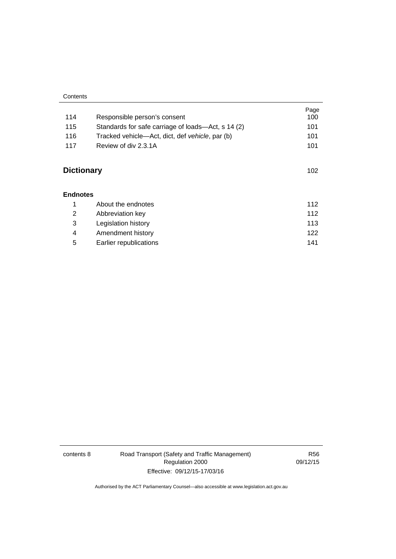| Contents |
|----------|
|----------|

| 114               | Responsible person's consent                       | Page<br>100 |
|-------------------|----------------------------------------------------|-------------|
| 115               | Standards for safe carriage of loads—Act, s 14 (2) | 101         |
| 116               | Tracked vehicle—Act, dict, def vehicle, par (b)    | 101         |
| 117               | Review of div 2.3.1A                               | 101         |
| <b>Dictionary</b> |                                                    | 102         |
| <b>Endnotes</b>   |                                                    |             |
| 1                 | About the endnotes                                 | 112         |
| 2                 | Abbreviation key                                   | 112         |
| 3                 | Legislation history                                | 113         |
| 4                 | Amendment history                                  | 122         |
| 5                 | Earlier republications                             | 141         |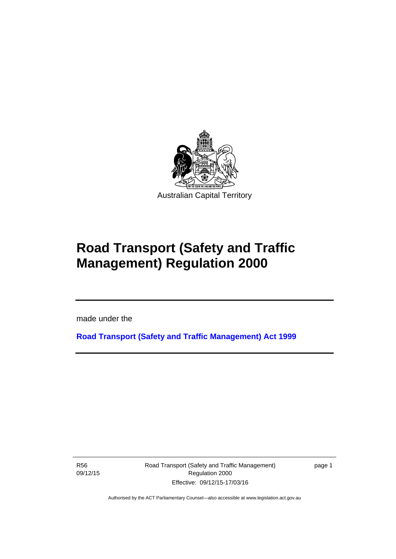

# **Road Transport (Safety and Traffic Management) Regulation 2000**

made under the

**[Road Transport \(Safety and Traffic Management\) Act 1999](http://www.legislation.act.gov.au/a/1999-80)**

R56 09/12/15

l

Road Transport (Safety and Traffic Management) Regulation 2000 Effective: 09/12/15-17/03/16

page 1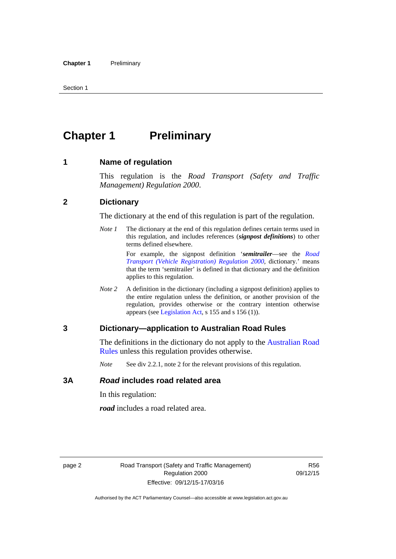## <span id="page-11-0"></span>**Chapter 1** Preliminary

#### <span id="page-11-1"></span>**1 Name of regulation**

This regulation is the *Road Transport (Safety and Traffic Management) Regulation 2000*.

#### <span id="page-11-2"></span>**2 Dictionary**

The dictionary at the end of this regulation is part of the regulation.

*Note 1* The dictionary at the end of this regulation defines certain terms used in this regulation, and includes references (*signpost definitions*) to other terms defined elsewhere.

> For example, the signpost definition '*semitrailer*—see the *[Road](http://www.legislation.act.gov.au/sl/2000-12)  [Transport \(Vehicle Registration\) Regulation 2000](http://www.legislation.act.gov.au/sl/2000-12)*, dictionary.' means that the term 'semitrailer' is defined in that dictionary and the definition applies to this regulation.

*Note 2* A definition in the dictionary (including a signpost definition) applies to the entire regulation unless the definition, or another provision of the regulation, provides otherwise or the contrary intention otherwise appears (see [Legislation Act,](http://www.legislation.act.gov.au/a/2001-14) s 155 and s 156 (1)).

#### <span id="page-11-3"></span>**3 Dictionary—application to Australian Road Rules**

The definitions in the dictionary do not apply to the Australian Road [Rules](http://www.legislation.act.gov.au//ni/db_37271/default.asp) unless this regulation provides otherwise.

*Note* See div 2.2.1, note 2 for the relevant provisions of this regulation.

#### <span id="page-11-4"></span>**3A** *Road* **includes road related area**

In this regulation:

*road* includes a road related area.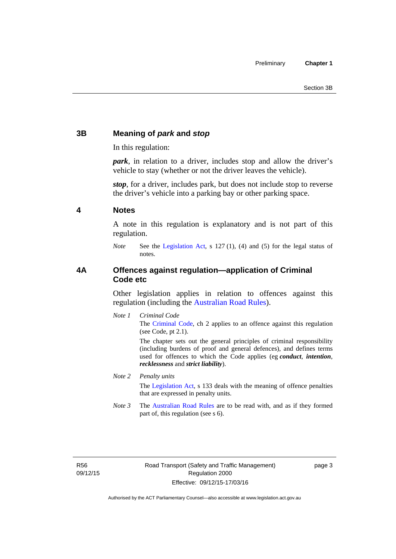#### <span id="page-12-0"></span>**3B Meaning of** *park* **and** *stop*

In this regulation:

*park*, in relation to a driver, includes stop and allow the driver's vehicle to stay (whether or not the driver leaves the vehicle).

*stop*, for a driver, includes park, but does not include stop to reverse the driver's vehicle into a parking bay or other parking space.

#### <span id="page-12-1"></span>**4 Notes**

A note in this regulation is explanatory and is not part of this regulation.

*Note* See the [Legislation Act,](http://www.legislation.act.gov.au/a/2001-14) s 127 (1), (4) and (5) for the legal status of notes.

#### <span id="page-12-2"></span>**4A Offences against regulation—application of Criminal Code etc**

Other legislation applies in relation to offences against this regulation (including the [Australian Road Rules](http://www.legislation.act.gov.au//ni/db_37271/default.asp)).

*Note 1 Criminal Code* The [Criminal Code,](http://www.legislation.act.gov.au/a/2002-51) ch 2 applies to an offence against this regulation (see Code, pt 2.1).

> The chapter sets out the general principles of criminal responsibility (including burdens of proof and general defences), and defines terms used for offences to which the Code applies (eg *conduct*, *intention*, *recklessness* and *strict liability*).

#### *Note 2 Penalty units*

The [Legislation Act](http://www.legislation.act.gov.au/a/2001-14), s 133 deals with the meaning of offence penalties that are expressed in penalty units.

*Note 3* The [Australian Road Rules](http://www.legislation.act.gov.au//ni/db_37271/default.asp) are to be read with, and as if they formed part of, this regulation (see s 6).

R56 09/12/15 page 3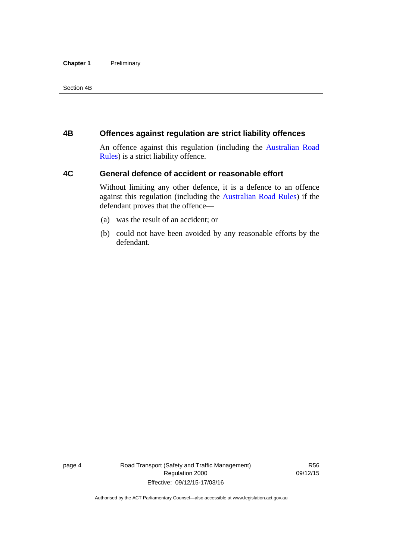#### **Chapter 1** Preliminary

Section 4B

#### <span id="page-13-0"></span>**4B Offences against regulation are strict liability offences**

An offence against this regulation (including the [Australian Road](http://www.legislation.act.gov.au//ni/db_37271/default.asp)  [Rules](http://www.legislation.act.gov.au//ni/db_37271/default.asp)) is a strict liability offence.

#### <span id="page-13-1"></span>**4C General defence of accident or reasonable effort**

Without limiting any other defence, it is a defence to an offence against this regulation (including the [Australian Road Rules\)](http://www.legislation.act.gov.au//ni/db_37271/default.asp) if the defendant proves that the offence—

- (a) was the result of an accident; or
- (b) could not have been avoided by any reasonable efforts by the defendant.

page 4 Road Transport (Safety and Traffic Management) Regulation 2000 Effective: 09/12/15-17/03/16

R56 09/12/15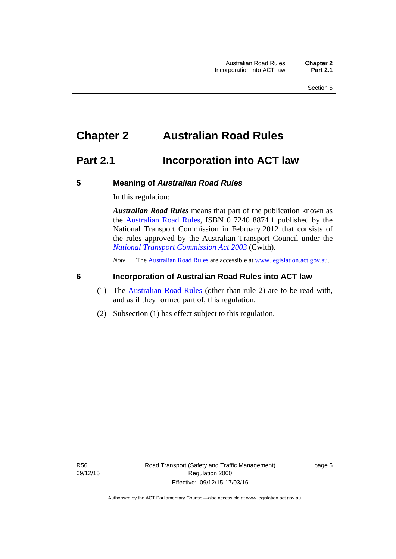## <span id="page-14-0"></span>**Chapter 2 Australian Road Rules**

### <span id="page-14-1"></span>**Part 2.1 Incorporation into ACT law**

#### <span id="page-14-2"></span>**5 Meaning of** *Australian Road Rules*

In this regulation:

*Australian Road Rules* means that part of the publication known as the [Australian Road Rules](http://www.legislation.act.gov.au//ni/db_37271/default.asp), ISBN 0 7240 8874 1 published by the National Transport Commission in February 2012 that consists of the rules approved by the Australian Transport Council under the *[National Transport Commission Act 2003](http://www.comlaw.gov.au/Series/C2004A01166)* (Cwlth).

*Note* The [Australian Road Rules](http://www.legislation.act.gov.au//ni/db_37271/default.asp) are accessible at [www.legislation.act.gov.au](http://www.legislation.act.gov.au/).

#### <span id="page-14-3"></span>**6 Incorporation of Australian Road Rules into ACT law**

- (1) The [Australian Road Rules](http://www.legislation.act.gov.au//ni/db_37271/default.asp) (other than rule 2) are to be read with, and as if they formed part of, this regulation.
- (2) Subsection (1) has effect subject to this regulation.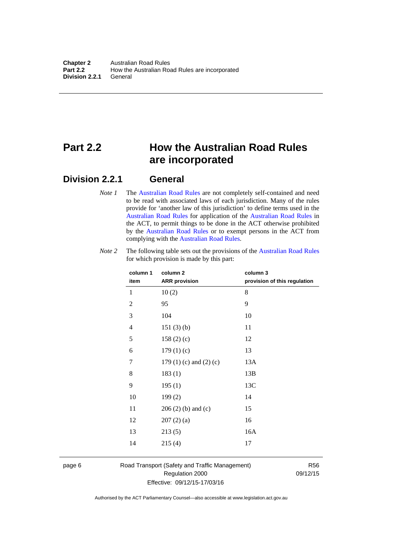## <span id="page-15-0"></span>**Part 2.2 How the Australian Road Rules are incorporated**

#### <span id="page-15-1"></span>**Division 2.2.1 General**

*Note 1* The [Australian Road Rules](http://www.legislation.act.gov.au//ni/db_37271/default.asp) are not completely self-contained and need to be read with associated laws of each jurisdiction. Many of the rules provide for 'another law of this jurisdiction' to define terms used in the [Australian Road Rules](http://www.legislation.act.gov.au//ni/db_37271/default.asp) for application of the [Australian Road Rules](http://www.legislation.act.gov.au//ni/db_37271/default.asp) in the ACT, to permit things to be done in the ACT otherwise prohibited by the [Australian Road Rules](http://www.legislation.act.gov.au//ni/db_37271/default.asp) or to exempt persons in the ACT from complying with the [Australian Road Rules.](http://www.legislation.act.gov.au//ni/db_37271/default.asp)

| column 1<br>item | column <sub>2</sub><br><b>ARR</b> provision | column 3<br>provision of this regulation |
|------------------|---------------------------------------------|------------------------------------------|
| 1                | 10(2)                                       | 8                                        |
| $\overline{2}$   | 95                                          | 9                                        |
| 3                | 104                                         | 10                                       |
| $\overline{4}$   | 151(3)(b)                                   | 11                                       |
| 5                | 158 $(2)(c)$                                | 12                                       |
| 6                | 179(1)(c)                                   | 13                                       |
| 7                | 179 $(1)$ $(c)$ and $(2)$ $(c)$             | 13A                                      |
| 8                | 183(1)                                      | 13B                                      |
| 9                | 195(1)                                      | 13C                                      |
| 10               | 199(2)                                      | 14                                       |
| 11               | $206(2)$ (b) and (c)                        | 15                                       |
| 12               | 207(2)(a)                                   | 16                                       |
| 13               | 213(5)                                      | 16A                                      |
| 14               | 215(4)                                      | 17                                       |

*Note 2* The following table sets out the provisions of the [Australian Road Rules](http://www.legislation.act.gov.au//ni/db_37271/default.asp) for which provision is made by this part:

page 6 Road Transport (Safety and Traffic Management) Regulation 2000 Effective: 09/12/15-17/03/16

R56 09/12/15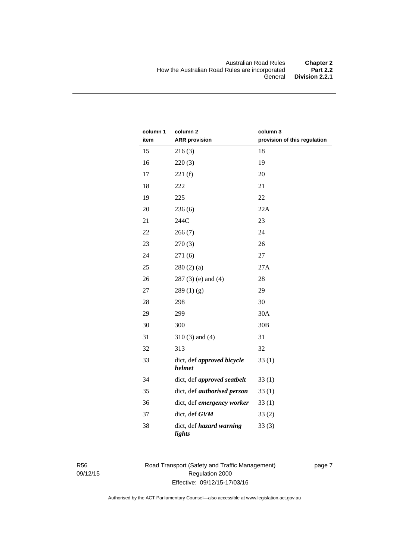| column 1<br>item | column <sub>2</sub><br><b>ARR</b> provision | column 3<br>provision of this regulation |
|------------------|---------------------------------------------|------------------------------------------|
| 15               | 216(3)                                      | 18                                       |
| 16               | 220(3)                                      | 19                                       |
| 17               | 221(f)                                      | 20                                       |
| 18               | 222                                         | 21                                       |
| 19               | 225                                         | 22                                       |
| 20               | 236(6)                                      | 22A                                      |
| 21               | 244C                                        | 23                                       |
| 22               | 266(7)                                      | 24                                       |
| 23               | 270(3)                                      | 26                                       |
| 24               | 271(6)                                      | 27                                       |
| 25               | 280(2)(a)                                   | 27A                                      |
| 26               | $287(3)$ (e) and (4)                        | 28                                       |
| 27               | 289(1)(g)                                   | 29                                       |
| 28               | 298                                         | 30                                       |
| 29               | 299                                         | 30A                                      |
| 30               | 300                                         | 30B                                      |
| 31               | $310(3)$ and $(4)$                          | 31                                       |
| 32               | 313                                         | 32                                       |
| 33               | dict, def approved bicycle<br>helmet        | 33(1)                                    |
| 34               | dict, def approved seatbelt                 | 33(1)                                    |
| 35               | dict, def <i>authorised</i> person          | 33(1)                                    |
| 36               | dict, def emergency worker                  | 33(1)                                    |
| 37               | dict, def GVM                               | 33(2)                                    |
| 38               | dict, def hazard warning<br>lights          | 33(3)                                    |

R56 09/12/15 Road Transport (Safety and Traffic Management) Regulation 2000 Effective: 09/12/15-17/03/16

page 7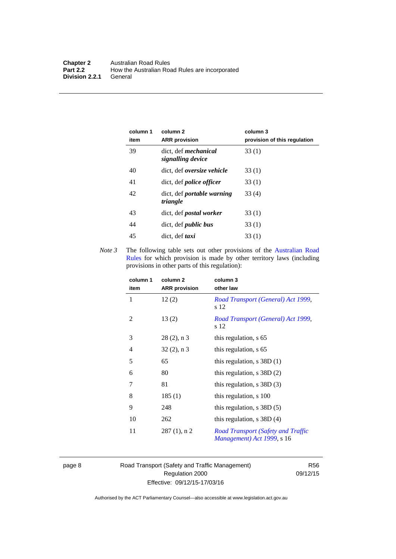| column 1<br>item | column 2<br><b>ARR</b> provision                 | column 3<br>provision of this regulation |
|------------------|--------------------------------------------------|------------------------------------------|
| 39               | dict. def <i>mechanical</i><br>signalling device | 33(1)                                    |
| 40               | dict, def oversize vehicle                       | 33(1)                                    |
| 41               | dict, def <i>police</i> officer                  | 33(1)                                    |
| 42               | dict, def <i>portable</i> warning<br>triangle    | 33(4)                                    |
| 43               | dict, def <i>postal</i> worker                   | 33(1)                                    |
| 44               | dict, def <i>public</i> bus                      | 33(1)                                    |
| 45               | dict, def taxi                                   | 33(1)                                    |

*Note 3* The following table sets out other provisions of the Australian Road [Rules](http://www.legislation.act.gov.au//ni/db_37271/default.asp) for which provision is made by other territory laws (including provisions in other parts of this regulation):

| column 1<br>item | column 2<br><b>ARR</b> provision | column 3<br>other law                                            |
|------------------|----------------------------------|------------------------------------------------------------------|
| 1                | 12(2)                            | Road Transport (General) Act 1999,<br>s 12                       |
| 2                | 13(2)                            | Road Transport (General) Act 1999,<br>s 12                       |
| 3                | $28(2)$ , n 3                    | this regulation, s 65                                            |
| $\overline{4}$   | $32(2)$ , n 3                    | this regulation, s 65                                            |
| 5                | 65                               | this regulation, $s$ 38D (1)                                     |
| 6                | 80                               | this regulation, $s$ 38D $(2)$                                   |
| 7                | 81                               | this regulation, $s$ 38D $(3)$                                   |
| 8                | 185(1)                           | this regulation, s 100                                           |
| 9                | 248                              | this regulation, $s$ 38D $(5)$                                   |
| 10               | 262                              | this regulation, $s$ 38D $(4)$                                   |
| 11               | $287(1)$ , n 2                   | Road Transport (Safety and Traffic<br>Management) Act 1999, s 16 |

page 8 Road Transport (Safety and Traffic Management) Regulation 2000 Effective: 09/12/15-17/03/16

R56 09/12/15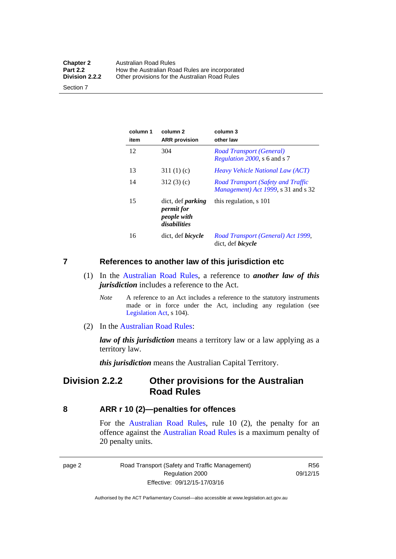| <b>Chapter 2</b> | <b>Australian Road Rules</b>                   |
|------------------|------------------------------------------------|
| <b>Part 2.2</b>  | How the Australian Road Rules are incorporated |
| Division 2.2.2   | Other provisions for the Australian Road Rules |

Section 7

| column 1<br>item | column <sub>2</sub><br><b>ARR</b> provision                           | column 3<br>other law                                                                    |
|------------------|-----------------------------------------------------------------------|------------------------------------------------------------------------------------------|
| 12               | 304                                                                   | Road Transport (General)<br>Regulation 2000, s 6 and s 7                                 |
| 13               | 311(1)(c)                                                             | <i>Heavy Vehicle National Law (ACT)</i>                                                  |
| 14               | 312(3)(c)                                                             | <b>Road Transport (Safety and Traffic</b><br><i>Management</i> ) Act 1999, s 31 and s 32 |
| 15               | dict, def <i>parking</i><br>permit for<br>people with<br>disabilities | this regulation, s 101                                                                   |
| 16               | dict, def <i>bicycle</i>                                              | Road Transport (General) Act 1999,<br>dict, def <i>bicycle</i>                           |

#### <span id="page-18-0"></span>**7 References to another law of this jurisdiction etc**

- (1) In the [Australian Road Rules,](http://www.legislation.act.gov.au//ni/db_37271/default.asp) a reference to *another law of this jurisdiction* includes a reference to the Act.
	- *Note* A reference to an Act includes a reference to the statutory instruments made or in force under the Act, including any regulation (see [Legislation Act,](http://www.legislation.act.gov.au/a/2001-14) s 104).
- (2) In the [Australian Road Rules](http://www.legislation.act.gov.au//ni/db_37271/default.asp):

*law of this jurisdiction* means a territory law or a law applying as a territory law.

*this jurisdiction* means the Australian Capital Territory.

#### <span id="page-18-1"></span>**Division 2.2.2 Other provisions for the Australian Road Rules**

#### <span id="page-18-2"></span>**8 ARR r 10 (2)—penalties for offences**

For the [Australian Road Rules,](http://www.legislation.act.gov.au//ni/db_37271/default.asp) rule 10 (2), the penalty for an offence against the [Australian Road Rules](http://www.legislation.act.gov.au//ni/db_37271/default.asp) is a maximum penalty of 20 penalty units.

|--|--|

Road Transport (Safety and Traffic Management) Regulation 2000 Effective: 09/12/15-17/03/16

R56 09/12/15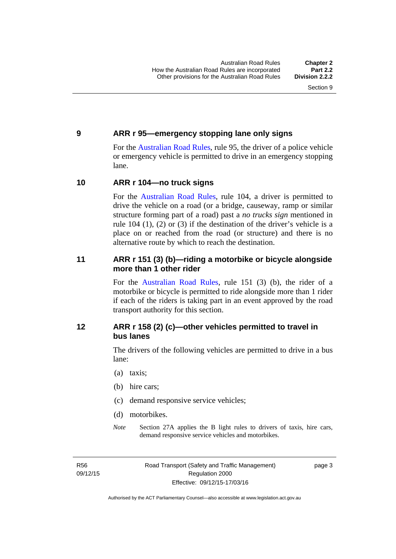#### <span id="page-19-0"></span>**9 ARR r 95—emergency stopping lane only signs**

For the [Australian Road Rules,](http://www.legislation.act.gov.au//ni/db_37271/default.asp) rule 95, the driver of a police vehicle or emergency vehicle is permitted to drive in an emergency stopping lane.

#### <span id="page-19-1"></span>**10 ARR r 104—no truck signs**

For the [Australian Road Rules,](http://www.legislation.act.gov.au//ni/db_37271/default.asp) rule 104, a driver is permitted to drive the vehicle on a road (or a bridge, causeway, ramp or similar structure forming part of a road) past a *no trucks sign* mentioned in rule 104 (1), (2) or (3) if the destination of the driver's vehicle is a place on or reached from the road (or structure) and there is no alternative route by which to reach the destination.

#### <span id="page-19-2"></span>**11 ARR r 151 (3) (b)—riding a motorbike or bicycle alongside more than 1 other rider**

For the [Australian Road Rules](http://www.legislation.act.gov.au//ni/db_37271/default.asp), rule 151 (3) (b), the rider of a motorbike or bicycle is permitted to ride alongside more than 1 rider if each of the riders is taking part in an event approved by the road transport authority for this section.

#### <span id="page-19-3"></span>**12 ARR r 158 (2) (c)—other vehicles permitted to travel in bus lanes**

The drivers of the following vehicles are permitted to drive in a bus lane:

- (a) taxis;
- (b) hire cars;
- (c) demand responsive service vehicles;
- (d) motorbikes.
- *Note* Section 27A applies the B light rules to drivers of taxis, hire cars, demand responsive service vehicles and motorbikes.

R56 09/12/15 page 3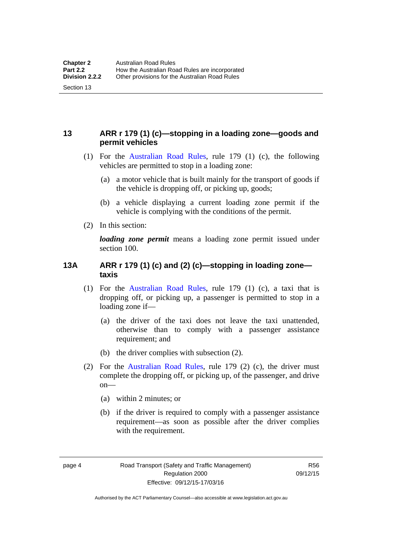### <span id="page-20-0"></span>**13 ARR r 179 (1) (c)—stopping in a loading zone—goods and permit vehicles**

- (1) For the [Australian Road Rules,](http://www.legislation.act.gov.au//ni/db_37271/default.asp) rule 179 (1) (c), the following vehicles are permitted to stop in a loading zone:
	- (a) a motor vehicle that is built mainly for the transport of goods if the vehicle is dropping off, or picking up, goods;
	- (b) a vehicle displaying a current loading zone permit if the vehicle is complying with the conditions of the permit.
- (2) In this section:

Section 13

*loading zone permit* means a loading zone permit issued under section 100.

#### <span id="page-20-1"></span>**13A ARR r 179 (1) (c) and (2) (c)—stopping in loading zone taxis**

- (1) For the [Australian Road Rules,](http://www.legislation.act.gov.au//ni/db_37271/default.asp) rule 179 (1) (c), a taxi that is dropping off, or picking up, a passenger is permitted to stop in a loading zone if—
	- (a) the driver of the taxi does not leave the taxi unattended, otherwise than to comply with a passenger assistance requirement; and
	- (b) the driver complies with subsection (2).
- (2) For the [Australian Road Rules,](http://www.legislation.act.gov.au//ni/db_37271/default.asp) rule 179 (2) (c), the driver must complete the dropping off, or picking up, of the passenger, and drive on—
	- (a) within 2 minutes; or
	- (b) if the driver is required to comply with a passenger assistance requirement—as soon as possible after the driver complies with the requirement.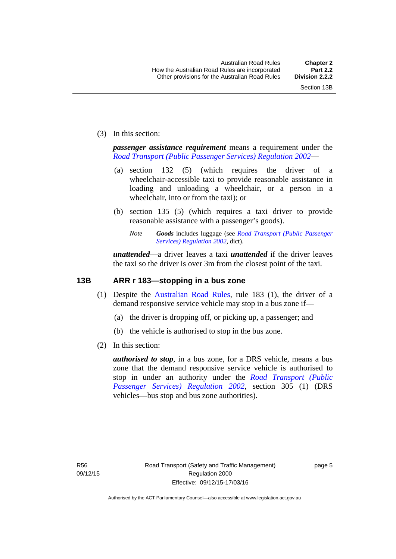(3) In this section:

*passenger assistance requirement* means a requirement under the *[Road Transport \(Public Passenger Services\) Regulation 2002](http://www.legislation.act.gov.au/sl/2002-3)*—

- (a) section 132 (5) (which requires the driver of a wheelchair-accessible taxi to provide reasonable assistance in loading and unloading a wheelchair, or a person in a wheelchair, into or from the taxi); or
- (b) section 135 (5) (which requires a taxi driver to provide reasonable assistance with a passenger's goods).
	- *Note Goods* includes luggage (see *[Road Transport \(Public Passenger](http://www.legislation.act.gov.au/sl/2002-3)  [Services\) Regulation 2002](http://www.legislation.act.gov.au/sl/2002-3)*, dict).

*unattended*—a driver leaves a taxi *unattended* if the driver leaves the taxi so the driver is over 3m from the closest point of the taxi.

#### <span id="page-21-0"></span>**13B ARR r 183—stopping in a bus zone**

- (1) Despite the [Australian Road Rules](http://www.legislation.act.gov.au//ni/db_37271/default.asp), rule 183 (1), the driver of a demand responsive service vehicle may stop in a bus zone if—
	- (a) the driver is dropping off, or picking up, a passenger; and
	- (b) the vehicle is authorised to stop in the bus zone.
- (2) In this section:

*authorised to stop*, in a bus zone, for a DRS vehicle, means a bus zone that the demand responsive service vehicle is authorised to stop in under an authority under the *[Road Transport \(Public](http://www.legislation.act.gov.au/sl/2002-3)  [Passenger Services\) Regulation 2002](http://www.legislation.act.gov.au/sl/2002-3)*, section 305 (1) (DRS vehicles—bus stop and bus zone authorities).

page 5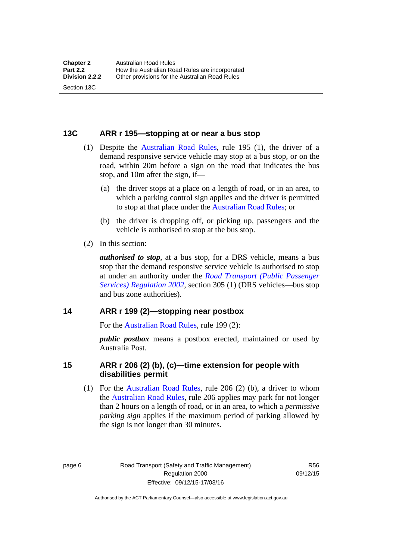#### <span id="page-22-0"></span>**13C ARR r 195—stopping at or near a bus stop**

- (1) Despite the [Australian Road Rules](http://www.legislation.act.gov.au//ni/db_37271/default.asp), rule 195 (1), the driver of a demand responsive service vehicle may stop at a bus stop, or on the road, within 20m before a sign on the road that indicates the bus stop, and 10m after the sign, if—
	- (a) the driver stops at a place on a length of road, or in an area, to which a parking control sign applies and the driver is permitted to stop at that place under the [Australian Road Rules;](http://www.legislation.act.gov.au//ni/db_37271/default.asp) or
	- (b) the driver is dropping off, or picking up, passengers and the vehicle is authorised to stop at the bus stop.
- (2) In this section:

Section 13C

*authorised to stop*, at a bus stop, for a DRS vehicle, means a bus stop that the demand responsive service vehicle is authorised to stop at under an authority under the *[Road Transport \(Public Passenger](http://www.legislation.act.gov.au/sl/2002-3)  [Services\) Regulation 2002](http://www.legislation.act.gov.au/sl/2002-3)*, section 305 (1) (DRS vehicles—bus stop and bus zone authorities).

#### <span id="page-22-1"></span>**14 ARR r 199 (2)—stopping near postbox**

For the [Australian Road Rules,](http://www.legislation.act.gov.au//ni/db_37271/default.asp) rule 199 (2):

*public postbox* means a postbox erected, maintained or used by Australia Post.

#### <span id="page-22-2"></span>**15 ARR r 206 (2) (b), (c)—time extension for people with disabilities permit**

 (1) For the [Australian Road Rules](http://www.legislation.act.gov.au//ni/db_37271/default.asp), rule 206 (2) (b), a driver to whom the [Australian Road Rules](http://www.legislation.act.gov.au//ni/db_37271/default.asp), rule 206 applies may park for not longer than 2 hours on a length of road, or in an area, to which a *permissive parking sign* applies if the maximum period of parking allowed by the sign is not longer than 30 minutes.

page 6 Road Transport (Safety and Traffic Management) Regulation 2000 Effective: 09/12/15-17/03/16

R56 09/12/15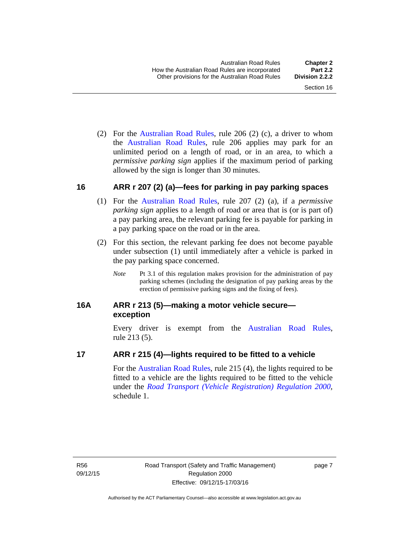(2) For the [Australian Road Rules,](http://www.legislation.act.gov.au//ni/db_37271/default.asp) rule 206 (2) (c), a driver to whom the [Australian Road Rules](http://www.legislation.act.gov.au//ni/db_37271/default.asp), rule 206 applies may park for an unlimited period on a length of road, or in an area, to which a *permissive parking sign* applies if the maximum period of parking allowed by the sign is longer than 30 minutes.

#### <span id="page-23-0"></span>**16 ARR r 207 (2) (a)—fees for parking in pay parking spaces**

- (1) For the [Australian Road Rules,](http://www.legislation.act.gov.au//ni/db_37271/default.asp) rule 207 (2) (a), if a *permissive parking sign* applies to a length of road or area that is (or is part of) a pay parking area, the relevant parking fee is payable for parking in a pay parking space on the road or in the area.
- (2) For this section, the relevant parking fee does not become payable under subsection (1) until immediately after a vehicle is parked in the pay parking space concerned.
	- *Note* Pt 3.1 of this regulation makes provision for the administration of pay parking schemes (including the designation of pay parking areas by the erection of permissive parking signs and the fixing of fees).

#### <span id="page-23-1"></span>**16A ARR r 213 (5)—making a motor vehicle secure exception**

Every driver is exempt from the [Australian Road Rules](http://www.legislation.act.gov.au//ni/db_37271/default.asp), rule 213 (5).

#### <span id="page-23-2"></span>**17 ARR r 215 (4)—lights required to be fitted to a vehicle**

For the [Australian Road Rules,](http://www.legislation.act.gov.au//ni/db_37271/default.asp) rule 215 (4), the lights required to be fitted to a vehicle are the lights required to be fitted to the vehicle under the *[Road Transport \(Vehicle Registration\) Regulation 2000](http://www.legislation.act.gov.au/sl/2000-12),*  schedule 1.

page 7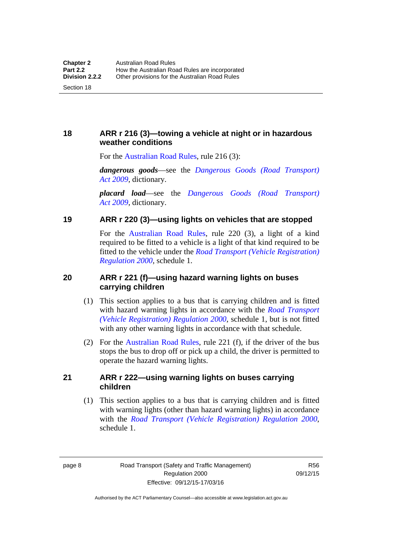#### <span id="page-24-0"></span>**18 ARR r 216 (3)—towing a vehicle at night or in hazardous weather conditions**

For the [Australian Road Rules,](http://www.legislation.act.gov.au//ni/db_37271/default.asp) rule 216 (3):

*dangerous goods*—see the *[Dangerous Goods \(Road Transport\)](http://www.legislation.act.gov.au/a/2009-34)  [Act 2009](http://www.legislation.act.gov.au/a/2009-34)*, dictionary.

*placard load*—see the *[Dangerous Goods \(Road Transport\)](http://www.legislation.act.gov.au/a/2009-34)  [Act 2009](http://www.legislation.act.gov.au/a/2009-34)*, dictionary.

#### <span id="page-24-1"></span>**19 ARR r 220 (3)—using lights on vehicles that are stopped**

For the [Australian Road Rules](http://www.legislation.act.gov.au//ni/db_37271/default.asp), rule 220 (3), a light of a kind required to be fitted to a vehicle is a light of that kind required to be fitted to the vehicle under the *[Road Transport \(Vehicle Registration\)](http://www.legislation.act.gov.au/sl/2000-12)  [Regulation 2000](http://www.legislation.act.gov.au/sl/2000-12)*, schedule 1.

#### <span id="page-24-2"></span>**20 ARR r 221 (f)—using hazard warning lights on buses carrying children**

- (1) This section applies to a bus that is carrying children and is fitted with hazard warning lights in accordance with the *[Road Transport](http://www.legislation.act.gov.au/sl/2000-12)  [\(Vehicle Registration\) Regulation 2000](http://www.legislation.act.gov.au/sl/2000-12)*, schedule 1, but is not fitted with any other warning lights in accordance with that schedule.
- (2) For the [Australian Road Rules](http://www.legislation.act.gov.au//ni/db_37271/default.asp), rule 221 (f), if the driver of the bus stops the bus to drop off or pick up a child, the driver is permitted to operate the hazard warning lights.

#### <span id="page-24-3"></span>**21 ARR r 222—using warning lights on buses carrying children**

(1) This section applies to a bus that is carrying children and is fitted with warning lights (other than hazard warning lights) in accordance with the *[Road Transport \(Vehicle Registration\) Regulation 2000](http://www.legislation.act.gov.au/sl/2000-12)*, schedule 1.

page 8 Road Transport (Safety and Traffic Management) Regulation 2000 Effective: 09/12/15-17/03/16

R56 09/12/15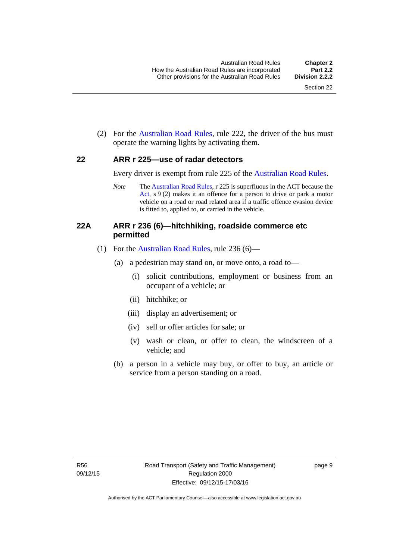(2) For the [Australian Road Rules](http://www.legislation.act.gov.au//ni/db_37271/default.asp), rule 222, the driver of the bus must operate the warning lights by activating them.

#### <span id="page-25-0"></span>**22 ARR r 225—use of radar detectors**

Every driver is exempt from rule 225 of the [Australian Road Rules.](http://www.legislation.act.gov.au//ni/db_37271/default.asp)

*Note* The [Australian Road Rules](http://www.legislation.act.gov.au//ni/db_37271/default.asp), r 225 is superfluous in the ACT because the [Act,](http://www.legislation.act.gov.au/a/1999-80/default.asp) s 9 (2) makes it an offence for a person to drive or park a motor vehicle on a road or road related area if a traffic offence evasion device is fitted to, applied to, or carried in the vehicle.

#### <span id="page-25-1"></span>**22A ARR r 236 (6)—hitchhiking, roadside commerce etc permitted**

- (1) For the [Australian Road Rules](http://www.legislation.act.gov.au//ni/db_37271/default.asp), rule 236 (6)—
	- (a) a pedestrian may stand on, or move onto, a road to—
		- (i) solicit contributions, employment or business from an occupant of a vehicle; or
		- (ii) hitchhike; or
		- (iii) display an advertisement; or
		- (iv) sell or offer articles for sale; or
		- (v) wash or clean, or offer to clean, the windscreen of a vehicle; and
	- (b) a person in a vehicle may buy, or offer to buy, an article or service from a person standing on a road.

page 9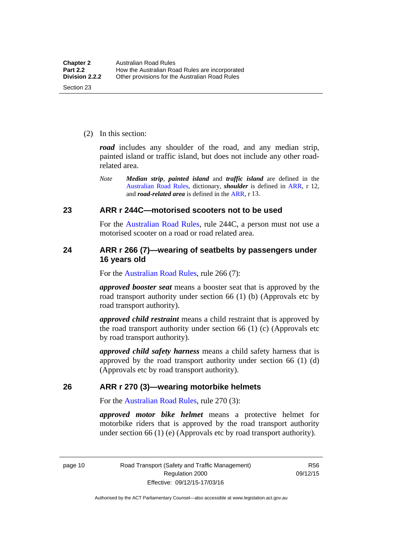(2) In this section:

*road* includes any shoulder of the road, and any median strip, painted island or traffic island, but does not include any other roadrelated area.

*Note Median strip*, *painted island* and *traffic island* are defined in the [Australian Road Rules](http://www.legislation.act.gov.au//ni/db_37271/default.asp), dictionary, *shoulder* is defined in [ARR,](http://www.legislation.act.gov.au//ni/db_37271/default.asp) r 12, and *road-related area* is defined in the [ARR,](http://www.legislation.act.gov.au//ni/db_37271/default.asp) r 13.

#### <span id="page-26-0"></span>**23 ARR r 244C—motorised scooters not to be used**

For the [Australian Road Rules](http://www.legislation.act.gov.au//ni/db_37271/default.asp), rule 244C, a person must not use a motorised scooter on a road or road related area.

#### <span id="page-26-1"></span>**24 ARR r 266 (7)—wearing of seatbelts by passengers under 16 years old**

For the [Australian Road Rules,](http://www.legislation.act.gov.au//ni/db_37271/default.asp) rule 266 (7):

*approved booster seat* means a booster seat that is approved by the road transport authority under section 66 (1) (b) (Approvals etc by road transport authority).

*approved child restraint* means a child restraint that is approved by the road transport authority under section 66 (1) (c) (Approvals etc by road transport authority).

*approved child safety harness* means a child safety harness that is approved by the road transport authority under section 66 (1) (d) (Approvals etc by road transport authority).

#### <span id="page-26-2"></span>**26 ARR r 270 (3)—wearing motorbike helmets**

For the [Australian Road Rules,](http://www.legislation.act.gov.au//ni/db_37271/default.asp) rule 270 (3):

*approved motor bike helmet* means a protective helmet for motorbike riders that is approved by the road transport authority under section 66 (1) (e) (Approvals etc by road transport authority).

page 10 Road Transport (Safety and Traffic Management) Regulation 2000 Effective: 09/12/15-17/03/16

R56 09/12/15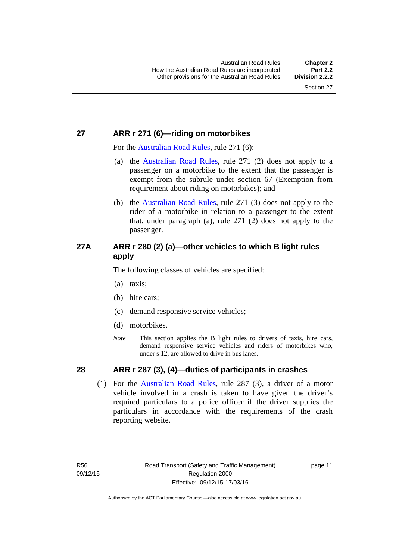#### <span id="page-27-0"></span>**27 ARR r 271 (6)—riding on motorbikes**

For the [Australian Road Rules](http://www.legislation.act.gov.au//ni/db_37271/default.asp), rule 271 (6):

- (a) the [Australian Road Rules,](http://www.legislation.act.gov.au//ni/db_37271/default.asp) rule 271 (2) does not apply to a passenger on a motorbike to the extent that the passenger is exempt from the subrule under section 67 (Exemption from requirement about riding on motorbikes); and
- (b) the [Australian Road Rules](http://www.legislation.act.gov.au//ni/db_37271/default.asp), rule 271 (3) does not apply to the rider of a motorbike in relation to a passenger to the extent that, under paragraph (a), rule 271 (2) does not apply to the passenger.

### <span id="page-27-1"></span>**27A ARR r 280 (2) (a)—other vehicles to which B light rules apply**

The following classes of vehicles are specified:

- (a) taxis;
- (b) hire cars;
- (c) demand responsive service vehicles;
- (d) motorbikes.
- *Note* This section applies the B light rules to drivers of taxis, hire cars, demand responsive service vehicles and riders of motorbikes who, under s 12, are allowed to drive in bus lanes.

### <span id="page-27-2"></span>**28 ARR r 287 (3), (4)—duties of participants in crashes**

 (1) For the [Australian Road Rules,](http://www.legislation.act.gov.au//ni/db_37271/default.asp) rule 287 (3), a driver of a motor vehicle involved in a crash is taken to have given the driver's required particulars to a police officer if the driver supplies the particulars in accordance with the requirements of the crash reporting website.

page 11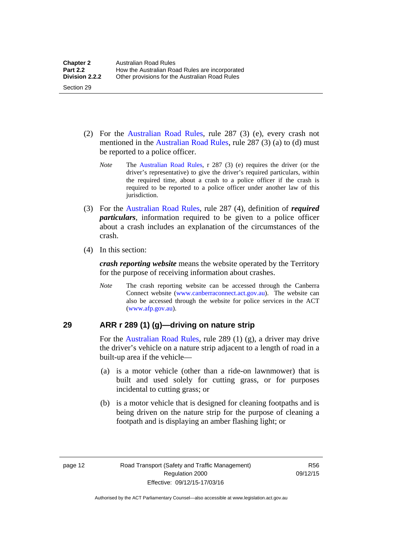- (2) For the [Australian Road Rules](http://www.legislation.act.gov.au//ni/db_37271/default.asp), rule 287 (3) (e), every crash not mentioned in the [Australian Road Rules,](http://www.legislation.act.gov.au//ni/db_37271/default.asp) rule 287 (3) (a) to (d) must be reported to a police officer.
	- *Note* The [Australian Road Rules](http://www.legislation.act.gov.au//ni/db_37271/default.asp), r 287 (3) (e) requires the driver (or the driver's representative) to give the driver's required particulars, within the required time, about a crash to a police officer if the crash is required to be reported to a police officer under another law of this jurisdiction.
- (3) For the [Australian Road Rules](http://www.legislation.act.gov.au//ni/db_37271/default.asp), rule 287 (4), definition of *required particulars*, information required to be given to a police officer about a crash includes an explanation of the circumstances of the crash.
- (4) In this section:

Section 29

*crash reporting website* means the website operated by the Territory for the purpose of receiving information about crashes.

*Note* The crash reporting website can be accessed through the Canberra Connect website [\(www.canberraconnect.act.gov.au](http://www.canberraconnect.act.gov.au/)). The website can also be accessed through the website for police services in the ACT [\(www.afp.gov.au\)](http://www.afp.gov.au/).

#### <span id="page-28-0"></span>**29 ARR r 289 (1) (g)—driving on nature strip**

For the [Australian Road Rules](http://www.legislation.act.gov.au//ni/db_37271/default.asp), rule 289 (1) (g), a driver may drive the driver's vehicle on a nature strip adjacent to a length of road in a built-up area if the vehicle—

- (a) is a motor vehicle (other than a ride-on lawnmower) that is built and used solely for cutting grass, or for purposes incidental to cutting grass; or
- (b) is a motor vehicle that is designed for cleaning footpaths and is being driven on the nature strip for the purpose of cleaning a footpath and is displaying an amber flashing light; or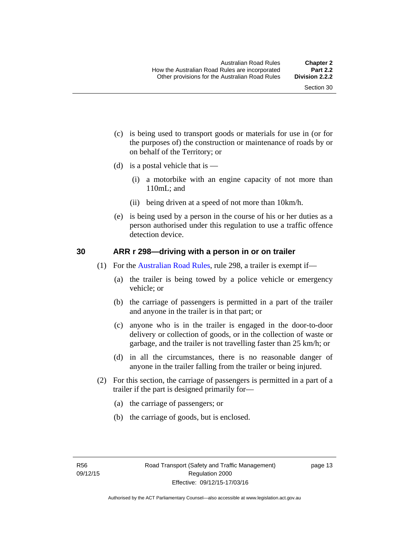- (c) is being used to transport goods or materials for use in (or for the purposes of) the construction or maintenance of roads by or on behalf of the Territory; or
- (d) is a postal vehicle that is  $-$ 
	- (i) a motorbike with an engine capacity of not more than 110mL; and
	- (ii) being driven at a speed of not more than 10km/h.
- (e) is being used by a person in the course of his or her duties as a person authorised under this regulation to use a traffic offence detection device.

#### <span id="page-29-0"></span>**30 ARR r 298—driving with a person in or on trailer**

- (1) For the [Australian Road Rules](http://www.legislation.act.gov.au//ni/db_37271/default.asp), rule 298, a trailer is exempt if—
	- (a) the trailer is being towed by a police vehicle or emergency vehicle; or
	- (b) the carriage of passengers is permitted in a part of the trailer and anyone in the trailer is in that part; or
	- (c) anyone who is in the trailer is engaged in the door-to-door delivery or collection of goods, or in the collection of waste or garbage, and the trailer is not travelling faster than 25 km/h; or
	- (d) in all the circumstances, there is no reasonable danger of anyone in the trailer falling from the trailer or being injured.
- (2) For this section, the carriage of passengers is permitted in a part of a trailer if the part is designed primarily for—
	- (a) the carriage of passengers; or
	- (b) the carriage of goods, but is enclosed.

page 13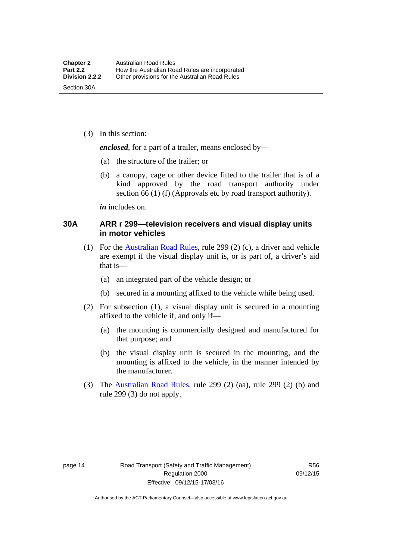(3) In this section:

*enclosed*, for a part of a trailer, means enclosed by—

- (a) the structure of the trailer; or
- (b) a canopy, cage or other device fitted to the trailer that is of a kind approved by the road transport authority under section 66 (1) (f) (Approvals etc by road transport authority).

*in* includes on.

#### <span id="page-30-0"></span>**30A ARR r 299—television receivers and visual display units in motor vehicles**

- (1) For the [Australian Road Rules](http://www.legislation.act.gov.au//ni/db_37271/default.asp), rule 299 (2) (c), a driver and vehicle are exempt if the visual display unit is, or is part of, a driver's aid that is—
	- (a) an integrated part of the vehicle design; or
	- (b) secured in a mounting affixed to the vehicle while being used.
- (2) For subsection (1), a visual display unit is secured in a mounting affixed to the vehicle if, and only if—
	- (a) the mounting is commercially designed and manufactured for that purpose; and
	- (b) the visual display unit is secured in the mounting, and the mounting is affixed to the vehicle, in the manner intended by the manufacturer.
- (3) The [Australian Road Rules](http://www.legislation.act.gov.au//ni/db_37271/default.asp), rule 299 (2) (aa), rule 299 (2) (b) and rule 299 (3) do not apply.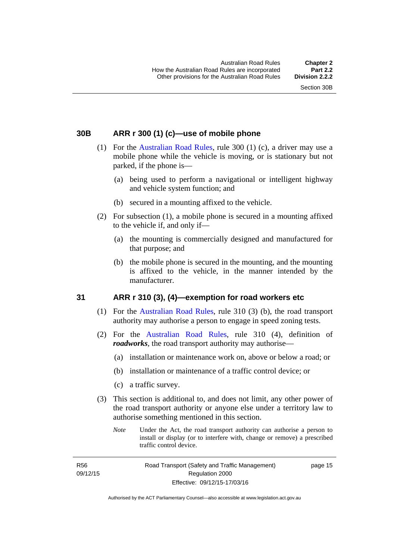#### <span id="page-31-0"></span>**30B ARR r 300 (1) (c)—use of mobile phone**

- (1) For the [Australian Road Rules,](http://www.legislation.act.gov.au//ni/db_37271/default.asp) rule 300 (1) (c), a driver may use a mobile phone while the vehicle is moving, or is stationary but not parked, if the phone is—
	- (a) being used to perform a navigational or intelligent highway and vehicle system function; and
	- (b) secured in a mounting affixed to the vehicle.
- (2) For subsection (1), a mobile phone is secured in a mounting affixed to the vehicle if, and only if—
	- (a) the mounting is commercially designed and manufactured for that purpose; and
	- (b) the mobile phone is secured in the mounting, and the mounting is affixed to the vehicle, in the manner intended by the manufacturer.

#### <span id="page-31-1"></span>**31 ARR r 310 (3), (4)—exemption for road workers etc**

- (1) For the [Australian Road Rules](http://www.legislation.act.gov.au//ni/db_37271/default.asp), rule 310 (3) (b), the road transport authority may authorise a person to engage in speed zoning tests.
- (2) For the [Australian Road Rules](http://www.legislation.act.gov.au//ni/db_37271/default.asp), rule 310 (4), definition of *roadworks*, the road transport authority may authorise—
	- (a) installation or maintenance work on, above or below a road; or
	- (b) installation or maintenance of a traffic control device; or
	- (c) a traffic survey.
- (3) This section is additional to, and does not limit, any other power of the road transport authority or anyone else under a territory law to authorise something mentioned in this section.
	- *Note* Under the Act, the road transport authority can authorise a person to install or display (or to interfere with, change or remove) a prescribed traffic control device.

R56 09/12/15 Road Transport (Safety and Traffic Management) Regulation 2000 Effective: 09/12/15-17/03/16

page 15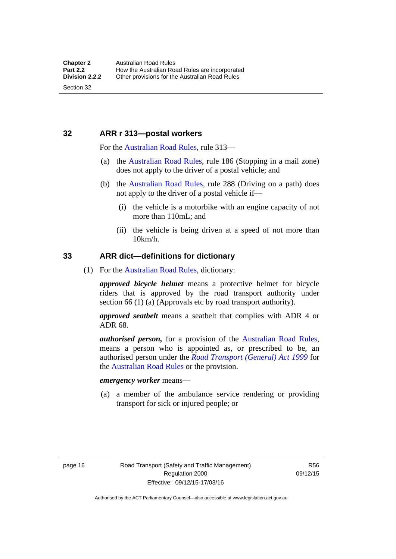#### <span id="page-32-0"></span>**32 ARR r 313—postal workers**

For the [Australian Road Rules,](http://www.legislation.act.gov.au//ni/db_37271/default.asp) rule 313—

- (a) the [Australian Road Rules,](http://www.legislation.act.gov.au//ni/db_37271/default.asp) rule 186 (Stopping in a mail zone) does not apply to the driver of a postal vehicle; and
- (b) the [Australian Road Rules](http://www.legislation.act.gov.au//ni/db_37271/default.asp), rule 288 (Driving on a path) does not apply to the driver of a postal vehicle if—
	- (i) the vehicle is a motorbike with an engine capacity of not more than 110mL; and
	- (ii) the vehicle is being driven at a speed of not more than 10km/h.

#### <span id="page-32-1"></span>**33 ARR dict—definitions for dictionary**

(1) For the [Australian Road Rules,](http://www.legislation.act.gov.au//ni/db_37271/default.asp) dictionary:

*approved bicycle helmet* means a protective helmet for bicycle riders that is approved by the road transport authority under section 66 (1) (a) (Approvals etc by road transport authority).

*approved seatbelt* means a seatbelt that complies with ADR 4 or ADR 68.

*authorised person,* for a provision of the [Australian Road Rules](http://www.legislation.act.gov.au//ni/db_37271/default.asp), means a person who is appointed as, or prescribed to be, an authorised person under the *[Road Transport \(General\) Act 1999](http://www.legislation.act.gov.au/a/1999-77)* for the [Australian Road Rules](http://www.legislation.act.gov.au//ni/db_37271/default.asp) or the provision.

#### *emergency worker* means—

 (a) a member of the ambulance service rendering or providing transport for sick or injured people; or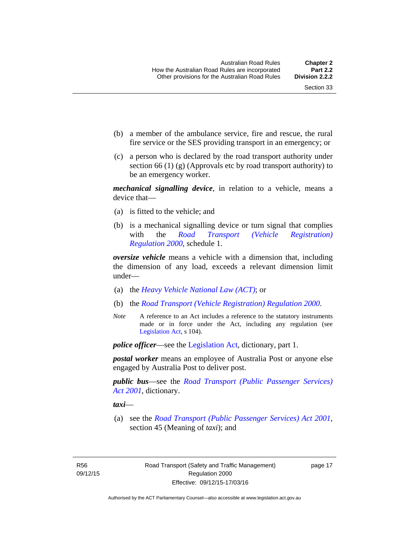- (b) a member of the ambulance service, fire and rescue, the rural fire service or the SES providing transport in an emergency; or
- (c) a person who is declared by the road transport authority under section 66 (1) (g) (Approvals etc by road transport authority) to be an emergency worker.

*mechanical signalling device*, in relation to a vehicle, means a device that—

- (a) is fitted to the vehicle; and
- (b) is a mechanical signalling device or turn signal that complies with the *[Road Transport \(Vehicle Registration\)](http://www.legislation.act.gov.au/sl/2000-12)  [Regulation 2000](http://www.legislation.act.gov.au/sl/2000-12)*, schedule 1.

*oversize vehicle* means a vehicle with a dimension that, including the dimension of any load, exceeds a relevant dimension limit under—

- (a) the *[Heavy Vehicle National Law \(ACT\)](http://www.legislation.act.gov.au/a/db_49155/default.asp)*; or
- (b) the *[Road Transport \(Vehicle Registration\) Regulation 2000](http://www.legislation.act.gov.au/sl/2000-12)*.
- *Note* A reference to an Act includes a reference to the statutory instruments made or in force under the Act, including any regulation (see [Legislation Act,](http://www.legislation.act.gov.au/a/2001-14) s 104).

*police officer*—see the [Legislation Act](http://www.legislation.act.gov.au/a/2001-14), dictionary, part 1.

*postal worker* means an employee of Australia Post or anyone else engaged by Australia Post to deliver post.

*public bus*—see the *[Road Transport \(Public Passenger Services\)](http://www.legislation.act.gov.au/a/2001-62)  [Act 2001](http://www.legislation.act.gov.au/a/2001-62)*, dictionary.

*taxi*—

 (a) see the *[Road Transport \(Public Passenger Services\) Act 2001](http://www.legislation.act.gov.au/a/2001-62)*, section 45 (Meaning of *taxi*); and

R56 09/12/15 page 17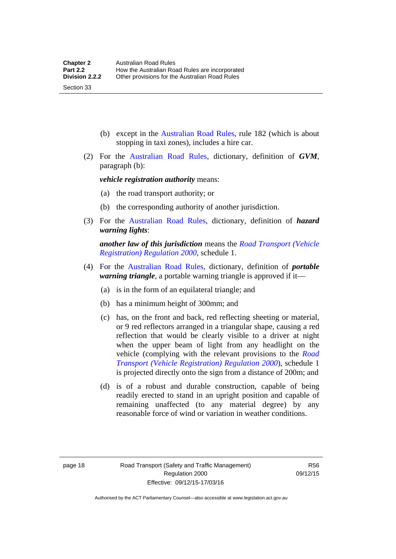(b) except in the [Australian Road Rules,](http://www.legislation.act.gov.au//ni/db_37271/default.asp) rule 182 (which is about stopping in taxi zones), includes a hire car.

 (2) For the [Australian Road Rules](http://www.legislation.act.gov.au//ni/db_37271/default.asp), dictionary, definition of *GVM*, paragraph (b):

*vehicle registration authority* means:

- (a) the road transport authority; or
- (b) the corresponding authority of another jurisdiction.
- (3) For the [Australian Road Rules](http://www.legislation.act.gov.au//ni/db_37271/default.asp), dictionary, definition of *hazard warning lights*:

*another law of this jurisdiction* means the *[Road Transport \(Vehicle](http://www.legislation.act.gov.au/sl/2000-12)  [Registration\) Regulation 2000](http://www.legislation.act.gov.au/sl/2000-12)*, schedule 1.

- (4) For the [Australian Road Rules](http://www.legislation.act.gov.au//ni/db_37271/default.asp), dictionary, definition of *portable warning triangle*, a portable warning triangle is approved if it—
	- (a) is in the form of an equilateral triangle; and
	- (b) has a minimum height of 300mm; and
	- (c) has, on the front and back, red reflecting sheeting or material, or 9 red reflectors arranged in a triangular shape, causing a red reflection that would be clearly visible to a driver at night when the upper beam of light from any headlight on the vehicle (complying with the relevant provisions to the *[Road](http://www.legislation.act.gov.au/sl/2000-12)  [Transport \(Vehicle Registration\) Regulation 2000](http://www.legislation.act.gov.au/sl/2000-12)*), schedule 1 is projected directly onto the sign from a distance of 200m; and
	- (d) is of a robust and durable construction, capable of being readily erected to stand in an upright position and capable of remaining unaffected (to any material degree) by any reasonable force of wind or variation in weather conditions.

Section 33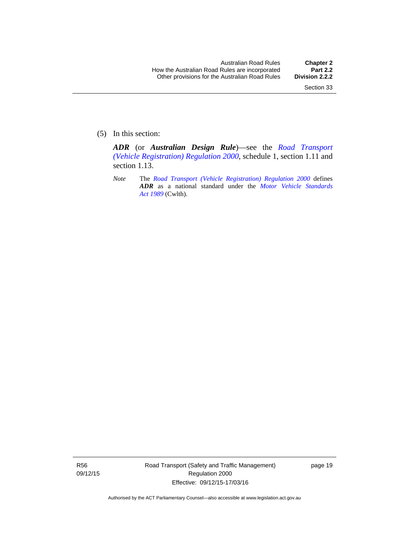(5) In this section:

*ADR* (or *Australian Design Rule*)—see the *[Road Transport](http://www.legislation.act.gov.au/sl/2000-12)  [\(Vehicle Registration\) Regulation 2000](http://www.legislation.act.gov.au/sl/2000-12)*, schedule 1, section 1.11 and section 1.13.

*Note* The *[Road Transport \(Vehicle Registration\) Regulation 2000](http://www.legislation.act.gov.au/sl/2000-12)* defines *ADR* as a national standard under the *[Motor Vehicle Standards](http://www.comlaw.gov.au/Series/C2004A03813)  [Act 1989](http://www.comlaw.gov.au/Series/C2004A03813)* (Cwlth).

R56 09/12/15 Road Transport (Safety and Traffic Management) Regulation 2000 Effective: 09/12/15-17/03/16

page 19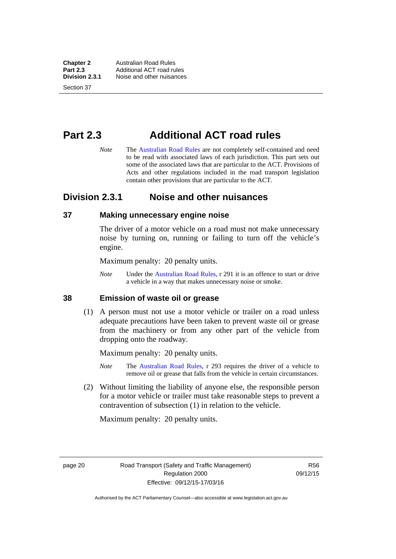**Chapter 2 Australian Road Rules**<br>**Part 2.3 Additional ACT road rules Part 2.3** Additional ACT road rules<br>**Division 2.3.1** Noise and other nuisances **Division 2.3.1** Noise and other nuisances

Section 37

# **Part 2.3 Additional ACT road rules**

*Note* The [Australian Road Rules](http://www.legislation.act.gov.au//ni/db_37271/default.asp) are not completely self-contained and need to be read with associated laws of each jurisdiction. This part sets out some of the associated laws that are particular to the ACT. Provisions of Acts and other regulations included in the road transport legislation contain other provisions that are particular to the ACT.

### **Division 2.3.1 Noise and other nuisances**

#### **37 Making unnecessary engine noise**

The driver of a motor vehicle on a road must not make unnecessary noise by turning on, running or failing to turn off the vehicle's engine.

Maximum penalty: 20 penalty units.

*Note* Under the [Australian Road Rules,](http://www.legislation.act.gov.au//ni/db_37271/default.asp) r 291 it is an offence to start or drive a vehicle in a way that makes unnecessary noise or smoke.

#### **38 Emission of waste oil or grease**

 (1) A person must not use a motor vehicle or trailer on a road unless adequate precautions have been taken to prevent waste oil or grease from the machinery or from any other part of the vehicle from dropping onto the roadway.

Maximum penalty: 20 penalty units.

- *Note* The [Australian Road Rules,](http://www.legislation.act.gov.au//ni/db_37271/default.asp) r 293 requires the driver of a vehicle to remove oil or grease that falls from the vehicle in certain circumstances.
- (2) Without limiting the liability of anyone else, the responsible person for a motor vehicle or trailer must take reasonable steps to prevent a contravention of subsection (1) in relation to the vehicle.

Maximum penalty: 20 penalty units.

page 20 Road Transport (Safety and Traffic Management) Regulation 2000 Effective: 09/12/15-17/03/16

R56 09/12/15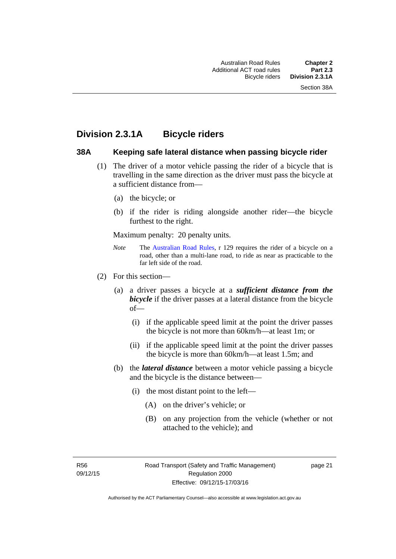### **Division 2.3.1A Bicycle riders**

#### **38A Keeping safe lateral distance when passing bicycle rider**

- (1) The driver of a motor vehicle passing the rider of a bicycle that is travelling in the same direction as the driver must pass the bicycle at a sufficient distance from—
	- (a) the bicycle; or
	- (b) if the rider is riding alongside another rider—the bicycle furthest to the right.

Maximum penalty: 20 penalty units.

- *Note* **The [Australian Road Rules](http://www.legislation.act.gov.au//ni/db_37271/default.asp), r 129 requires the rider of a bicycle on a** road, other than a multi-lane road, to ride as near as practicable to the far left side of the road.
- (2) For this section—
	- (a) a driver passes a bicycle at a *sufficient distance from the bicycle* if the driver passes at a lateral distance from the bicycle of—
		- (i) if the applicable speed limit at the point the driver passes the bicycle is not more than 60km/h—at least 1m; or
		- (ii) if the applicable speed limit at the point the driver passes the bicycle is more than 60km/h—at least 1.5m; and
	- (b) the *lateral distance* between a motor vehicle passing a bicycle and the bicycle is the distance between—
		- (i) the most distant point to the left—
			- (A) on the driver's vehicle; or
			- (B) on any projection from the vehicle (whether or not attached to the vehicle); and

R56 09/12/15 page 21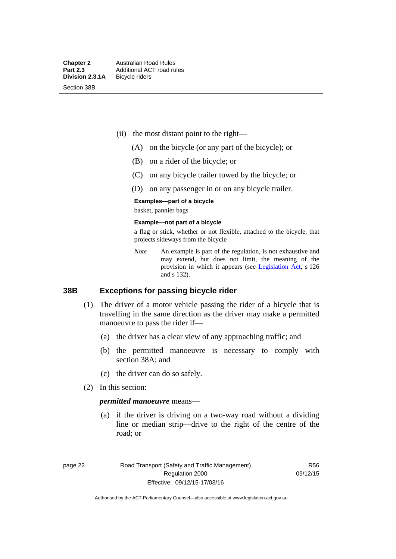Section 38B

- (ii) the most distant point to the right—
	- (A) on the bicycle (or any part of the bicycle); or
	- (B) on a rider of the bicycle; or
	- (C) on any bicycle trailer towed by the bicycle; or
	- (D) on any passenger in or on any bicycle trailer.

#### **Examples—part of a bicycle**

basket, pannier bags

#### **Example—not part of a bicycle**

a flag or stick, whether or not flexible, attached to the bicycle, that projects sideways from the bicycle

*Note* An example is part of the regulation, is not exhaustive and may extend, but does not limit, the meaning of the provision in which it appears (see [Legislation Act](http://www.legislation.act.gov.au/a/2001-14), s 126 and s 132).

#### **38B Exceptions for passing bicycle rider**

- (1) The driver of a motor vehicle passing the rider of a bicycle that is travelling in the same direction as the driver may make a permitted manoeuvre to pass the rider if—
	- (a) the driver has a clear view of any approaching traffic; and
	- (b) the permitted manoeuvre is necessary to comply with section 38A; and
	- (c) the driver can do so safely.
- (2) In this section:

#### *permitted manoeuvre* means—

 (a) if the driver is driving on a two-way road without a dividing line or median strip—drive to the right of the centre of the road; or

page 22 Road Transport (Safety and Traffic Management) Regulation 2000 Effective: 09/12/15-17/03/16

R56 09/12/15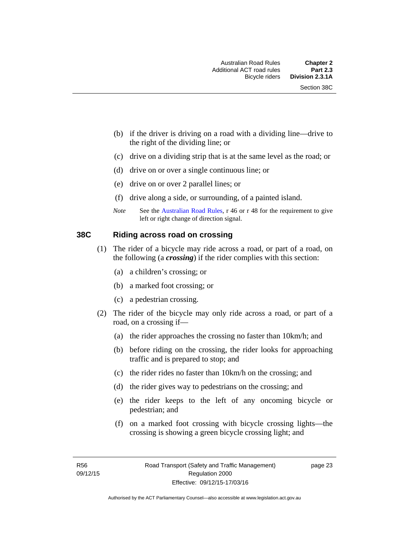- (b) if the driver is driving on a road with a dividing line—drive to the right of the dividing line; or
- (c) drive on a dividing strip that is at the same level as the road; or
- (d) drive on or over a single continuous line; or
- (e) drive on or over 2 parallel lines; or
- (f) drive along a side, or surrounding, of a painted island.
- *Note* See the [Australian Road Rules,](http://www.legislation.act.gov.au//ni/db_37271/default.asp) r 46 or r 48 for the requirement to give left or right change of direction signal.

#### **38C Riding across road on crossing**

- (1) The rider of a bicycle may ride across a road, or part of a road, on the following (a *crossing*) if the rider complies with this section:
	- (a) a children's crossing; or
	- (b) a marked foot crossing; or
	- (c) a pedestrian crossing.
- (2) The rider of the bicycle may only ride across a road, or part of a road, on a crossing if—
	- (a) the rider approaches the crossing no faster than 10km/h; and
	- (b) before riding on the crossing, the rider looks for approaching traffic and is prepared to stop; and
	- (c) the rider rides no faster than 10km/h on the crossing; and
	- (d) the rider gives way to pedestrians on the crossing; and
	- (e) the rider keeps to the left of any oncoming bicycle or pedestrian; and
	- (f) on a marked foot crossing with bicycle crossing lights—the crossing is showing a green bicycle crossing light; and

page 23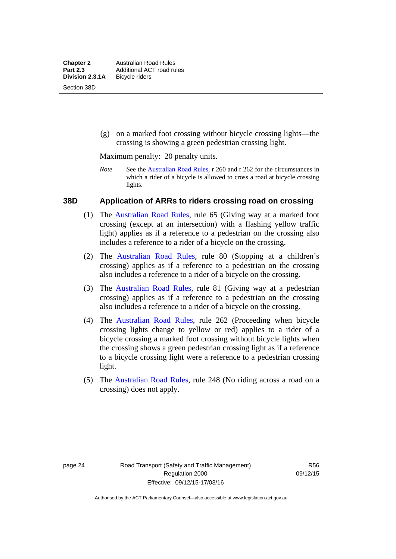(g) on a marked foot crossing without bicycle crossing lights—the crossing is showing a green pedestrian crossing light.

Maximum penalty: 20 penalty units.

*Note* See the [Australian Road Rules](http://www.legislation.act.gov.au//ni/db_37271/default.asp), r 260 and r 262 for the circumstances in which a rider of a bicycle is allowed to cross a road at bicycle crossing lights.

#### **38D Application of ARRs to riders crossing road on crossing**

- (1) The [Australian Road Rules,](http://www.legislation.act.gov.au//ni/db_37271/default.asp) rule 65 (Giving way at a marked foot crossing (except at an intersection) with a flashing yellow traffic light) applies as if a reference to a pedestrian on the crossing also includes a reference to a rider of a bicycle on the crossing.
- (2) The [Australian Road Rules](http://www.legislation.act.gov.au//ni/db_37271/default.asp), rule 80 (Stopping at a children's crossing) applies as if a reference to a pedestrian on the crossing also includes a reference to a rider of a bicycle on the crossing.
- (3) The [Australian Road Rules,](http://www.legislation.act.gov.au//ni/db_37271/default.asp) rule 81 (Giving way at a pedestrian crossing) applies as if a reference to a pedestrian on the crossing also includes a reference to a rider of a bicycle on the crossing.
- (4) The [Australian Road Rules](http://www.legislation.act.gov.au//ni/db_37271/default.asp), rule 262 (Proceeding when bicycle crossing lights change to yellow or red) applies to a rider of a bicycle crossing a marked foot crossing without bicycle lights when the crossing shows a green pedestrian crossing light as if a reference to a bicycle crossing light were a reference to a pedestrian crossing light.
- (5) The [Australian Road Rules](http://www.legislation.act.gov.au//ni/db_37271/default.asp), rule 248 (No riding across a road on a crossing) does not apply.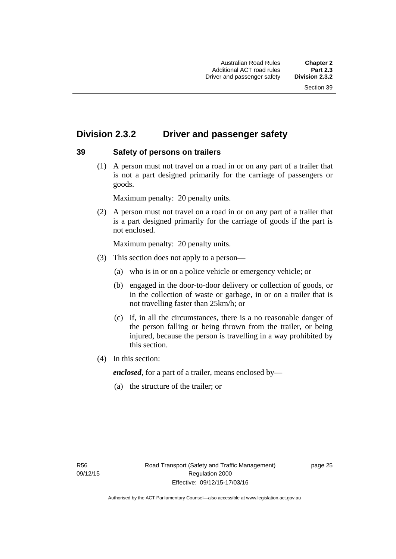# **Division 2.3.2 Driver and passenger safety**

### **39 Safety of persons on trailers**

 (1) A person must not travel on a road in or on any part of a trailer that is not a part designed primarily for the carriage of passengers or goods.

Maximum penalty: 20 penalty units.

 (2) A person must not travel on a road in or on any part of a trailer that is a part designed primarily for the carriage of goods if the part is not enclosed.

Maximum penalty: 20 penalty units.

- (3) This section does not apply to a person—
	- (a) who is in or on a police vehicle or emergency vehicle; or
	- (b) engaged in the door-to-door delivery or collection of goods, or in the collection of waste or garbage, in or on a trailer that is not travelling faster than 25km/h; or
	- (c) if, in all the circumstances, there is a no reasonable danger of the person falling or being thrown from the trailer, or being injured, because the person is travelling in a way prohibited by this section.
- (4) In this section:

*enclosed*, for a part of a trailer, means enclosed by—

(a) the structure of the trailer; or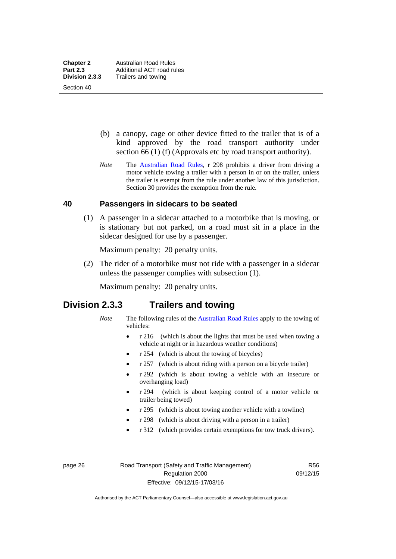Section 40

 (b) a canopy, cage or other device fitted to the trailer that is of a kind approved by the road transport authority under section 66 (1) (f) (Approvals etc by road transport authority).

*Note* The [Australian Road Rules](http://www.legislation.act.gov.au//ni/db_37271/default.asp), r 298 prohibits a driver from driving a motor vehicle towing a trailer with a person in or on the trailer, unless the trailer is exempt from the rule under another law of this jurisdiction. Section 30 provides the exemption from the rule.

#### **40 Passengers in sidecars to be seated**

 (1) A passenger in a sidecar attached to a motorbike that is moving, or is stationary but not parked, on a road must sit in a place in the sidecar designed for use by a passenger.

Maximum penalty: 20 penalty units.

 (2) The rider of a motorbike must not ride with a passenger in a sidecar unless the passenger complies with subsection (1).

Maximum penalty: 20 penalty units.

### **Division 2.3.3 Trailers and towing**

- *Note* The following rules of the [Australian Road Rules](http://www.legislation.act.gov.au//ni/db_37271/default.asp) apply to the towing of vehicles:
	- r 216 (which is about the lights that must be used when towing a vehicle at night or in hazardous weather conditions)
	- r 254 (which is about the towing of bicycles)
	- r 257 (which is about riding with a person on a bicycle trailer)
	- r 292 (which is about towing a vehicle with an insecure or overhanging load)
	- r 294 (which is about keeping control of a motor vehicle or trailer being towed)
	- r 295 (which is about towing another vehicle with a towline)
	- r 298 (which is about driving with a person in a trailer)
	- r 312 (which provides certain exemptions for tow truck drivers).

page 26 Road Transport (Safety and Traffic Management) Regulation 2000 Effective: 09/12/15-17/03/16

R56 09/12/15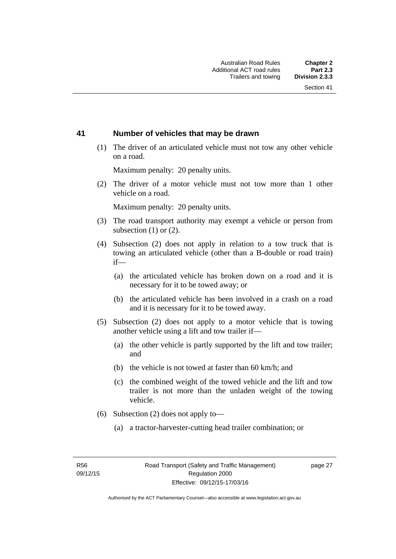#### **41 Number of vehicles that may be drawn**

 (1) The driver of an articulated vehicle must not tow any other vehicle on a road.

Maximum penalty: 20 penalty units.

 (2) The driver of a motor vehicle must not tow more than 1 other vehicle on a road.

Maximum penalty: 20 penalty units.

- (3) The road transport authority may exempt a vehicle or person from subsection (1) or (2).
- (4) Subsection (2) does not apply in relation to a tow truck that is towing an articulated vehicle (other than a B-double or road train) if—
	- (a) the articulated vehicle has broken down on a road and it is necessary for it to be towed away; or
	- (b) the articulated vehicle has been involved in a crash on a road and it is necessary for it to be towed away.
- (5) Subsection (2) does not apply to a motor vehicle that is towing another vehicle using a lift and tow trailer if—
	- (a) the other vehicle is partly supported by the lift and tow trailer; and
	- (b) the vehicle is not towed at faster than 60 km/h; and
	- (c) the combined weight of the towed vehicle and the lift and tow trailer is not more than the unladen weight of the towing vehicle.
- (6) Subsection (2) does not apply to—
	- (a) a tractor-harvester-cutting head trailer combination; or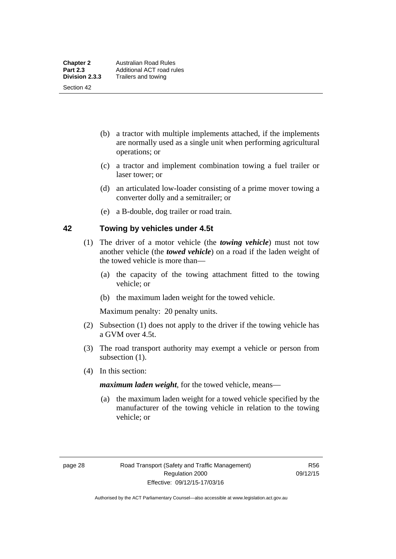Section 42

- (b) a tractor with multiple implements attached, if the implements are normally used as a single unit when performing agricultural operations; or
- (c) a tractor and implement combination towing a fuel trailer or laser tower; or
- (d) an articulated low-loader consisting of a prime mover towing a converter dolly and a semitrailer; or
- (e) a B-double, dog trailer or road train.

#### **42 Towing by vehicles under 4.5t**

- (1) The driver of a motor vehicle (the *towing vehicle*) must not tow another vehicle (the *towed vehicle*) on a road if the laden weight of the towed vehicle is more than—
	- (a) the capacity of the towing attachment fitted to the towing vehicle; or
	- (b) the maximum laden weight for the towed vehicle.

Maximum penalty: 20 penalty units.

- (2) Subsection (1) does not apply to the driver if the towing vehicle has a GVM over 4.5t.
- (3) The road transport authority may exempt a vehicle or person from subsection  $(1)$ .
- (4) In this section:

*maximum laden weight*, for the towed vehicle, means—

 (a) the maximum laden weight for a towed vehicle specified by the manufacturer of the towing vehicle in relation to the towing vehicle; or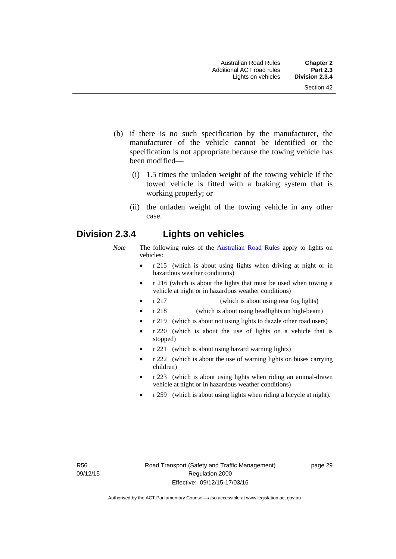- (b) if there is no such specification by the manufacturer, the manufacturer of the vehicle cannot be identified or the specification is not appropriate because the towing vehicle has been modified—
	- (i) 1.5 times the unladen weight of the towing vehicle if the towed vehicle is fitted with a braking system that is working properly; or
	- (ii) the unladen weight of the towing vehicle in any other case.

### **Division 2.3.4 Lights on vehicles**

- *Note* The following rules of the [Australian Road Rules](http://www.legislation.act.gov.au//ni/db_37271/default.asp) apply to lights on vehicles:
	- r 215 (which is about using lights when driving at night or in hazardous weather conditions)
	- r 216 (which is about the lights that must be used when towing a vehicle at night or in hazardous weather conditions)
	- r 217 (which is about using rear fog lights)
	- r 218 (which is about using headlights on high-beam)
	- r 219 (which is about not using lights to dazzle other road users)
	- r 220 (which is about the use of lights on a vehicle that is stopped)
	- r 221 (which is about using hazard warning lights)
	- r 222 (which is about the use of warning lights on buses carrying children)
	- r 223 (which is about using lights when riding an animal-drawn vehicle at night or in hazardous weather conditions)
	- r 259 (which is about using lights when riding a bicycle at night).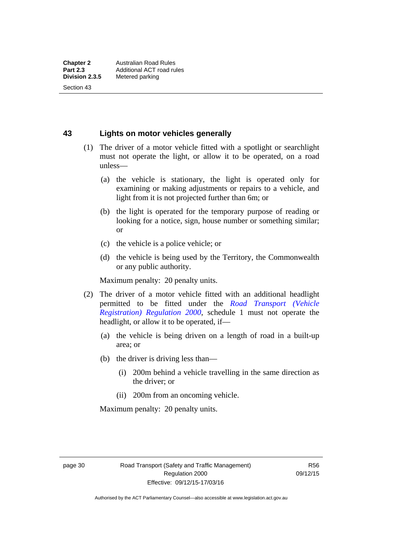Section 43

**43 Lights on motor vehicles generally**

- (1) The driver of a motor vehicle fitted with a spotlight or searchlight must not operate the light, or allow it to be operated, on a road unless—
	- (a) the vehicle is stationary, the light is operated only for examining or making adjustments or repairs to a vehicle, and light from it is not projected further than 6m; or
	- (b) the light is operated for the temporary purpose of reading or looking for a notice, sign, house number or something similar; or
	- (c) the vehicle is a police vehicle; or
	- (d) the vehicle is being used by the Territory, the Commonwealth or any public authority.

Maximum penalty: 20 penalty units.

- (2) The driver of a motor vehicle fitted with an additional headlight permitted to be fitted under the *[Road Transport \(Vehicle](http://www.legislation.act.gov.au/sl/2000-12)  [Registration\) Regulation 2000](http://www.legislation.act.gov.au/sl/2000-12)*, schedule 1 must not operate the headlight, or allow it to be operated, if—
	- (a) the vehicle is being driven on a length of road in a built-up area; or
	- (b) the driver is driving less than—
		- (i) 200m behind a vehicle travelling in the same direction as the driver; or
		- (ii) 200m from an oncoming vehicle.

Maximum penalty: 20 penalty units.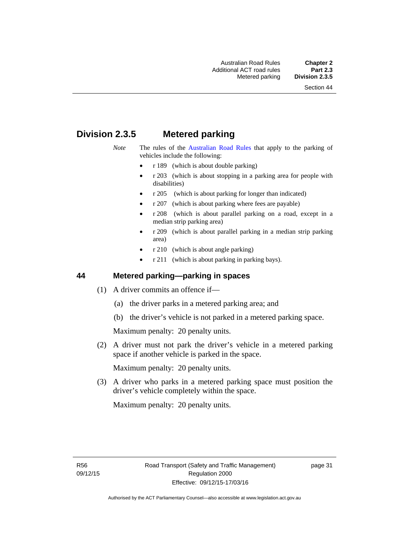# **Division 2.3.5 Metered parking**

- *Note* The rules of the [Australian Road Rules](http://www.legislation.act.gov.au//ni/db_37271/default.asp) that apply to the parking of vehicles include the following:
	- r 189 (which is about double parking)
	- r 203 (which is about stopping in a parking area for people with disabilities)
	- r 205 (which is about parking for longer than indicated)
	- r 207 (which is about parking where fees are payable)
	- r 208 (which is about parallel parking on a road, except in a median strip parking area)
	- r 209 (which is about parallel parking in a median strip parking area)
	- r 210 (which is about angle parking)
	- r 211 (which is about parking in parking bays).

### **44 Metered parking—parking in spaces**

- (1) A driver commits an offence if—
	- (a) the driver parks in a metered parking area; and
	- (b) the driver's vehicle is not parked in a metered parking space.

Maximum penalty: 20 penalty units.

 (2) A driver must not park the driver's vehicle in a metered parking space if another vehicle is parked in the space.

Maximum penalty: 20 penalty units.

 (3) A driver who parks in a metered parking space must position the driver's vehicle completely within the space.

Maximum penalty: 20 penalty units.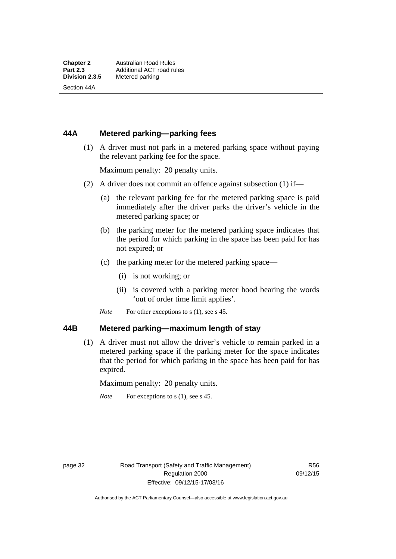Section 44A

### **44A Metered parking—parking fees**

 (1) A driver must not park in a metered parking space without paying the relevant parking fee for the space.

Maximum penalty: 20 penalty units.

- (2) A driver does not commit an offence against subsection (1) if—
	- (a) the relevant parking fee for the metered parking space is paid immediately after the driver parks the driver's vehicle in the metered parking space; or
	- (b) the parking meter for the metered parking space indicates that the period for which parking in the space has been paid for has not expired; or
	- (c) the parking meter for the metered parking space—
		- (i) is not working; or
		- (ii) is covered with a parking meter hood bearing the words 'out of order time limit applies'.
	- *Note* For other exceptions to s (1), see s 45.

#### **44B Metered parking—maximum length of stay**

 (1) A driver must not allow the driver's vehicle to remain parked in a metered parking space if the parking meter for the space indicates that the period for which parking in the space has been paid for has expired.

Maximum penalty: 20 penalty units.

*Note* For exceptions to s (1), see s 45.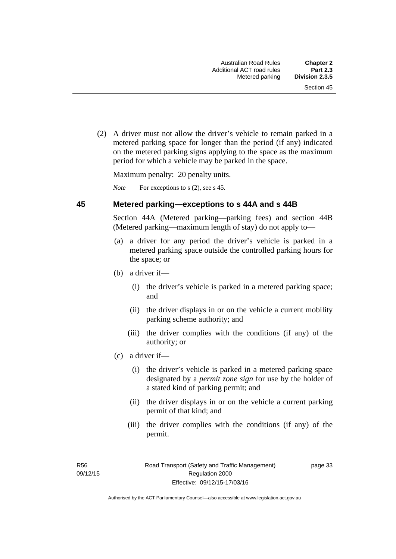(2) A driver must not allow the driver's vehicle to remain parked in a metered parking space for longer than the period (if any) indicated on the metered parking signs applying to the space as the maximum period for which a vehicle may be parked in the space.

Maximum penalty: 20 penalty units.

*Note* For exceptions to s (2), see s 45.

#### **45 Metered parking—exceptions to s 44A and s 44B**

Section 44A (Metered parking—parking fees) and section 44B (Metered parking—maximum length of stay) do not apply to—

- (a) a driver for any period the driver's vehicle is parked in a metered parking space outside the controlled parking hours for the space; or
- (b) a driver if—
	- (i) the driver's vehicle is parked in a metered parking space; and
	- (ii) the driver displays in or on the vehicle a current mobility parking scheme authority; and
	- (iii) the driver complies with the conditions (if any) of the authority; or
- (c) a driver if—
	- (i) the driver's vehicle is parked in a metered parking space designated by a *permit zone sign* for use by the holder of a stated kind of parking permit; and
	- (ii) the driver displays in or on the vehicle a current parking permit of that kind; and
	- (iii) the driver complies with the conditions (if any) of the permit.

R56 09/12/15 page 33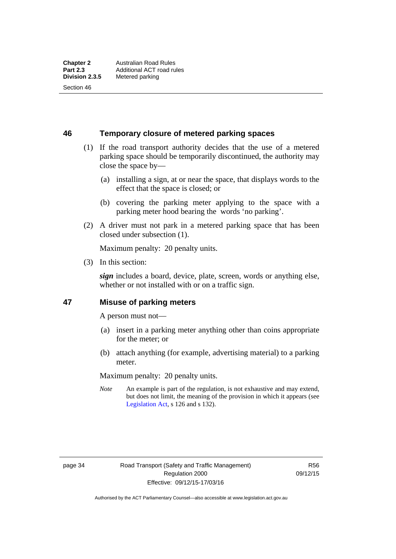Section 46

**46 Temporary closure of metered parking spaces**

- (1) If the road transport authority decides that the use of a metered parking space should be temporarily discontinued, the authority may close the space by—
	- (a) installing a sign, at or near the space, that displays words to the effect that the space is closed; or
	- (b) covering the parking meter applying to the space with a parking meter hood bearing the words 'no parking'.
- (2) A driver must not park in a metered parking space that has been closed under subsection (1).

Maximum penalty: 20 penalty units.

(3) In this section:

*sign* includes a board, device, plate, screen, words or anything else, whether or not installed with or on a traffic sign.

#### **47 Misuse of parking meters**

A person must not—

- (a) insert in a parking meter anything other than coins appropriate for the meter; or
- (b) attach anything (for example, advertising material) to a parking meter.

Maximum penalty: 20 penalty units.

*Note* An example is part of the regulation, is not exhaustive and may extend, but does not limit, the meaning of the provision in which it appears (see [Legislation Act,](http://www.legislation.act.gov.au/a/2001-14) s 126 and s 132).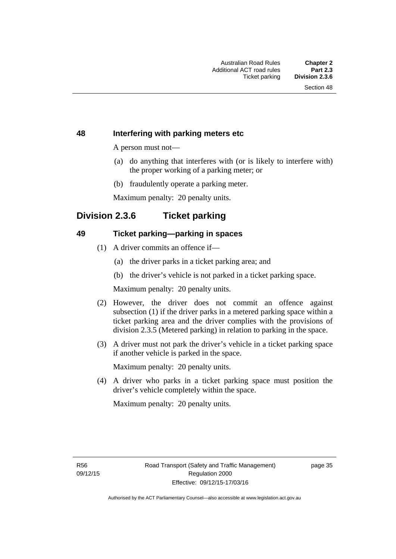#### **48 Interfering with parking meters etc**

A person must not—

- (a) do anything that interferes with (or is likely to interfere with) the proper working of a parking meter; or
- (b) fraudulently operate a parking meter.

Maximum penalty: 20 penalty units.

### **Division 2.3.6 Ticket parking**

#### **49 Ticket parking—parking in spaces**

- (1) A driver commits an offence if—
	- (a) the driver parks in a ticket parking area; and
	- (b) the driver's vehicle is not parked in a ticket parking space.

Maximum penalty: 20 penalty units.

- (2) However, the driver does not commit an offence against subsection (1) if the driver parks in a metered parking space within a ticket parking area and the driver complies with the provisions of division 2.3.5 (Metered parking) in relation to parking in the space.
- (3) A driver must not park the driver's vehicle in a ticket parking space if another vehicle is parked in the space.

Maximum penalty: 20 penalty units.

 (4) A driver who parks in a ticket parking space must position the driver's vehicle completely within the space.

Maximum penalty: 20 penalty units.

R56 09/12/15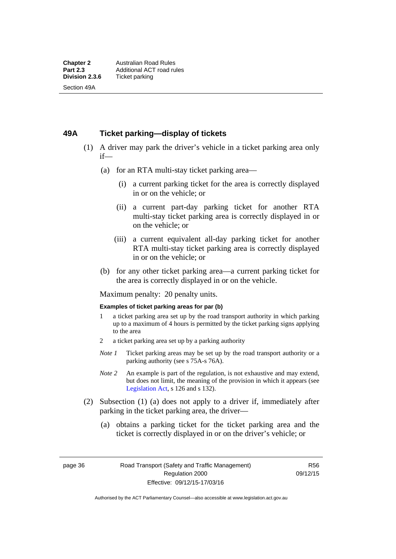#### **49A Ticket parking—display of tickets**

- (1) A driver may park the driver's vehicle in a ticket parking area only if—
	- (a) for an RTA multi-stay ticket parking area—
		- (i) a current parking ticket for the area is correctly displayed in or on the vehicle; or
		- (ii) a current part-day parking ticket for another RTA multi-stay ticket parking area is correctly displayed in or on the vehicle; or
		- (iii) a current equivalent all-day parking ticket for another RTA multi-stay ticket parking area is correctly displayed in or on the vehicle; or
	- (b) for any other ticket parking area—a current parking ticket for the area is correctly displayed in or on the vehicle.

Maximum penalty: 20 penalty units.

#### **Examples of ticket parking areas for par (b)**

- 1 a ticket parking area set up by the road transport authority in which parking up to a maximum of 4 hours is permitted by the ticket parking signs applying to the area
- 2 a ticket parking area set up by a parking authority
- *Note 1* Ticket parking areas may be set up by the road transport authority or a parking authority (see s 75A-s 76A).
- *Note 2* An example is part of the regulation, is not exhaustive and may extend, but does not limit, the meaning of the provision in which it appears (see [Legislation Act,](http://www.legislation.act.gov.au/a/2001-14) s 126 and s 132).
- (2) Subsection (1) (a) does not apply to a driver if, immediately after parking in the ticket parking area, the driver—
	- (a) obtains a parking ticket for the ticket parking area and the ticket is correctly displayed in or on the driver's vehicle; or

page 36 Road Transport (Safety and Traffic Management) Regulation 2000 Effective: 09/12/15-17/03/16

R56 09/12/15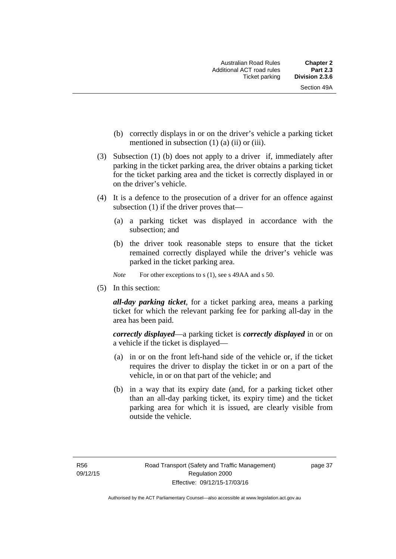- (b) correctly displays in or on the driver's vehicle a parking ticket mentioned in subsection  $(1)$   $(a)$   $(ii)$  or  $(iii)$ .
- (3) Subsection (1) (b) does not apply to a driver if, immediately after parking in the ticket parking area, the driver obtains a parking ticket for the ticket parking area and the ticket is correctly displayed in or on the driver's vehicle.
- (4) It is a defence to the prosecution of a driver for an offence against subsection (1) if the driver proves that—
	- (a) a parking ticket was displayed in accordance with the subsection; and
	- (b) the driver took reasonable steps to ensure that the ticket remained correctly displayed while the driver's vehicle was parked in the ticket parking area.
	- *Note* For other exceptions to s (1), see s 49AA and s 50.
- (5) In this section:

*all-day parking ticket*, for a ticket parking area, means a parking ticket for which the relevant parking fee for parking all-day in the area has been paid.

*correctly displayed*—a parking ticket is *correctly displayed* in or on a vehicle if the ticket is displayed—

- (a) in or on the front left-hand side of the vehicle or, if the ticket requires the driver to display the ticket in or on a part of the vehicle, in or on that part of the vehicle; and
- (b) in a way that its expiry date (and, for a parking ticket other than an all-day parking ticket, its expiry time) and the ticket parking area for which it is issued, are clearly visible from outside the vehicle.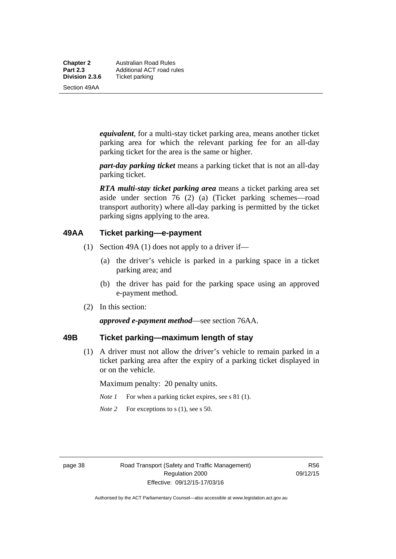**Chapter 2** Australian Road Rules<br>**Part 2.3** Additional ACT road ru **Part 2.3 Additional ACT road rules**<br>**Division 2.3.6** Ticket parking **Ticket parking** 

Section 49AA

*equivalent*, for a multi-stay ticket parking area, means another ticket parking area for which the relevant parking fee for an all-day parking ticket for the area is the same or higher.

*part-day parking ticket* means a parking ticket that is not an all-day parking ticket.

*RTA multi-stay ticket parking area* means a ticket parking area set aside under section 76 (2) (a) (Ticket parking schemes—road transport authority) where all-day parking is permitted by the ticket parking signs applying to the area.

#### **49AA Ticket parking—e-payment**

- (1) Section 49A (1) does not apply to a driver if—
	- (a) the driver's vehicle is parked in a parking space in a ticket parking area; and
	- (b) the driver has paid for the parking space using an approved e-payment method.
- (2) In this section:

*approved e-payment method*—see section 76AA.

### **49B Ticket parking—maximum length of stay**

(1) A driver must not allow the driver's vehicle to remain parked in a ticket parking area after the expiry of a parking ticket displayed in or on the vehicle.

Maximum penalty: 20 penalty units.

- *Note 1* For when a parking ticket expires, see s 81 (1).
- *Note* 2 For exceptions to s (1), see s 50.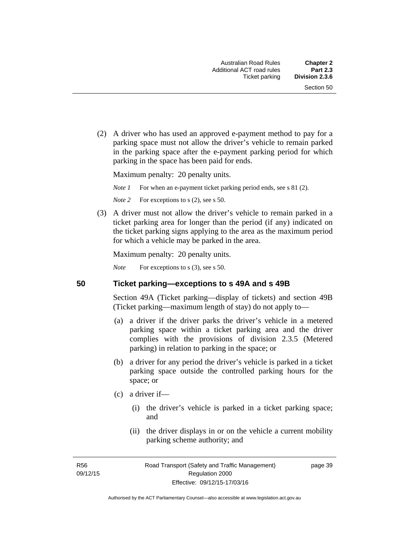(2) A driver who has used an approved e-payment method to pay for a parking space must not allow the driver's vehicle to remain parked in the parking space after the e-payment parking period for which parking in the space has been paid for ends.

Maximum penalty: 20 penalty units.

*Note 1* For when an e-payment ticket parking period ends, see s 81 (2).

*Note* 2 For exceptions to s (2), see s 50.

 (3) A driver must not allow the driver's vehicle to remain parked in a ticket parking area for longer than the period (if any) indicated on the ticket parking signs applying to the area as the maximum period for which a vehicle may be parked in the area.

Maximum penalty: 20 penalty units.

*Note* For exceptions to s (3), see s 50.

**50 Ticket parking—exceptions to s 49A and s 49B** 

Section 49A (Ticket parking—display of tickets) and section 49B (Ticket parking—maximum length of stay) do not apply to—

- (a) a driver if the driver parks the driver's vehicle in a metered parking space within a ticket parking area and the driver complies with the provisions of division 2.3.5 (Metered parking) in relation to parking in the space; or
- (b) a driver for any period the driver's vehicle is parked in a ticket parking space outside the controlled parking hours for the space; or
- (c) a driver if—
	- (i) the driver's vehicle is parked in a ticket parking space; and
	- (ii) the driver displays in or on the vehicle a current mobility parking scheme authority; and

R56 09/12/15 page 39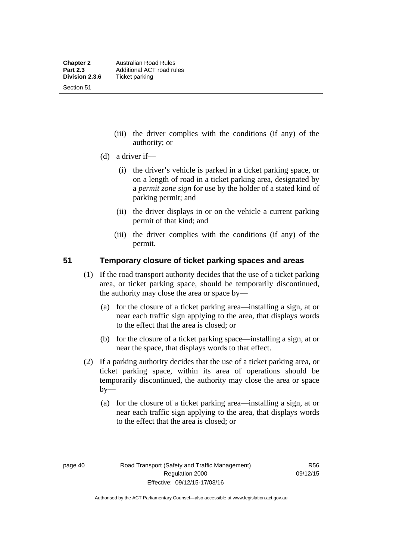Section 51

- (iii) the driver complies with the conditions (if any) of the authority; or
- (d) a driver if—
	- (i) the driver's vehicle is parked in a ticket parking space, or on a length of road in a ticket parking area, designated by a *permit zone sign* for use by the holder of a stated kind of parking permit; and
	- (ii) the driver displays in or on the vehicle a current parking permit of that kind; and
	- (iii) the driver complies with the conditions (if any) of the permit.

#### **51 Temporary closure of ticket parking spaces and areas**

- (1) If the road transport authority decides that the use of a ticket parking area, or ticket parking space, should be temporarily discontinued, the authority may close the area or space by—
	- (a) for the closure of a ticket parking area—installing a sign, at or near each traffic sign applying to the area, that displays words to the effect that the area is closed; or
	- (b) for the closure of a ticket parking space—installing a sign, at or near the space, that displays words to that effect.
- (2) If a parking authority decides that the use of a ticket parking area, or ticket parking space, within its area of operations should be temporarily discontinued, the authority may close the area or space  $by-$ 
	- (a) for the closure of a ticket parking area—installing a sign, at or near each traffic sign applying to the area, that displays words to the effect that the area is closed; or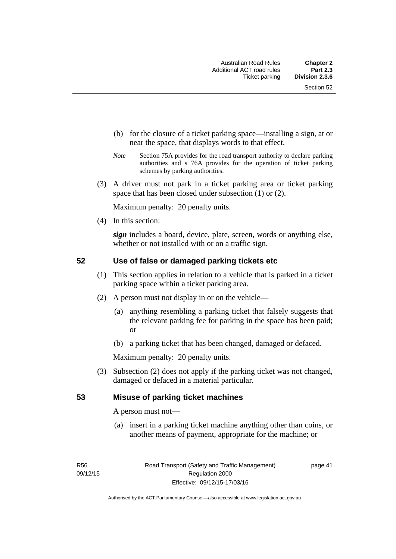- (b) for the closure of a ticket parking space—installing a sign, at or near the space, that displays words to that effect.
- *Note* Section 75A provides for the road transport authority to declare parking authorities and s 76A provides for the operation of ticket parking schemes by parking authorities.
- (3) A driver must not park in a ticket parking area or ticket parking space that has been closed under subsection (1) or (2).

Maximum penalty: 20 penalty units.

(4) In this section:

*sign* includes a board, device, plate, screen, words or anything else, whether or not installed with or on a traffic sign.

#### **52 Use of false or damaged parking tickets etc**

- (1) This section applies in relation to a vehicle that is parked in a ticket parking space within a ticket parking area.
- (2) A person must not display in or on the vehicle—
	- (a) anything resembling a parking ticket that falsely suggests that the relevant parking fee for parking in the space has been paid; or
	- (b) a parking ticket that has been changed, damaged or defaced.

Maximum penalty: 20 penalty units.

 (3) Subsection (2) does not apply if the parking ticket was not changed, damaged or defaced in a material particular.

#### **53 Misuse of parking ticket machines**

A person must not—

(a) insert in a parking ticket machine anything other than coins, or another means of payment, appropriate for the machine; or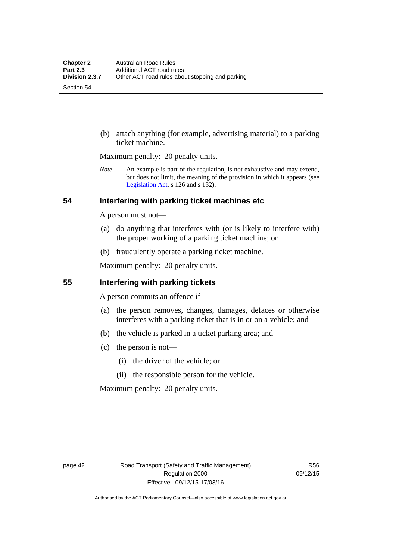Section 54

 (b) attach anything (for example, advertising material) to a parking ticket machine.

Maximum penalty: 20 penalty units.

*Note* An example is part of the regulation, is not exhaustive and may extend, but does not limit, the meaning of the provision in which it appears (see [Legislation Act,](http://www.legislation.act.gov.au/a/2001-14) s 126 and s 132).

#### **54 Interfering with parking ticket machines etc**

A person must not—

- (a) do anything that interferes with (or is likely to interfere with) the proper working of a parking ticket machine; or
- (b) fraudulently operate a parking ticket machine.

Maximum penalty: 20 penalty units.

#### **55 Interfering with parking tickets**

A person commits an offence if—

- (a) the person removes, changes, damages, defaces or otherwise interferes with a parking ticket that is in or on a vehicle; and
- (b) the vehicle is parked in a ticket parking area; and
- (c) the person is not—
	- (i) the driver of the vehicle; or
	- (ii) the responsible person for the vehicle.

Maximum penalty: 20 penalty units.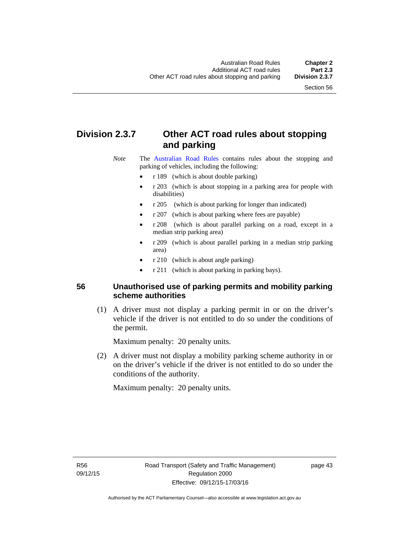# **Division 2.3.7 Other ACT road rules about stopping and parking**

*Note* The [Australian Road Rules](http://www.legislation.act.gov.au//ni/db_37271/default.asp) contains rules about the stopping and parking of vehicles, including the following:

- r 189 (which is about double parking)
- r 203 (which is about stopping in a parking area for people with disabilities)
- r 205 (which is about parking for longer than indicated)
- r 207 (which is about parking where fees are payable)
- r 208 (which is about parallel parking on a road, except in a median strip parking area)
- r 209 (which is about parallel parking in a median strip parking area)
- r 210 (which is about angle parking)
- r 211 (which is about parking in parking bays).

### **56 Unauthorised use of parking permits and mobility parking scheme authorities**

 (1) A driver must not display a parking permit in or on the driver's vehicle if the driver is not entitled to do so under the conditions of the permit.

Maximum penalty: 20 penalty units.

 (2) A driver must not display a mobility parking scheme authority in or on the driver's vehicle if the driver is not entitled to do so under the conditions of the authority.

Maximum penalty: 20 penalty units.

R56 09/12/15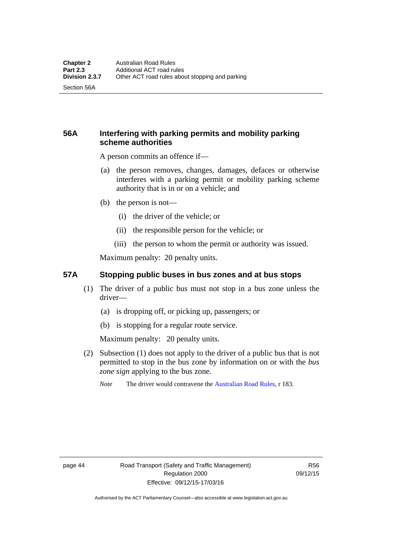Section 56A

### **56A Interfering with parking permits and mobility parking scheme authorities**

A person commits an offence if—

- (a) the person removes, changes, damages, defaces or otherwise interferes with a parking permit or mobility parking scheme authority that is in or on a vehicle; and
- (b) the person is not—
	- (i) the driver of the vehicle; or
	- (ii) the responsible person for the vehicle; or
	- (iii) the person to whom the permit or authority was issued.

Maximum penalty: 20 penalty units.

#### **57A Stopping public buses in bus zones and at bus stops**

- (1) The driver of a public bus must not stop in a bus zone unless the driver—
	- (a) is dropping off, or picking up, passengers; or
	- (b) is stopping for a regular route service.

Maximum penalty: 20 penalty units.

- (2) Subsection (1) does not apply to the driver of a public bus that is not permitted to stop in the bus zone by information on or with the *bus zone sign* applying to the bus zone.
	- *Note* The driver would contravene the [Australian Road Rules,](http://www.legislation.act.gov.au//ni/db_37271/default.asp) r 183.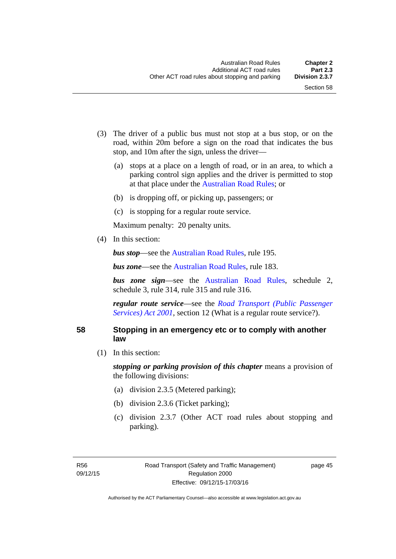- (3) The driver of a public bus must not stop at a bus stop, or on the road, within 20m before a sign on the road that indicates the bus stop, and 10m after the sign, unless the driver—
	- (a) stops at a place on a length of road, or in an area, to which a parking control sign applies and the driver is permitted to stop at that place under the [Australian Road Rules;](http://www.legislation.act.gov.au//ni/db_37271/default.asp) or
	- (b) is dropping off, or picking up, passengers; or
	- (c) is stopping for a regular route service.

Maximum penalty: 20 penalty units.

(4) In this section:

*bus stop***—see the [Australian Road Rules](http://www.legislation.act.gov.au//ni/db_37271/default.asp)**, rule 195.

*bus zone***—see the Australian Road Rules**, rule 183.

*bus zone sign*—see the [Australian Road Rules,](http://www.legislation.act.gov.au//ni/db_37271/default.asp) schedule 2, schedule 3, rule 314, rule 315 and rule 316.

*regular route service*—see the *[Road Transport \(Public Passenger](http://www.legislation.act.gov.au/a/2001-62)  Services*) *Act 2001*, section 12 (What is a regular route service?).

#### **58 Stopping in an emergency etc or to comply with another law**

(1) In this section:

*stopping or parking provision of this chapter* means a provision of the following divisions:

- (a) division 2.3.5 (Metered parking);
- (b) division 2.3.6 (Ticket parking);
- (c) division 2.3.7 (Other ACT road rules about stopping and parking).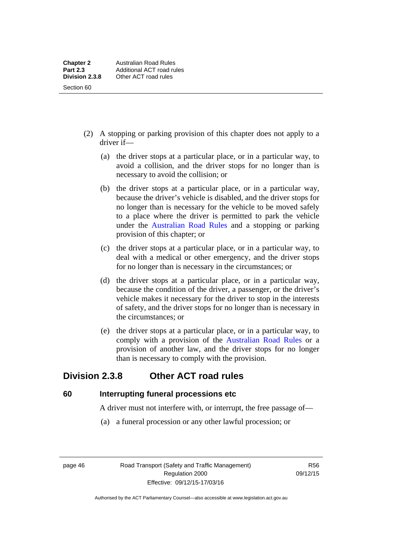- (2) A stopping or parking provision of this chapter does not apply to a driver if—
	- (a) the driver stops at a particular place, or in a particular way, to avoid a collision, and the driver stops for no longer than is necessary to avoid the collision; or
	- (b) the driver stops at a particular place, or in a particular way, because the driver's vehicle is disabled, and the driver stops for no longer than is necessary for the vehicle to be moved safely to a place where the driver is permitted to park the vehicle under the [Australian Road Rules](http://www.legislation.act.gov.au//ni/db_37271/default.asp) and a stopping or parking provision of this chapter; or
	- (c) the driver stops at a particular place, or in a particular way, to deal with a medical or other emergency, and the driver stops for no longer than is necessary in the circumstances; or
	- (d) the driver stops at a particular place, or in a particular way, because the condition of the driver, a passenger, or the driver's vehicle makes it necessary for the driver to stop in the interests of safety, and the driver stops for no longer than is necessary in the circumstances; or
	- (e) the driver stops at a particular place, or in a particular way, to comply with a provision of the [Australian Road Rules](http://www.legislation.act.gov.au//ni/db_37271/default.asp) or a provision of another law, and the driver stops for no longer than is necessary to comply with the provision.

## **Division 2.3.8 Other ACT road rules**

**60 Interrupting funeral processions etc**

A driver must not interfere with, or interrupt, the free passage of—

(a) a funeral procession or any other lawful procession; or

page 46 Road Transport (Safety and Traffic Management) Regulation 2000 Effective: 09/12/15-17/03/16

R56 09/12/15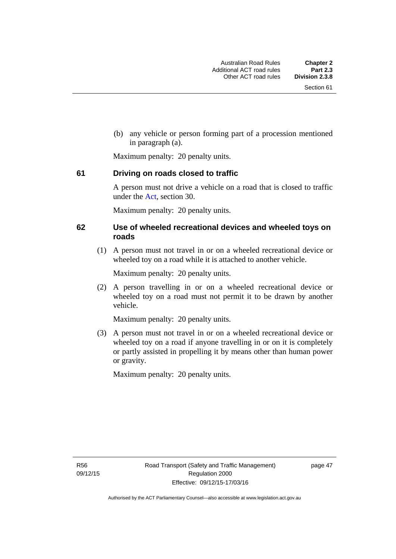(b) any vehicle or person forming part of a procession mentioned in paragraph (a).

Maximum penalty: 20 penalty units.

#### **61 Driving on roads closed to traffic**

A person must not drive a vehicle on a road that is closed to traffic under the [Act](http://www.legislation.act.gov.au/a/1999-80/default.asp), section 30.

Maximum penalty: 20 penalty units.

#### **62 Use of wheeled recreational devices and wheeled toys on roads**

 (1) A person must not travel in or on a wheeled recreational device or wheeled toy on a road while it is attached to another vehicle.

Maximum penalty: 20 penalty units.

 (2) A person travelling in or on a wheeled recreational device or wheeled toy on a road must not permit it to be drawn by another vehicle.

Maximum penalty: 20 penalty units.

 (3) A person must not travel in or on a wheeled recreational device or wheeled toy on a road if anyone travelling in or on it is completely or partly assisted in propelling it by means other than human power or gravity.

Maximum penalty: 20 penalty units.

R56 09/12/15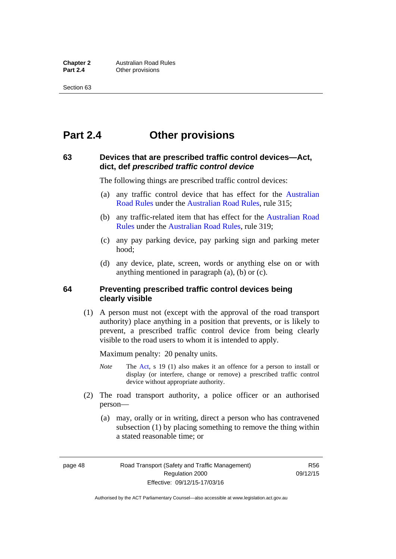# **Part 2.4 Other provisions**

#### **63 Devices that are prescribed traffic control devices—Act, dict, def** *prescribed traffic control device*

The following things are prescribed traffic control devices:

- (a) any traffic control device that has effect for the [Australian](http://www.legislation.act.gov.au//ni/db_37271/default.asp)  [Road Rules](http://www.legislation.act.gov.au//ni/db_37271/default.asp) under the [Australian Road Rules](http://www.legislation.act.gov.au//ni/db_37271/default.asp), rule 315;
- (b) any traffic-related item that has effect for the [Australian Road](http://www.legislation.act.gov.au//ni/db_37271/default.asp)  [Rules](http://www.legislation.act.gov.au//ni/db_37271/default.asp) under the [Australian Road Rules,](http://www.legislation.act.gov.au//ni/db_37271/default.asp) rule 319;
- (c) any pay parking device, pay parking sign and parking meter hood;
- (d) any device, plate, screen, words or anything else on or with anything mentioned in paragraph (a), (b) or (c).

#### **64 Preventing prescribed traffic control devices being clearly visible**

 (1) A person must not (except with the approval of the road transport authority) place anything in a position that prevents, or is likely to prevent, a prescribed traffic control device from being clearly visible to the road users to whom it is intended to apply.

Maximum penalty: 20 penalty units.

- *Note* The [Act](http://www.legislation.act.gov.au/a/1999-80/default.asp), s 19 (1) also makes it an offence for a person to install or display (or interfere, change or remove) a prescribed traffic control device without appropriate authority.
- (2) The road transport authority, a police officer or an authorised person—
	- (a) may, orally or in writing, direct a person who has contravened subsection (1) by placing something to remove the thing within a stated reasonable time; or

page 48 Road Transport (Safety and Traffic Management) Regulation 2000 Effective: 09/12/15-17/03/16

R56 09/12/15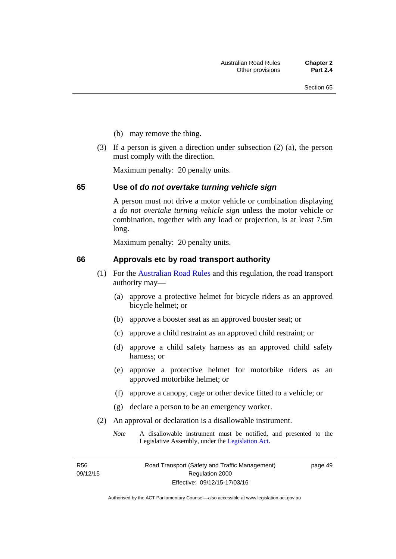- (b) may remove the thing.
- (3) If a person is given a direction under subsection (2) (a), the person must comply with the direction.

Maximum penalty: 20 penalty units.

#### **65 Use of** *do not overtake turning vehicle sign*

A person must not drive a motor vehicle or combination displaying a *do not overtake turning vehicle sign* unless the motor vehicle or combination, together with any load or projection, is at least 7.5m long.

Maximum penalty: 20 penalty units.

#### **66 Approvals etc by road transport authority**

- (1) For the [Australian Road Rules](http://www.legislation.act.gov.au//ni/db_37271/default.asp) and this regulation, the road transport authority may—
	- (a) approve a protective helmet for bicycle riders as an approved bicycle helmet; or
	- (b) approve a booster seat as an approved booster seat; or
	- (c) approve a child restraint as an approved child restraint; or
	- (d) approve a child safety harness as an approved child safety harness; or
	- (e) approve a protective helmet for motorbike riders as an approved motorbike helmet; or
	- (f) approve a canopy, cage or other device fitted to a vehicle; or
	- (g) declare a person to be an emergency worker.
- (2) An approval or declaration is a disallowable instrument.
	- *Note* A disallowable instrument must be notified, and presented to the Legislative Assembly, under the [Legislation Act.](http://www.legislation.act.gov.au/a/2001-14)

R56 09/12/15 page 49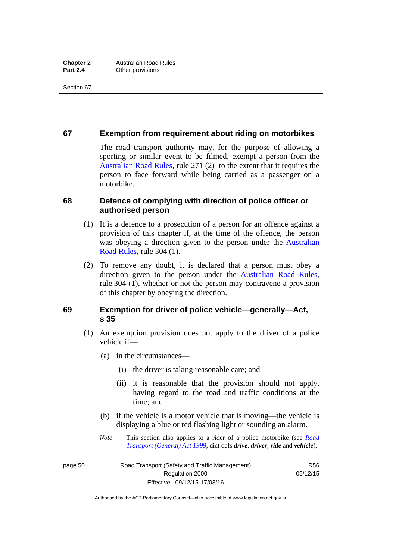#### **67 Exemption from requirement about riding on motorbikes**

The road transport authority may, for the purpose of allowing a sporting or similar event to be filmed, exempt a person from the [Australian Road Rules](http://www.legislation.act.gov.au//ni/db_37271/default.asp), rule 271 (2) to the extent that it requires the person to face forward while being carried as a passenger on a motorbike.

#### **68 Defence of complying with direction of police officer or authorised person**

- (1) It is a defence to a prosecution of a person for an offence against a provision of this chapter if, at the time of the offence, the person was obeying a direction given to the person under the [Australian](http://www.legislation.act.gov.au//ni/db_37271/default.asp)  [Road Rules,](http://www.legislation.act.gov.au//ni/db_37271/default.asp) rule 304 (1).
- (2) To remove any doubt, it is declared that a person must obey a direction given to the person under the [Australian Road Rules](http://www.legislation.act.gov.au//ni/db_37271/default.asp), rule 304 (1), whether or not the person may contravene a provision of this chapter by obeying the direction.

#### **69 Exemption for driver of police vehicle—generally—Act, s 35**

- (1) An exemption provision does not apply to the driver of a police vehicle if—
	- (a) in the circumstances—
		- (i) the driver is taking reasonable care; and
		- (ii) it is reasonable that the provision should not apply, having regard to the road and traffic conditions at the time; and
	- (b) if the vehicle is a motor vehicle that is moving—the vehicle is displaying a blue or red flashing light or sounding an alarm.
	- *Note* This section also applies to a rider of a police motorbike (see *[Road](http://www.legislation.act.gov.au/a/1999-77)  [Transport \(General\) Act 1999](http://www.legislation.act.gov.au/a/1999-77)*, dict defs *drive*, *driver*, *ride* and *vehicle*).

page 50 Road Transport (Safety and Traffic Management) Regulation 2000 Effective: 09/12/15-17/03/16

R56 09/12/15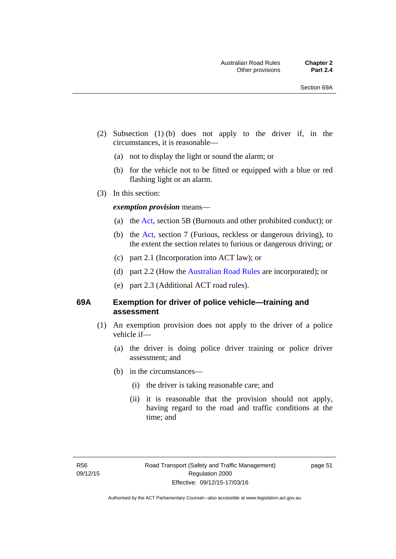- (2) Subsection (1) (b) does not apply to the driver if, in the circumstances, it is reasonable—
	- (a) not to display the light or sound the alarm; or
	- (b) for the vehicle not to be fitted or equipped with a blue or red flashing light or an alarm.
- (3) In this section:

#### *exemption provision* means—

- (a) the [Act](http://www.legislation.act.gov.au/a/1999-80/default.asp), section 5B (Burnouts and other prohibited conduct); or
- (b) the [Act](http://www.legislation.act.gov.au/a/1999-80/default.asp), section 7 (Furious, reckless or dangerous driving), to the extent the section relates to furious or dangerous driving; or
- (c) part 2.1 (Incorporation into ACT law); or
- (d) part 2.2 (How the [Australian Road Rules](http://www.legislation.act.gov.au//ni/db_37271/default.asp) are incorporated); or
- (e) part 2.3 (Additional ACT road rules).

#### **69A Exemption for driver of police vehicle—training and assessment**

- (1) An exemption provision does not apply to the driver of a police vehicle if—
	- (a) the driver is doing police driver training or police driver assessment; and
	- (b) in the circumstances—
		- (i) the driver is taking reasonable care; and
		- (ii) it is reasonable that the provision should not apply, having regard to the road and traffic conditions at the time; and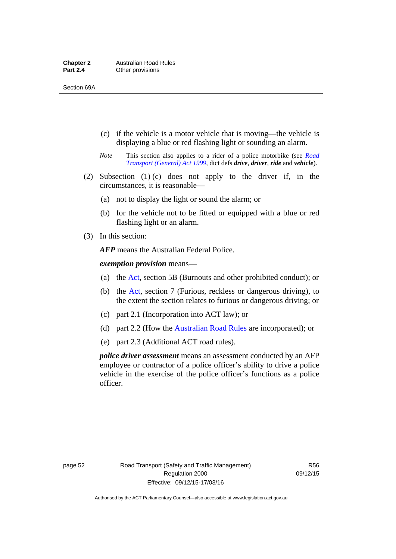- (c) if the vehicle is a motor vehicle that is moving—the vehicle is displaying a blue or red flashing light or sounding an alarm.
- *Note* This section also applies to a rider of a police motorbike (see *[Road](http://www.legislation.act.gov.au/a/1999-77)  [Transport \(General\) Act 1999](http://www.legislation.act.gov.au/a/1999-77)*, dict defs *drive*, *driver*, *ride* and *vehicle*).
- (2) Subsection (1) (c) does not apply to the driver if, in the circumstances, it is reasonable—
	- (a) not to display the light or sound the alarm; or
	- (b) for the vehicle not to be fitted or equipped with a blue or red flashing light or an alarm.
- (3) In this section:

*AFP* means the Australian Federal Police.

*exemption provision* means—

- (a) the [Act,](http://www.legislation.act.gov.au/a/1999-80/default.asp) section 5B (Burnouts and other prohibited conduct); or
- (b) the [Act](http://www.legislation.act.gov.au/a/1999-80/default.asp), section 7 (Furious, reckless or dangerous driving), to the extent the section relates to furious or dangerous driving; or
- (c) part 2.1 (Incorporation into ACT law); or
- (d) part 2.2 (How the [Australian Road Rules](http://www.legislation.act.gov.au//ni/db_37271/default.asp) are incorporated); or
- (e) part 2.3 (Additional ACT road rules).

*police driver assessment* means an assessment conducted by an AFP employee or contractor of a police officer's ability to drive a police vehicle in the exercise of the police officer's functions as a police officer.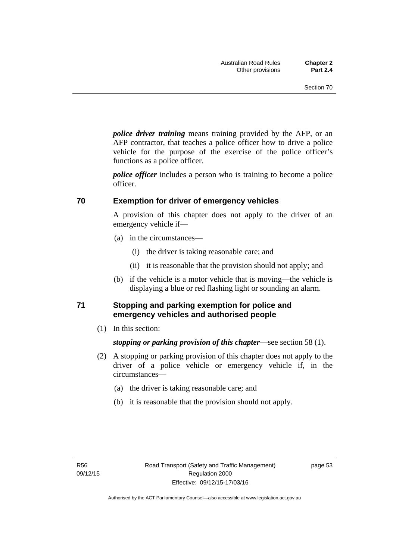*police driver training* means training provided by the AFP, or an AFP contractor, that teaches a police officer how to drive a police vehicle for the purpose of the exercise of the police officer's functions as a police officer.

*police officer* includes a person who is training to become a police officer.

#### **70 Exemption for driver of emergency vehicles**

A provision of this chapter does not apply to the driver of an emergency vehicle if—

- (a) in the circumstances—
	- (i) the driver is taking reasonable care; and
	- (ii) it is reasonable that the provision should not apply; and
- (b) if the vehicle is a motor vehicle that is moving—the vehicle is displaying a blue or red flashing light or sounding an alarm.

#### **71 Stopping and parking exemption for police and emergency vehicles and authorised people**

(1) In this section:

*stopping or parking provision of this chapter*—see section 58 (1).

- (2) A stopping or parking provision of this chapter does not apply to the driver of a police vehicle or emergency vehicle if, in the circumstances—
	- (a) the driver is taking reasonable care; and
	- (b) it is reasonable that the provision should not apply.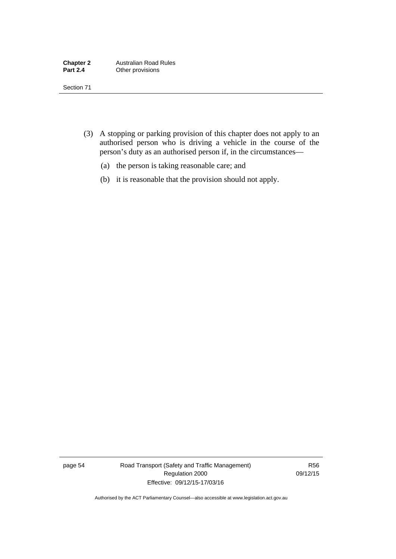- (3) A stopping or parking provision of this chapter does not apply to an authorised person who is driving a vehicle in the course of the person's duty as an authorised person if, in the circumstances—
	- (a) the person is taking reasonable care; and
	- (b) it is reasonable that the provision should not apply.

page 54 Road Transport (Safety and Traffic Management) Regulation 2000 Effective: 09/12/15-17/03/16

R56 09/12/15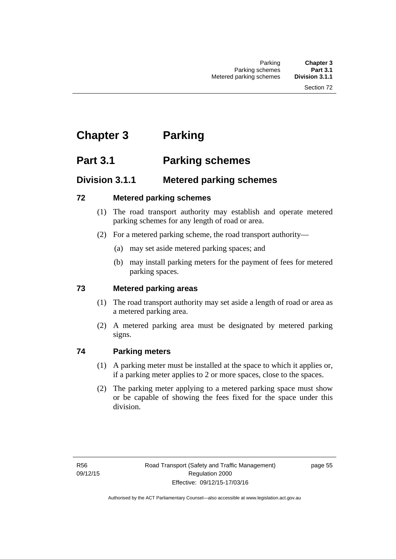# **Chapter 3 Parking**

# **Part 3.1 Parking schemes**

### **Division 3.1.1 Metered parking schemes**

### **72 Metered parking schemes**

- (1) The road transport authority may establish and operate metered parking schemes for any length of road or area.
- (2) For a metered parking scheme, the road transport authority—
	- (a) may set aside metered parking spaces; and
	- (b) may install parking meters for the payment of fees for metered parking spaces.

### **73 Metered parking areas**

- (1) The road transport authority may set aside a length of road or area as a metered parking area.
- (2) A metered parking area must be designated by metered parking signs.

### **74 Parking meters**

- (1) A parking meter must be installed at the space to which it applies or, if a parking meter applies to 2 or more spaces, close to the spaces.
- (2) The parking meter applying to a metered parking space must show or be capable of showing the fees fixed for the space under this division.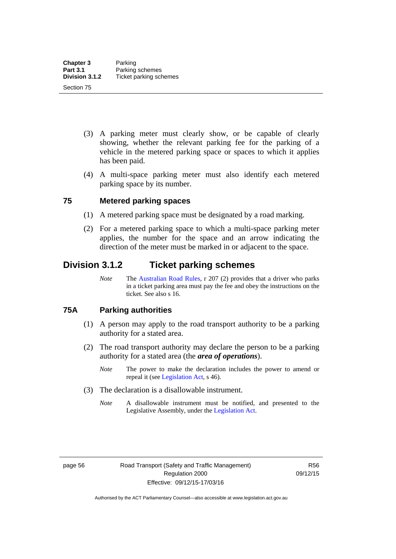- (3) A parking meter must clearly show, or be capable of clearly showing, whether the relevant parking fee for the parking of a vehicle in the metered parking space or spaces to which it applies has been paid.
- (4) A multi-space parking meter must also identify each metered parking space by its number.

# **75 Metered parking spaces**

- (1) A metered parking space must be designated by a road marking.
- (2) For a metered parking space to which a multi-space parking meter applies, the number for the space and an arrow indicating the direction of the meter must be marked in or adjacent to the space.

# **Division 3.1.2 Ticket parking schemes**

*Note* The [Australian Road Rules](http://www.legislation.act.gov.au//ni/db_37271/default.asp), r 207 (2) provides that a driver who parks in a ticket parking area must pay the fee and obey the instructions on the ticket. See also s 16.

### **75A Parking authorities**

- (1) A person may apply to the road transport authority to be a parking authority for a stated area.
- (2) The road transport authority may declare the person to be a parking authority for a stated area (the *area of operations*).
	- *Note* The power to make the declaration includes the power to amend or repeal it (see [Legislation Act,](http://www.legislation.act.gov.au/a/2001-14) s 46).
- (3) The declaration is a disallowable instrument.
	- *Note* A disallowable instrument must be notified, and presented to the Legislative Assembly, under the [Legislation Act.](http://www.legislation.act.gov.au/a/2001-14)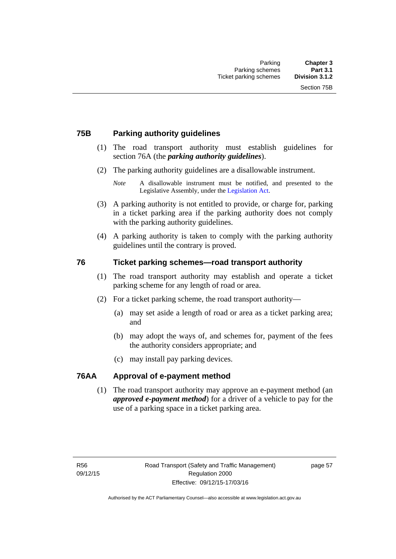# **75B Parking authority guidelines**

- (1) The road transport authority must establish guidelines for section 76A (the *parking authority guidelines*).
- (2) The parking authority guidelines are a disallowable instrument.

- (3) A parking authority is not entitled to provide, or charge for, parking in a ticket parking area if the parking authority does not comply with the parking authority guidelines.
- (4) A parking authority is taken to comply with the parking authority guidelines until the contrary is proved.

# **76 Ticket parking schemes—road transport authority**

- (1) The road transport authority may establish and operate a ticket parking scheme for any length of road or area.
- (2) For a ticket parking scheme, the road transport authority—
	- (a) may set aside a length of road or area as a ticket parking area; and
	- (b) may adopt the ways of, and schemes for, payment of the fees the authority considers appropriate; and
	- (c) may install pay parking devices.

### **76AA Approval of e-payment method**

(1) The road transport authority may approve an e-payment method (an *approved e-payment method*) for a driver of a vehicle to pay for the use of a parking space in a ticket parking area.

*Note* A disallowable instrument must be notified, and presented to the Legislative Assembly, under the [Legislation Act.](http://www.legislation.act.gov.au/a/2001-14)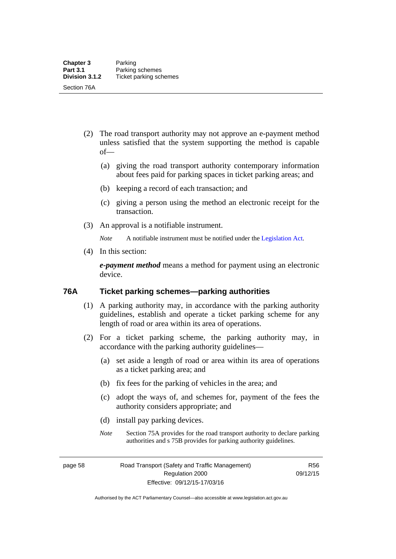- (2) The road transport authority may not approve an e-payment method unless satisfied that the system supporting the method is capable of—
	- (a) giving the road transport authority contemporary information about fees paid for parking spaces in ticket parking areas; and
	- (b) keeping a record of each transaction; and
	- (c) giving a person using the method an electronic receipt for the transaction.
- (3) An approval is a notifiable instrument.

*Note* A notifiable instrument must be notified under the [Legislation Act](http://www.legislation.act.gov.au/a/2001-14).

(4) In this section:

*e-payment method* means a method for payment using an electronic device.

### **76A Ticket parking schemes—parking authorities**

- (1) A parking authority may, in accordance with the parking authority guidelines, establish and operate a ticket parking scheme for any length of road or area within its area of operations.
- (2) For a ticket parking scheme, the parking authority may, in accordance with the parking authority guidelines—
	- (a) set aside a length of road or area within its area of operations as a ticket parking area; and
	- (b) fix fees for the parking of vehicles in the area; and
	- (c) adopt the ways of, and schemes for, payment of the fees the authority considers appropriate; and
	- (d) install pay parking devices.
	- *Note* Section 75A provides for the road transport authority to declare parking authorities and s 75B provides for parking authority guidelines.

page 58 Road Transport (Safety and Traffic Management) Regulation 2000 Effective: 09/12/15-17/03/16

R56 09/12/15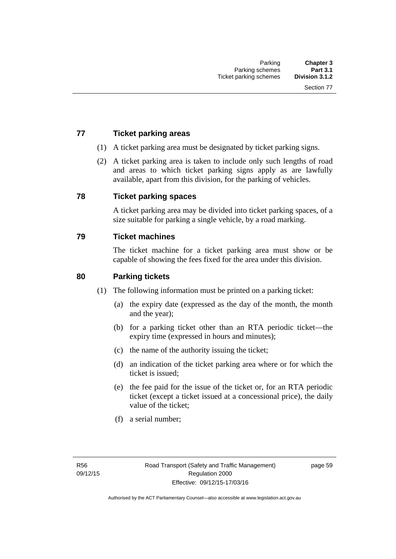# **77 Ticket parking areas**

- (1) A ticket parking area must be designated by ticket parking signs.
- (2) A ticket parking area is taken to include only such lengths of road and areas to which ticket parking signs apply as are lawfully available, apart from this division, for the parking of vehicles.

### **78 Ticket parking spaces**

A ticket parking area may be divided into ticket parking spaces, of a size suitable for parking a single vehicle, by a road marking.

### **79 Ticket machines**

The ticket machine for a ticket parking area must show or be capable of showing the fees fixed for the area under this division.

### **80 Parking tickets**

- (1) The following information must be printed on a parking ticket:
	- (a) the expiry date (expressed as the day of the month, the month and the year);
	- (b) for a parking ticket other than an RTA periodic ticket—the expiry time (expressed in hours and minutes);
	- (c) the name of the authority issuing the ticket;
	- (d) an indication of the ticket parking area where or for which the ticket is issued;
	- (e) the fee paid for the issue of the ticket or, for an RTA periodic ticket (except a ticket issued at a concessional price), the daily value of the ticket;
	- (f) a serial number;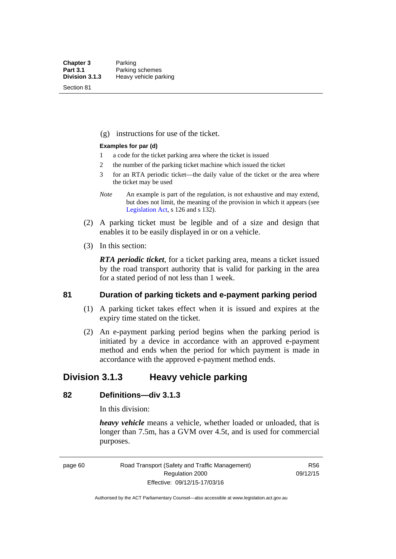Section 81

(g) instructions for use of the ticket.

### **Examples for par (d)**

- 1 a code for the ticket parking area where the ticket is issued
- 2 the number of the parking ticket machine which issued the ticket
- 3 for an RTA periodic ticket—the daily value of the ticket or the area where the ticket may be used
- *Note* An example is part of the regulation, is not exhaustive and may extend, but does not limit, the meaning of the provision in which it appears (see [Legislation Act,](http://www.legislation.act.gov.au/a/2001-14) s 126 and s 132).
- (2) A parking ticket must be legible and of a size and design that enables it to be easily displayed in or on a vehicle.
- (3) In this section:

*RTA periodic ticket*, for a ticket parking area, means a ticket issued by the road transport authority that is valid for parking in the area for a stated period of not less than 1 week.

### **81 Duration of parking tickets and e-payment parking period**

- (1) A parking ticket takes effect when it is issued and expires at the expiry time stated on the ticket.
- (2) An e-payment parking period begins when the parking period is initiated by a device in accordance with an approved e-payment method and ends when the period for which payment is made in accordance with the approved e-payment method ends.

# **Division 3.1.3 Heavy vehicle parking**

# **82 Definitions—div 3.1.3**

In this division:

*heavy vehicle* means a vehicle, whether loaded or unloaded, that is longer than 7.5m, has a GVM over 4.5t, and is used for commercial purposes.

page 60 Road Transport (Safety and Traffic Management) Regulation 2000 Effective: 09/12/15-17/03/16

R56 09/12/15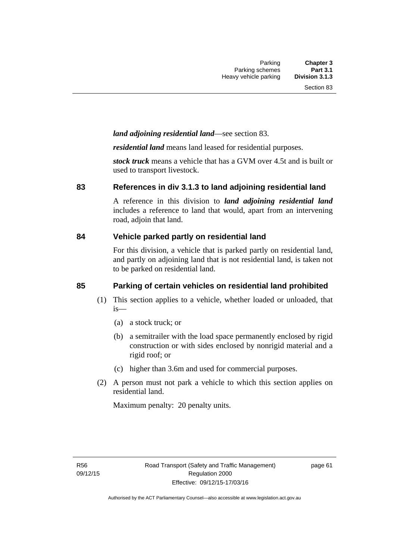# *land adjoining residential land*—see section 83.

*residential land* means land leased for residential purposes.

*stock truck* means a vehicle that has a GVM over 4.5t and is built or used to transport livestock.

### **83 References in div 3.1.3 to land adjoining residential land**

A reference in this division to *land adjoining residential land* includes a reference to land that would, apart from an intervening road, adjoin that land.

### **84 Vehicle parked partly on residential land**

For this division, a vehicle that is parked partly on residential land, and partly on adjoining land that is not residential land, is taken not to be parked on residential land.

# **85 Parking of certain vehicles on residential land prohibited**

- (1) This section applies to a vehicle, whether loaded or unloaded, that is—
	- (a) a stock truck; or
	- (b) a semitrailer with the load space permanently enclosed by rigid construction or with sides enclosed by nonrigid material and a rigid roof; or
	- (c) higher than 3.6m and used for commercial purposes.
- (2) A person must not park a vehicle to which this section applies on residential land.

Maximum penalty: 20 penalty units.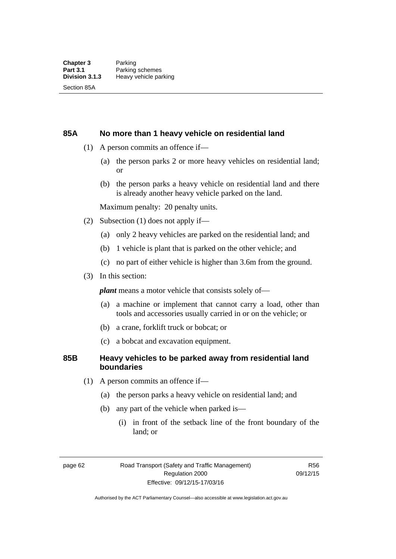### **85A No more than 1 heavy vehicle on residential land**

- (1) A person commits an offence if—
	- (a) the person parks 2 or more heavy vehicles on residential land; or
	- (b) the person parks a heavy vehicle on residential land and there is already another heavy vehicle parked on the land.

Maximum penalty: 20 penalty units.

- (2) Subsection (1) does not apply if—
	- (a) only 2 heavy vehicles are parked on the residential land; and
	- (b) 1 vehicle is plant that is parked on the other vehicle; and
	- (c) no part of either vehicle is higher than 3.6m from the ground.
- (3) In this section:

*plant* means a motor vehicle that consists solely of—

- (a) a machine or implement that cannot carry a load, other than tools and accessories usually carried in or on the vehicle; or
- (b) a crane, forklift truck or bobcat; or
- (c) a bobcat and excavation equipment.

### **85B Heavy vehicles to be parked away from residential land boundaries**

- (1) A person commits an offence if—
	- (a) the person parks a heavy vehicle on residential land; and
	- (b) any part of the vehicle when parked is—
		- (i) in front of the setback line of the front boundary of the land; or

page 62 Road Transport (Safety and Traffic Management) Regulation 2000 Effective: 09/12/15-17/03/16

R56 09/12/15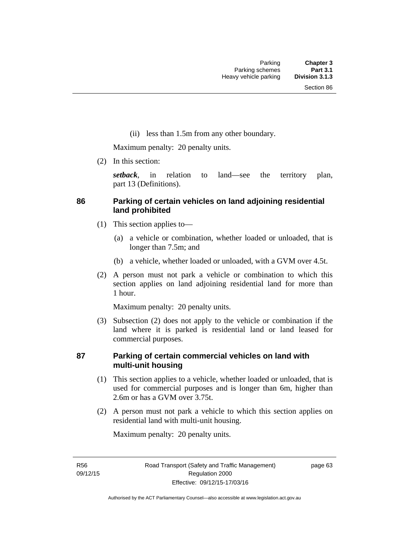(ii) less than 1.5m from any other boundary.

Maximum penalty: 20 penalty units.

(2) In this section:

*setback*, in relation to land—see the territory plan, part 13 (Definitions).

# **86 Parking of certain vehicles on land adjoining residential land prohibited**

- (1) This section applies to—
	- (a) a vehicle or combination, whether loaded or unloaded, that is longer than 7.5m; and
	- (b) a vehicle, whether loaded or unloaded, with a GVM over 4.5t.
- (2) A person must not park a vehicle or combination to which this section applies on land adjoining residential land for more than 1 hour.

Maximum penalty: 20 penalty units.

 (3) Subsection (2) does not apply to the vehicle or combination if the land where it is parked is residential land or land leased for commercial purposes.

# **87 Parking of certain commercial vehicles on land with multi-unit housing**

- (1) This section applies to a vehicle, whether loaded or unloaded, that is used for commercial purposes and is longer than 6m, higher than 2.6m or has a GVM over 3.75t.
- (2) A person must not park a vehicle to which this section applies on residential land with multi-unit housing.

Maximum penalty: 20 penalty units.

R56 09/12/15 page 63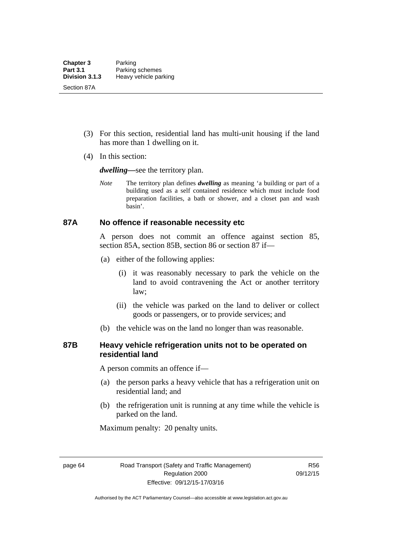- (3) For this section, residential land has multi-unit housing if the land has more than 1 dwelling on it.
- (4) In this section:

*dwelling—*see the territory plan.

*Note* The territory plan defines *dwelling* as meaning 'a building or part of a building used as a self contained residence which must include food preparation facilities, a bath or shower, and a closet pan and wash basin'.

### **87A No offence if reasonable necessity etc**

A person does not commit an offence against section 85, section 85A, section 85B, section 86 or section 87 if—

- (a) either of the following applies:
	- (i) it was reasonably necessary to park the vehicle on the land to avoid contravening the Act or another territory law;
	- (ii) the vehicle was parked on the land to deliver or collect goods or passengers, or to provide services; and
- (b) the vehicle was on the land no longer than was reasonable.

# **87B Heavy vehicle refrigeration units not to be operated on residential land**

A person commits an offence if—

- (a) the person parks a heavy vehicle that has a refrigeration unit on residential land; and
- (b) the refrigeration unit is running at any time while the vehicle is parked on the land.

Maximum penalty: 20 penalty units.

page 64 Road Transport (Safety and Traffic Management) Regulation 2000 Effective: 09/12/15-17/03/16

R56 09/12/15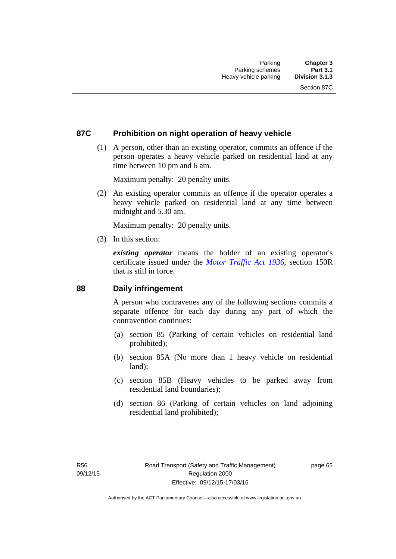# **87C Prohibition on night operation of heavy vehicle**

 (1) A person, other than an existing operator, commits an offence if the person operates a heavy vehicle parked on residential land at any time between 10 pm and 6 am.

Maximum penalty: 20 penalty units.

 (2) An existing operator commits an offence if the operator operates a heavy vehicle parked on residential land at any time between midnight and 5.30 am.

Maximum penalty: 20 penalty units.

(3) In this section:

*existing operator* means the holder of an existing operator's certificate issued under the *[Motor Traffic Act 1936](http://www.legislation.act.gov.au/a/1936-45)*, section 150R that is still in force.

### **88 Daily infringement**

A person who contravenes any of the following sections commits a separate offence for each day during any part of which the contravention continues:

- (a) section 85 (Parking of certain vehicles on residential land prohibited);
- (b) section 85A (No more than 1 heavy vehicle on residential land);
- (c) section 85B (Heavy vehicles to be parked away from residential land boundaries);
- (d) section 86 (Parking of certain vehicles on land adjoining residential land prohibited);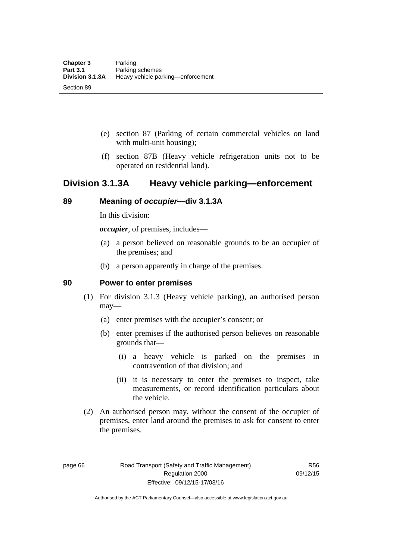- (e) section 87 (Parking of certain commercial vehicles on land with multi-unit housing);
- (f) section 87B (Heavy vehicle refrigeration units not to be operated on residential land).

# **Division 3.1.3A Heavy vehicle parking—enforcement**

# **89 Meaning of** *occupier***—div 3.1.3A**

In this division:

*occupier*, of premises, includes—

- (a) a person believed on reasonable grounds to be an occupier of the premises; and
- (b) a person apparently in charge of the premises.

### **90 Power to enter premises**

- (1) For division 3.1.3 (Heavy vehicle parking), an authorised person may—
	- (a) enter premises with the occupier's consent; or
	- (b) enter premises if the authorised person believes on reasonable grounds that—
		- (i) a heavy vehicle is parked on the premises in contravention of that division; and
		- (ii) it is necessary to enter the premises to inspect, take measurements, or record identification particulars about the vehicle.
- (2) An authorised person may, without the consent of the occupier of premises, enter land around the premises to ask for consent to enter the premises.

page 66 Road Transport (Safety and Traffic Management) Regulation 2000 Effective: 09/12/15-17/03/16

R56 09/12/15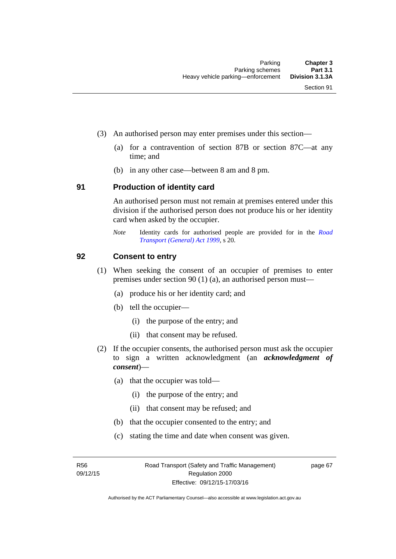- (3) An authorised person may enter premises under this section––
	- (a) for a contravention of section 87B or section 87C––at any time; and
	- (b) in any other case––between 8 am and 8 pm.

### **91 Production of identity card**

An authorised person must not remain at premises entered under this division if the authorised person does not produce his or her identity card when asked by the occupier.

*Note* Identity cards for authorised people are provided for in the *[Road](http://www.legislation.act.gov.au/a/1999-77)  [Transport \(General\) Act 1999](http://www.legislation.act.gov.au/a/1999-77)*, s 20.

### **92 Consent to entry**

- (1) When seeking the consent of an occupier of premises to enter premises under section 90 (1) (a), an authorised person must—
	- (a) produce his or her identity card; and
	- (b) tell the occupier—
		- (i) the purpose of the entry; and
		- (ii) that consent may be refused.
- (2) If the occupier consents, the authorised person must ask the occupier to sign a written acknowledgment (an *acknowledgment of consent*)—
	- (a) that the occupier was told—
		- (i) the purpose of the entry; and
		- (ii) that consent may be refused; and
	- (b) that the occupier consented to the entry; and
	- (c) stating the time and date when consent was given.

R56 09/12/15 page 67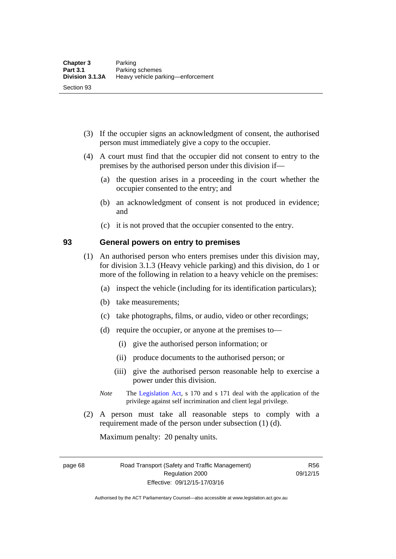- (3) If the occupier signs an acknowledgment of consent, the authorised person must immediately give a copy to the occupier.
- (4) A court must find that the occupier did not consent to entry to the premises by the authorised person under this division if—
	- (a) the question arises in a proceeding in the court whether the occupier consented to the entry; and
	- (b) an acknowledgment of consent is not produced in evidence; and
	- (c) it is not proved that the occupier consented to the entry.

### **93 General powers on entry to premises**

- (1) An authorised person who enters premises under this division may, for division 3.1.3 (Heavy vehicle parking) and this division, do 1 or more of the following in relation to a heavy vehicle on the premises:
	- (a) inspect the vehicle (including for its identification particulars);
	- (b) take measurements;
	- (c) take photographs, films, or audio, video or other recordings;
	- (d) require the occupier, or anyone at the premises to—
		- (i) give the authorised person information; or
		- (ii) produce documents to the authorised person; or
		- (iii) give the authorised person reasonable help to exercise a power under this division.
	- *Note* The [Legislation Act](http://www.legislation.act.gov.au/a/2001-14), s 170 and s 171 deal with the application of the privilege against self incrimination and client legal privilege.
- (2) A person must take all reasonable steps to comply with a requirement made of the person under subsection (1) (d).

Maximum penalty: 20 penalty units.

page 68 Road Transport (Safety and Traffic Management) Regulation 2000 Effective: 09/12/15-17/03/16

R56 09/12/15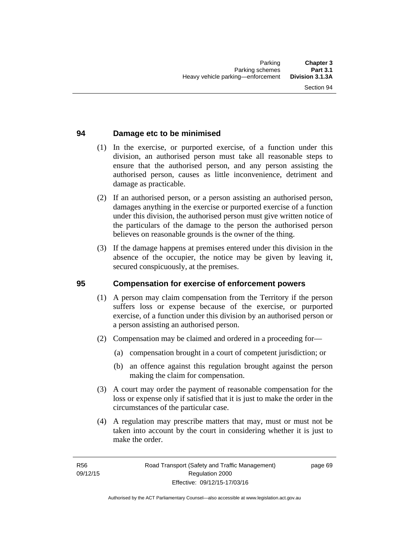# **94 Damage etc to be minimised**

- (1) In the exercise, or purported exercise, of a function under this division, an authorised person must take all reasonable steps to ensure that the authorised person, and any person assisting the authorised person, causes as little inconvenience, detriment and damage as practicable.
- (2) If an authorised person, or a person assisting an authorised person, damages anything in the exercise or purported exercise of a function under this division, the authorised person must give written notice of the particulars of the damage to the person the authorised person believes on reasonable grounds is the owner of the thing.
- (3) If the damage happens at premises entered under this division in the absence of the occupier, the notice may be given by leaving it, secured conspicuously, at the premises.

### **95 Compensation for exercise of enforcement powers**

- (1) A person may claim compensation from the Territory if the person suffers loss or expense because of the exercise, or purported exercise, of a function under this division by an authorised person or a person assisting an authorised person.
- (2) Compensation may be claimed and ordered in a proceeding for—
	- (a) compensation brought in a court of competent jurisdiction; or
	- (b) an offence against this regulation brought against the person making the claim for compensation.
- (3) A court may order the payment of reasonable compensation for the loss or expense only if satisfied that it is just to make the order in the circumstances of the particular case.
- (4) A regulation may prescribe matters that may, must or must not be taken into account by the court in considering whether it is just to make the order.

page 69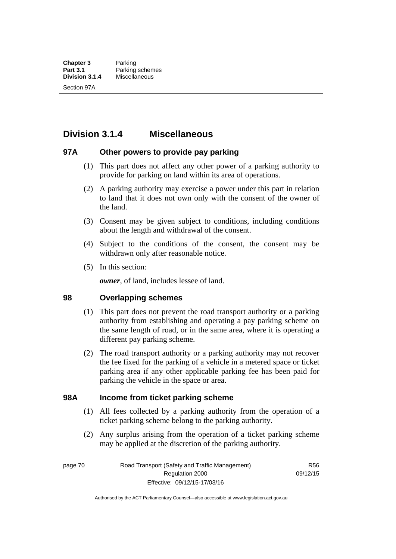# **Division 3.1.4 Miscellaneous**

### **97A Other powers to provide pay parking**

- (1) This part does not affect any other power of a parking authority to provide for parking on land within its area of operations.
- (2) A parking authority may exercise a power under this part in relation to land that it does not own only with the consent of the owner of the land.
- (3) Consent may be given subject to conditions, including conditions about the length and withdrawal of the consent.
- (4) Subject to the conditions of the consent, the consent may be withdrawn only after reasonable notice.
- (5) In this section:

*owner*, of land, includes lessee of land.

### **98 Overlapping schemes**

- (1) This part does not prevent the road transport authority or a parking authority from establishing and operating a pay parking scheme on the same length of road, or in the same area, where it is operating a different pay parking scheme.
- (2) The road transport authority or a parking authority may not recover the fee fixed for the parking of a vehicle in a metered space or ticket parking area if any other applicable parking fee has been paid for parking the vehicle in the space or area.

### **98A Income from ticket parking scheme**

- (1) All fees collected by a parking authority from the operation of a ticket parking scheme belong to the parking authority.
- (2) Any surplus arising from the operation of a ticket parking scheme may be applied at the discretion of the parking authority.

page 70 Road Transport (Safety and Traffic Management) Regulation 2000 Effective: 09/12/15-17/03/16

R56 09/12/15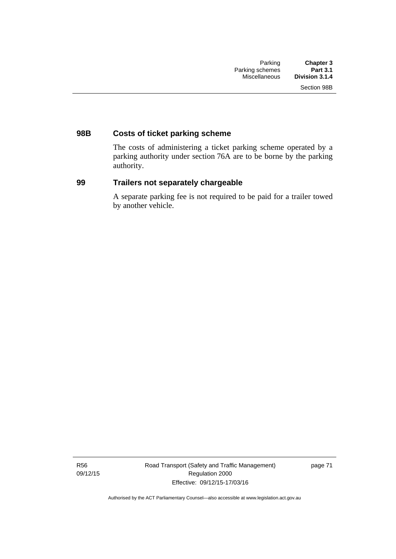# **98B Costs of ticket parking scheme**

The costs of administering a ticket parking scheme operated by a parking authority under section 76A are to be borne by the parking authority.

# **99 Trailers not separately chargeable**

A separate parking fee is not required to be paid for a trailer towed by another vehicle.

R56 09/12/15 Road Transport (Safety and Traffic Management) Regulation 2000 Effective: 09/12/15-17/03/16

page 71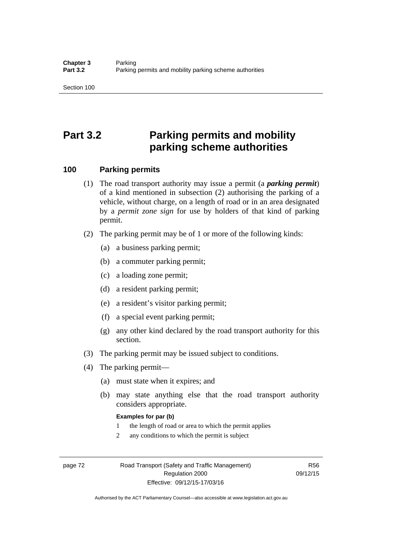# **Part 3.2 Parking permits and mobility parking scheme authorities**

### **100 Parking permits**

- (1) The road transport authority may issue a permit (a *parking permit*) of a kind mentioned in subsection (2) authorising the parking of a vehicle, without charge, on a length of road or in an area designated by a *permit zone sign* for use by holders of that kind of parking permit.
- (2) The parking permit may be of 1 or more of the following kinds:
	- (a) a business parking permit;
	- (b) a commuter parking permit;
	- (c) a loading zone permit;
	- (d) a resident parking permit;
	- (e) a resident's visitor parking permit;
	- (f) a special event parking permit;
	- (g) any other kind declared by the road transport authority for this section.
- (3) The parking permit may be issued subject to conditions.
- (4) The parking permit—
	- (a) must state when it expires; and
	- (b) may state anything else that the road transport authority considers appropriate.

### **Examples for par (b)**

- 1 the length of road or area to which the permit applies
- 2 any conditions to which the permit is subject

page 72 Road Transport (Safety and Traffic Management) Regulation 2000 Effective: 09/12/15-17/03/16

R56 09/12/15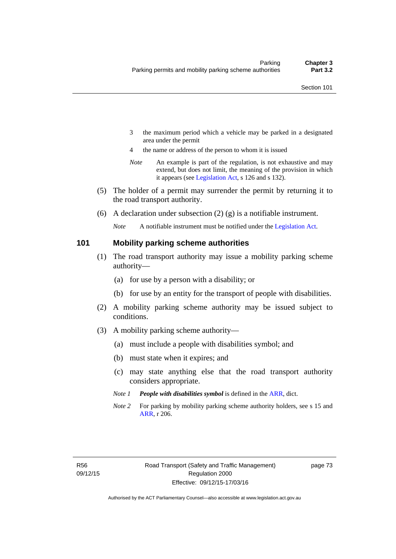- 3 the maximum period which a vehicle may be parked in a designated area under the permit
- 4 the name or address of the person to whom it is issued
- *Note* An example is part of the regulation, is not exhaustive and may extend, but does not limit, the meaning of the provision in which it appears (see [Legislation Act,](http://www.legislation.act.gov.au/a/2001-14) s 126 and s 132).
- (5) The holder of a permit may surrender the permit by returning it to the road transport authority.
- (6) A declaration under subsection  $(2)$  (g) is a notifiable instrument.

*Note* A notifiable instrument must be notified under the [Legislation Act](http://www.legislation.act.gov.au/a/2001-14).

### **101 Mobility parking scheme authorities**

- (1) The road transport authority may issue a mobility parking scheme authority—
	- (a) for use by a person with a disability; or
	- (b) for use by an entity for the transport of people with disabilities.
- (2) A mobility parking scheme authority may be issued subject to conditions.
- (3) A mobility parking scheme authority—
	- (a) must include a people with disabilities symbol; and
	- (b) must state when it expires; and
	- (c) may state anything else that the road transport authority considers appropriate.
	- *Note 1 People with disabilities symbol* is defined in the [ARR,](http://www.legislation.act.gov.au//ni/db_37271/default.asp) dict.
	- *Note 2* For parking by mobility parking scheme authority holders, see s 15 and [ARR,](http://www.legislation.act.gov.au//ni/db_37271/default.asp) r 206.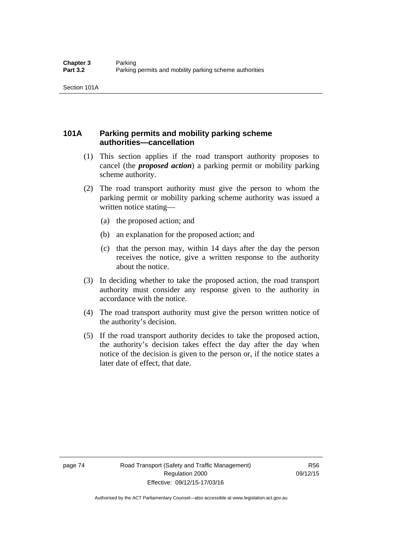# **101A Parking permits and mobility parking scheme authorities—cancellation**

- (1) This section applies if the road transport authority proposes to cancel (the *proposed action*) a parking permit or mobility parking scheme authority.
- (2) The road transport authority must give the person to whom the parking permit or mobility parking scheme authority was issued a written notice stating—
	- (a) the proposed action; and
	- (b) an explanation for the proposed action; and
	- (c) that the person may, within 14 days after the day the person receives the notice, give a written response to the authority about the notice.
- (3) In deciding whether to take the proposed action, the road transport authority must consider any response given to the authority in accordance with the notice.
- (4) The road transport authority must give the person written notice of the authority's decision.
- (5) If the road transport authority decides to take the proposed action, the authority's decision takes effect the day after the day when notice of the decision is given to the person or, if the notice states a later date of effect, that date.

page 74 Road Transport (Safety and Traffic Management) Regulation 2000 Effective: 09/12/15-17/03/16

R56 09/12/15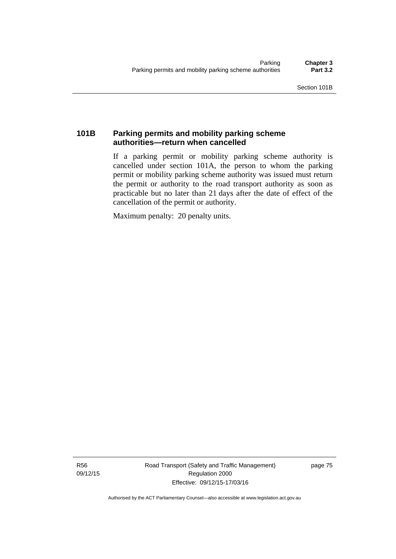# **101B Parking permits and mobility parking scheme authorities—return when cancelled**

If a parking permit or mobility parking scheme authority is cancelled under section 101A, the person to whom the parking permit or mobility parking scheme authority was issued must return the permit or authority to the road transport authority as soon as practicable but no later than 21 days after the date of effect of the cancellation of the permit or authority.

Maximum penalty: 20 penalty units.

R56 09/12/15 Road Transport (Safety and Traffic Management) Regulation 2000 Effective: 09/12/15-17/03/16

page 75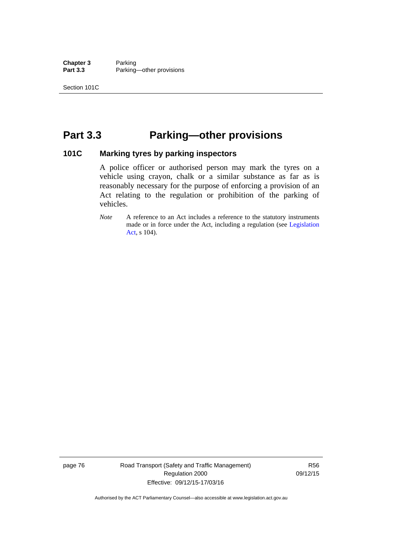**Chapter 3** Parking<br>**Part 3.3** Parking Parking—other provisions

# **Part 3.3 Parking—other provisions**

### **101C Marking tyres by parking inspectors**

A police officer or authorised person may mark the tyres on a vehicle using crayon, chalk or a similar substance as far as is reasonably necessary for the purpose of enforcing a provision of an Act relating to the regulation or prohibition of the parking of vehicles.

*Note* A reference to an Act includes a reference to the statutory instruments made or in force under the Act, including a regulation (see [Legislation](http://www.legislation.act.gov.au/a/2001-14)  [Act](http://www.legislation.act.gov.au/a/2001-14), s 104).

page 76 Road Transport (Safety and Traffic Management) Regulation 2000 Effective: 09/12/15-17/03/16

R56 09/12/15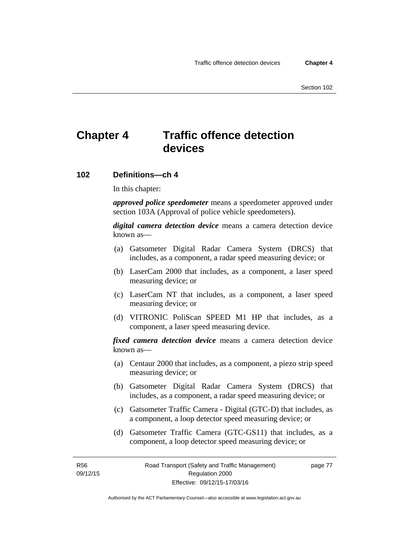# **Chapter 4 Traffic offence detection devices**

### **102 Definitions—ch 4**

In this chapter:

*approved police speedometer* means a speedometer approved under section 103A (Approval of police vehicle speedometers).

*digital camera detection device* means a camera detection device known as—

- (a) Gatsometer Digital Radar Camera System (DRCS) that includes, as a component, a radar speed measuring device; or
- (b) LaserCam 2000 that includes, as a component, a laser speed measuring device; or
- (c) LaserCam NT that includes, as a component, a laser speed measuring device; or
- (d) VITRONIC PoliScan SPEED M1 HP that includes, as a component, a laser speed measuring device.

*fixed camera detection device* means a camera detection device known as—

- (a) Centaur 2000 that includes, as a component, a piezo strip speed measuring device; or
- (b) Gatsometer Digital Radar Camera System (DRCS) that includes, as a component, a radar speed measuring device; or
- (c) Gatsometer Traffic Camera Digital (GTC-D) that includes, as a component, a loop detector speed measuring device; or
- (d) Gatsometer Traffic Camera (GTC-GS11) that includes, as a component, a loop detector speed measuring device; or

R56 09/12/15 page 77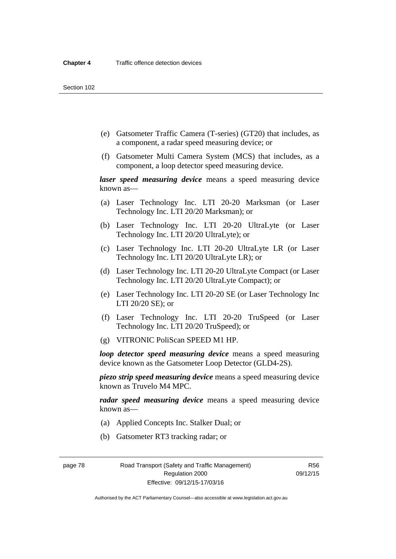- (e) Gatsometer Traffic Camera (T-series) (GT20) that includes, as a component, a radar speed measuring device; or
- (f) Gatsometer Multi Camera System (MCS) that includes, as a component, a loop detector speed measuring device.

*laser speed measuring device* means a speed measuring device known as—

- (a) Laser Technology Inc. LTI 20-20 Marksman (or Laser Technology Inc. LTI 20/20 Marksman); or
- (b) Laser Technology Inc. LTI 20-20 UltraLyte (or Laser Technology Inc. LTI 20/20 UltraLyte); or
- (c) Laser Technology Inc. LTI 20-20 UltraLyte LR (or Laser Technology Inc. LTI 20/20 UltraLyte LR); or
- (d) Laser Technology Inc. LTI 20-20 UltraLyte Compact (or Laser Technology Inc. LTI 20/20 UltraLyte Compact); or
- (e) Laser Technology Inc. LTI 20-20 SE (or Laser Technology Inc LTI 20/20 SE); or
- (f) Laser Technology Inc. LTI 20-20 TruSpeed (or Laser Technology Inc. LTI 20/20 TruSpeed); or
- (g) VITRONIC PoliScan SPEED M1 HP.

*loop detector speed measuring device* means a speed measuring device known as the Gatsometer Loop Detector (GLD4-2S).

*piezo strip speed measuring device* means a speed measuring device known as Truvelo M4 MPC.

*radar speed measuring device* means a speed measuring device known as—

- (a) Applied Concepts Inc. Stalker Dual; or
- (b) Gatsometer RT3 tracking radar; or

page 78 Road Transport (Safety and Traffic Management) Regulation 2000 Effective: 09/12/15-17/03/16

R56 09/12/15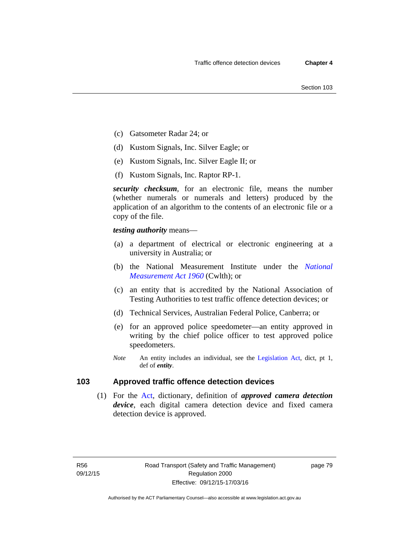- (c) Gatsometer Radar 24; or
- (d) Kustom Signals, Inc. Silver Eagle; or
- (e) Kustom Signals, Inc. Silver Eagle II; or
- (f) Kustom Signals, Inc. Raptor RP-1.

*security checksum*, for an electronic file, means the number (whether numerals or numerals and letters) produced by the application of an algorithm to the contents of an electronic file or a copy of the file.

*testing authority* means—

- (a) a department of electrical or electronic engineering at a university in Australia; or
- (b) the National Measurement Institute under the *[National](http://www.comlaw.gov.au/Series/C2004A07405)  [Measurement Act 1960](http://www.comlaw.gov.au/Series/C2004A07405)* (Cwlth); or
- (c) an entity that is accredited by the National Association of Testing Authorities to test traffic offence detection devices; or
- (d) Technical Services, Australian Federal Police, Canberra; or
- (e) for an approved police speedometer—an entity approved in writing by the chief police officer to test approved police speedometers.
- *Note* An entity includes an individual, see the [Legislation Act,](http://www.legislation.act.gov.au/a/2001-14) dict, pt 1, def of *entity*.

# **103 Approved traffic offence detection devices**

 (1) For the [Act,](http://www.legislation.act.gov.au/a/1999-80/default.asp) dictionary, definition of *approved camera detection device*, each digital camera detection device and fixed camera detection device is approved.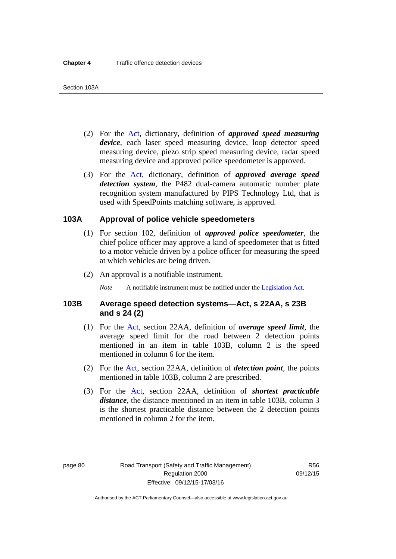- (2) For the [Act,](http://www.legislation.act.gov.au/a/1999-80/default.asp) dictionary, definition of *approved speed measuring device*, each laser speed measuring device, loop detector speed measuring device, piezo strip speed measuring device, radar speed measuring device and approved police speedometer is approved.
- (3) For the [Act](http://www.legislation.act.gov.au/a/1999-80/default.asp), dictionary, definition of *approved average speed detection system*, the P482 dual-camera automatic number plate recognition system manufactured by PIPS Technology Ltd, that is used with SpeedPoints matching software, is approved.

### **103A Approval of police vehicle speedometers**

- (1) For section 102, definition of *approved police speedometer*, the chief police officer may approve a kind of speedometer that is fitted to a motor vehicle driven by a police officer for measuring the speed at which vehicles are being driven.
- (2) An approval is a notifiable instrument.

*Note* A notifiable instrument must be notified under the [Legislation Act](http://www.legislation.act.gov.au/a/2001-14).

### **103B Average speed detection systems—Act, s 22AA, s 23B and s 24 (2)**

- (1) For the [Act](http://www.legislation.act.gov.au/a/1999-80/default.asp), section 22AA, definition of *average speed limit*, the average speed limit for the road between 2 detection points mentioned in an item in table 103B, column 2 is the speed mentioned in column 6 for the item.
- (2) For the [Act](http://www.legislation.act.gov.au/a/1999-80/default.asp), section 22AA, definition of *detection point*, the points mentioned in table 103B, column 2 are prescribed.
- (3) For the [Act](http://www.legislation.act.gov.au/a/1999-80/default.asp), section 22AA, definition of *shortest practicable distance*, the distance mentioned in an item in table 103B, column 3 is the shortest practicable distance between the 2 detection points mentioned in column 2 for the item.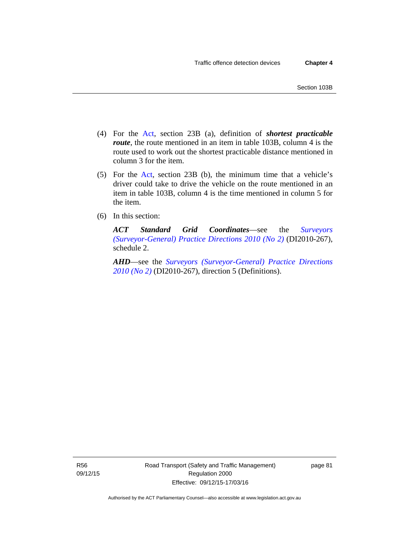- (4) For the [Act,](http://www.legislation.act.gov.au/a/1999-80/default.asp) section 23B (a), definition of *shortest practicable route*, the route mentioned in an item in table 103B, column 4 is the route used to work out the shortest practicable distance mentioned in column 3 for the item.
- (5) For the [Act](http://www.legislation.act.gov.au/a/1999-80/default.asp), section 23B (b), the minimum time that a vehicle's driver could take to drive the vehicle on the route mentioned in an item in table 103B, column 4 is the time mentioned in column 5 for the item.
- (6) In this section:

*ACT Standard Grid Coordinates*—see the *[Surveyors](http://www.legislation.act.gov.au/di/2010-267/default.asp)  [\(Surveyor-General\) Practice Directions 2010 \(No 2\)](http://www.legislation.act.gov.au/di/2010-267/default.asp)* (DI2010-267), schedule 2.

*AHD*—see the *[Surveyors \(Surveyor-General\) Practice Directions](http://www.legislation.act.gov.au/di/2010-267/default.asp)  [2010 \(No 2\)](http://www.legislation.act.gov.au/di/2010-267/default.asp)* (DI2010-267), direction 5 (Definitions).

R56 09/12/15 page 81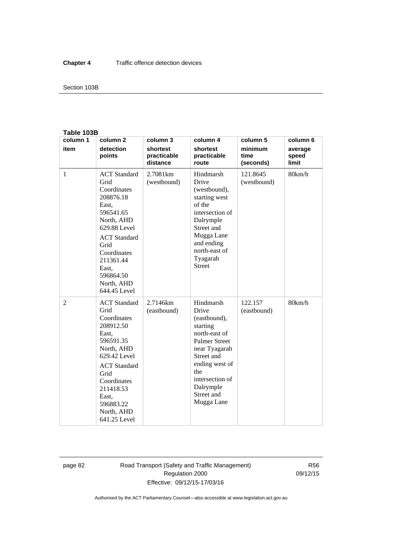### Section 103B

#### **Table 103B**

| column 1       | column <sub>2</sub>                                                                                                                                                                                                        | column 3                            | column 4                                                                                                                                                                                                    | column 5                     | column 6                  |
|----------------|----------------------------------------------------------------------------------------------------------------------------------------------------------------------------------------------------------------------------|-------------------------------------|-------------------------------------------------------------------------------------------------------------------------------------------------------------------------------------------------------------|------------------------------|---------------------------|
| item           | detection<br>points                                                                                                                                                                                                        | shortest<br>practicable<br>distance | shortest<br>practicable<br>route                                                                                                                                                                            | minimum<br>time<br>(seconds) | average<br>speed<br>limit |
| $\mathbf{1}$   | <b>ACT</b> Standard<br>Grid<br>Coordinates<br>208876.18<br>East,<br>596541.65<br>North, AHD<br>629.88 Level<br><b>ACT</b> Standard<br>Grid<br>Coordinates<br>211361.44<br>East.<br>596864.50<br>North, AHD<br>644.45 Level | 2.7081km<br>(westbound)             | Hindmarsh<br>Drive<br>(westbound),<br>starting west<br>of the<br>intersection of<br>Dalrymple<br>Street and<br>Mugga Lane<br>and ending<br>north-east of<br>Tyagarah<br><b>Street</b>                       | 121.8645<br>(westbound)      | 80km/h                    |
| $\overline{2}$ | <b>ACT</b> Standard<br>Grid<br>Coordinates<br>208912.50<br>East,<br>596591.35<br>North, AHD<br>629.42 Level<br><b>ACT</b> Standard<br>Grid<br>Coordinates<br>211418.53<br>East,<br>596883.22<br>North, AHD<br>641.25 Level | 2.7146km<br>(eastbound)             | Hindmarsh<br>Drive<br>(eastbound),<br>starting<br>north-east of<br><b>Palmer Street</b><br>near Tyagarah<br>Street and<br>ending west of<br>the<br>intersection of<br>Dalrymple<br>Street and<br>Mugga Lane | 122.157<br>(eastbound)       | 80km/h                    |

page 82 Road Transport (Safety and Traffic Management) Regulation 2000 Effective: 09/12/15-17/03/16

R56 09/12/15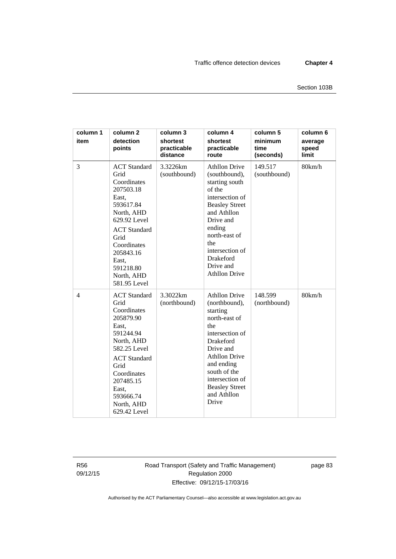| column 1<br>item | column <sub>2</sub><br>detection<br>points                                                                                                                                                                                 | column 3<br>shortest<br>practicable<br>distance | column 4<br>shortest<br>practicable<br>route                                                                                                                                                                                                            | column 5<br>minimum<br>time<br>(seconds) | column 6<br>average<br>speed<br>limit |
|------------------|----------------------------------------------------------------------------------------------------------------------------------------------------------------------------------------------------------------------------|-------------------------------------------------|---------------------------------------------------------------------------------------------------------------------------------------------------------------------------------------------------------------------------------------------------------|------------------------------------------|---------------------------------------|
| 3                | <b>ACT</b> Standard<br>Grid<br>Coordinates<br>207503.18<br>East,<br>593617.84<br>North, AHD<br>629.92 Level<br><b>ACT</b> Standard<br>Grid<br>Coordinates<br>205843.16<br>East,<br>591218.80<br>North, AHD<br>581.95 Level | 3.3226km<br>(southbound)                        | <b>Athllon Drive</b><br>(southbound),<br>starting south<br>of the<br>intersection of<br><b>Beasley Street</b><br>and Athllon<br>Drive and<br>ending<br>north-east of<br>the<br>intersection of<br>Drakeford<br>Drive and<br><b>Athllon Drive</b>        | 149.517<br>(southbound)                  | 80km/h                                |
| $\overline{4}$   | <b>ACT</b> Standard<br>Grid<br>Coordinates<br>205879.90<br>East,<br>591244.94<br>North, AHD<br>582.25 Level<br><b>ACT</b> Standard<br>Grid<br>Coordinates<br>207485.15<br>East,<br>593666.74<br>North, AHD<br>629.42 Level | 3.3022km<br>(northbound)                        | <b>Athllon Drive</b><br>(northbound),<br>starting<br>north-east of<br>the<br>intersection of<br><b>Drakeford</b><br>Drive and<br><b>Athllon Drive</b><br>and ending<br>south of the<br>intersection of<br><b>Beasley Street</b><br>and Athllon<br>Drive | 148.599<br>(northbound)                  | 80km/h                                |

R56 09/12/15 Road Transport (Safety and Traffic Management) Regulation 2000 Effective: 09/12/15-17/03/16

page 83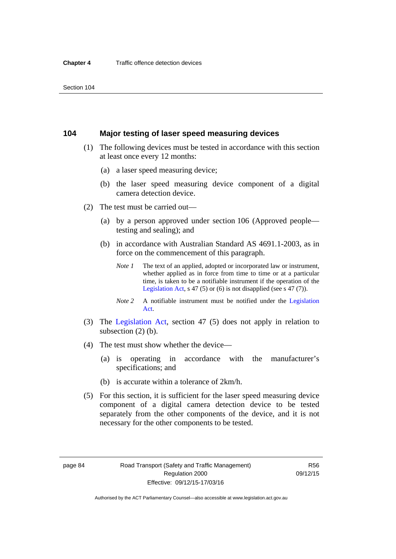### **104 Major testing of laser speed measuring devices**

- (1) The following devices must be tested in accordance with this section at least once every 12 months:
	- (a) a laser speed measuring device;
	- (b) the laser speed measuring device component of a digital camera detection device.
- (2) The test must be carried out—
	- (a) by a person approved under section 106 (Approved people testing and sealing); and
	- (b) in accordance with Australian Standard AS 4691.1-2003, as in force on the commencement of this paragraph.
		- *Note 1* The text of an applied, adopted or incorporated law or instrument, whether applied as in force from time to time or at a particular time, is taken to be a notifiable instrument if the operation of the [Legislation Act,](http://www.legislation.act.gov.au/a/2001-14) s 47 (5) or (6) is not disapplied (see s 47 (7)).
		- *Note 2* A notifiable instrument must be notified under the [Legislation](http://www.legislation.act.gov.au/a/2001-14)  [Act](http://www.legislation.act.gov.au/a/2001-14).
- (3) The [Legislation Act,](http://www.legislation.act.gov.au/a/2001-14) section 47 (5) does not apply in relation to subsection (2) (b).
- (4) The test must show whether the device—
	- (a) is operating in accordance with the manufacturer's specifications; and
	- (b) is accurate within a tolerance of 2km/h.
- (5) For this section, it is sufficient for the laser speed measuring device component of a digital camera detection device to be tested separately from the other components of the device, and it is not necessary for the other components to be tested.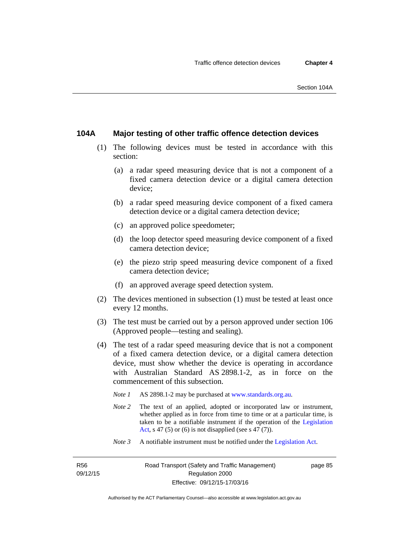### **104A Major testing of other traffic offence detection devices**

- (1) The following devices must be tested in accordance with this section:
	- (a) a radar speed measuring device that is not a component of a fixed camera detection device or a digital camera detection device;
	- (b) a radar speed measuring device component of a fixed camera detection device or a digital camera detection device;
	- (c) an approved police speedometer;
	- (d) the loop detector speed measuring device component of a fixed camera detection device;
	- (e) the piezo strip speed measuring device component of a fixed camera detection device;
	- (f) an approved average speed detection system.
- (2) The devices mentioned in subsection (1) must be tested at least once every 12 months.
- (3) The test must be carried out by a person approved under section 106 (Approved people—testing and sealing).
- (4) The test of a radar speed measuring device that is not a component of a fixed camera detection device, or a digital camera detection device, must show whether the device is operating in accordance with Australian Standard AS 2898.1-2, as in force on the commencement of this subsection.
	- *Note 1* AS 2898.1-2 may be purchased at [www.standards.org.au](http://www.standards.org.au/Pages/default.aspx)*.*
	- *Note* 2 The text of an applied, adopted or incorporated law or instrument, whether applied as in force from time to time or at a particular time, is taken to be a notifiable instrument if the operation of the [Legislation](http://www.legislation.act.gov.au/a/2001-14)  [Act,](http://www.legislation.act.gov.au/a/2001-14) s 47 (5) or (6) is not disapplied (see s 47 (7)).
	- *Note 3* A notifiable instrument must be notified under the [Legislation Act](http://www.legislation.act.gov.au/a/2001-14).

R56 09/12/15 page 85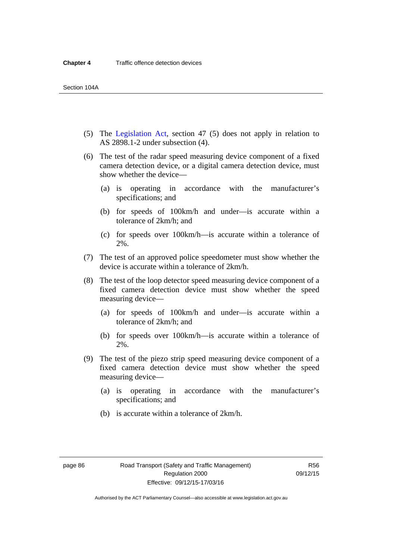- (5) The [Legislation Act,](http://www.legislation.act.gov.au/a/2001-14) section 47 (5) does not apply in relation to AS 2898.1-2 under subsection (4).
- (6) The test of the radar speed measuring device component of a fixed camera detection device, or a digital camera detection device, must show whether the device—
	- (a) is operating in accordance with the manufacturer's specifications; and
	- (b) for speeds of 100km/h and under—is accurate within a tolerance of 2km/h; and
	- (c) for speeds over 100km/h—is accurate within a tolerance of 2%.
- (7) The test of an approved police speedometer must show whether the device is accurate within a tolerance of 2km/h.
- (8) The test of the loop detector speed measuring device component of a fixed camera detection device must show whether the speed measuring device—
	- (a) for speeds of 100km/h and under—is accurate within a tolerance of 2km/h; and
	- (b) for speeds over 100km/h—is accurate within a tolerance of 2%.
- (9) The test of the piezo strip speed measuring device component of a fixed camera detection device must show whether the speed measuring device—
	- (a) is operating in accordance with the manufacturer's specifications; and
	- (b) is accurate within a tolerance of 2km/h.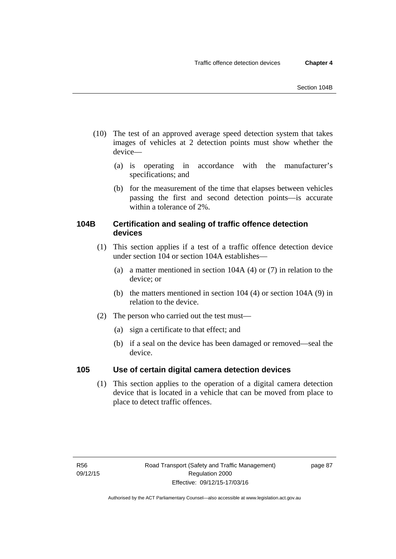- (10) The test of an approved average speed detection system that takes images of vehicles at 2 detection points must show whether the device—
	- (a) is operating in accordance with the manufacturer's specifications; and
	- (b) for the measurement of the time that elapses between vehicles passing the first and second detection points—is accurate within a tolerance of 2%.

# **104B Certification and sealing of traffic offence detection devices**

- (1) This section applies if a test of a traffic offence detection device under section 104 or section 104A establishes—
	- (a) a matter mentioned in section 104A (4) or (7) in relation to the device; or
	- (b) the matters mentioned in section 104 (4) or section 104A (9) in relation to the device.
- (2) The person who carried out the test must—
	- (a) sign a certificate to that effect; and
	- (b) if a seal on the device has been damaged or removed—seal the device.

# **105 Use of certain digital camera detection devices**

(1) This section applies to the operation of a digital camera detection device that is located in a vehicle that can be moved from place to place to detect traffic offences.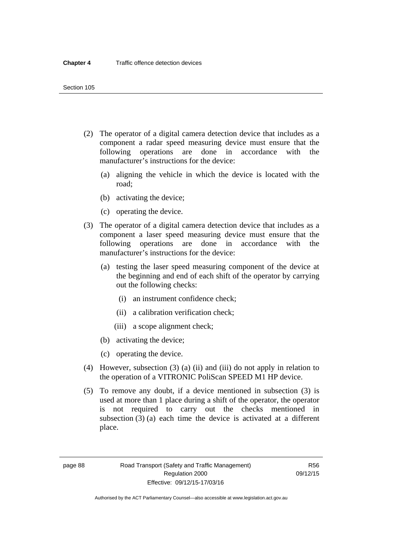- (2) The operator of a digital camera detection device that includes as a component a radar speed measuring device must ensure that the following operations are done in accordance with the manufacturer's instructions for the device:
	- (a) aligning the vehicle in which the device is located with the road;
	- (b) activating the device;
	- (c) operating the device.
- (3) The operator of a digital camera detection device that includes as a component a laser speed measuring device must ensure that the following operations are done in accordance with the manufacturer's instructions for the device:
	- (a) testing the laser speed measuring component of the device at the beginning and end of each shift of the operator by carrying out the following checks:
		- (i) an instrument confidence check;
		- (ii) a calibration verification check;
		- (iii) a scope alignment check;
	- (b) activating the device;
	- (c) operating the device.
- (4) However, subsection (3) (a) (ii) and (iii) do not apply in relation to the operation of a VITRONIC PoliScan SPEED M1 HP device.
- (5) To remove any doubt, if a device mentioned in subsection (3) is used at more than 1 place during a shift of the operator, the operator is not required to carry out the checks mentioned in subsection (3) (a) each time the device is activated at a different place.

page 88 Road Transport (Safety and Traffic Management) Regulation 2000 Effective: 09/12/15-17/03/16

R56 09/12/15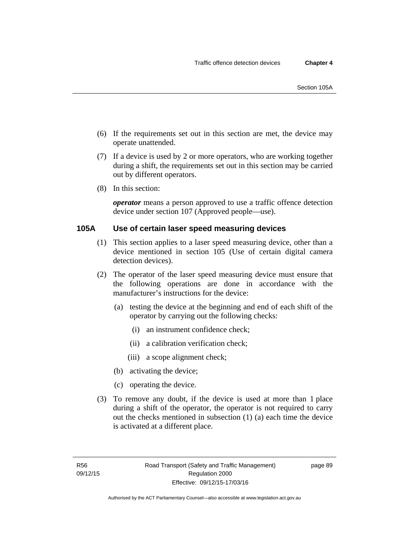- (6) If the requirements set out in this section are met, the device may operate unattended.
- (7) If a device is used by 2 or more operators, who are working together during a shift, the requirements set out in this section may be carried out by different operators.
- (8) In this section:

*operator* means a person approved to use a traffic offence detection device under section 107 (Approved people—use).

# **105A Use of certain laser speed measuring devices**

- (1) This section applies to a laser speed measuring device, other than a device mentioned in section 105 (Use of certain digital camera detection devices).
- (2) The operator of the laser speed measuring device must ensure that the following operations are done in accordance with the manufacturer's instructions for the device:
	- (a) testing the device at the beginning and end of each shift of the operator by carrying out the following checks:
		- (i) an instrument confidence check;
		- (ii) a calibration verification check;
		- (iii) a scope alignment check;
	- (b) activating the device;
	- (c) operating the device.
- (3) To remove any doubt, if the device is used at more than 1 place during a shift of the operator, the operator is not required to carry out the checks mentioned in subsection (1) (a) each time the device is activated at a different place.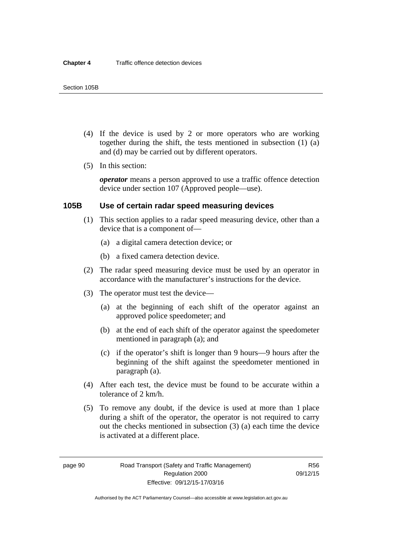- (4) If the device is used by 2 or more operators who are working together during the shift, the tests mentioned in subsection (1) (a) and (d) may be carried out by different operators.
- (5) In this section:

*operator* means a person approved to use a traffic offence detection device under section 107 (Approved people—use).

### **105B Use of certain radar speed measuring devices**

- (1) This section applies to a radar speed measuring device, other than a device that is a component of—
	- (a) a digital camera detection device; or
	- (b) a fixed camera detection device.
- (2) The radar speed measuring device must be used by an operator in accordance with the manufacturer's instructions for the device.
- (3) The operator must test the device—
	- (a) at the beginning of each shift of the operator against an approved police speedometer; and
	- (b) at the end of each shift of the operator against the speedometer mentioned in paragraph (a); and
	- (c) if the operator's shift is longer than 9 hours—9 hours after the beginning of the shift against the speedometer mentioned in paragraph (a).
- (4) After each test, the device must be found to be accurate within a tolerance of 2 km/h.
- (5) To remove any doubt, if the device is used at more than 1 place during a shift of the operator, the operator is not required to carry out the checks mentioned in subsection (3) (a) each time the device is activated at a different place.

page 90 Road Transport (Safety and Traffic Management) Regulation 2000 Effective: 09/12/15-17/03/16

R56 09/12/15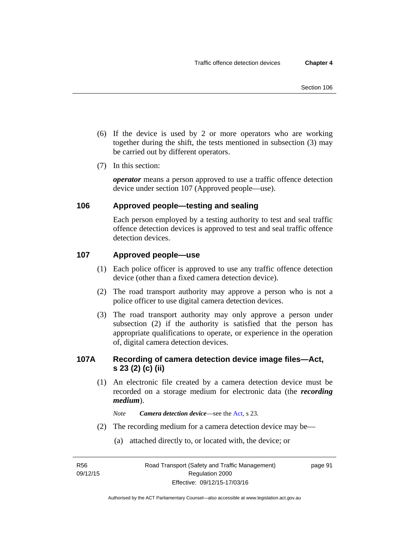- (6) If the device is used by 2 or more operators who are working together during the shift, the tests mentioned in subsection (3) may be carried out by different operators.
- (7) In this section:

*operator* means a person approved to use a traffic offence detection device under section 107 (Approved people—use).

# **106 Approved people—testing and sealing**

Each person employed by a testing authority to test and seal traffic offence detection devices is approved to test and seal traffic offence detection devices.

# **107 Approved people—use**

- (1) Each police officer is approved to use any traffic offence detection device (other than a fixed camera detection device).
- (2) The road transport authority may approve a person who is not a police officer to use digital camera detection devices.
- (3) The road transport authority may only approve a person under subsection (2) if the authority is satisfied that the person has appropriate qualifications to operate, or experience in the operation of, digital camera detection devices.

# **107A Recording of camera detection device image files—Act, s 23 (2) (c) (ii)**

(1) An electronic file created by a camera detection device must be recorded on a storage medium for electronic data (the *recording medium*).

*Note Camera detection device*—see the [Act](http://www.legislation.act.gov.au/a/1999-80/default.asp), s 23.

- (2) The recording medium for a camera detection device may be—
	- (a) attached directly to, or located with, the device; or

R56 09/12/15 page 91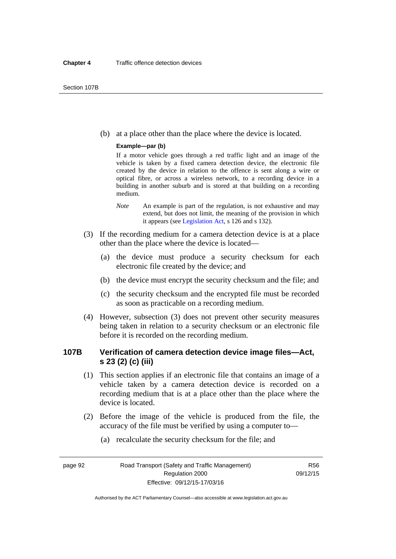(b) at a place other than the place where the device is located.

#### **Example—par (b)**

If a motor vehicle goes through a red traffic light and an image of the vehicle is taken by a fixed camera detection device, the electronic file created by the device in relation to the offence is sent along a wire or optical fibre, or across a wireless network, to a recording device in a building in another suburb and is stored at that building on a recording medium.

- *Note* An example is part of the regulation, is not exhaustive and may extend, but does not limit, the meaning of the provision in which it appears (see [Legislation Act,](http://www.legislation.act.gov.au/a/2001-14) s 126 and s 132).
- (3) If the recording medium for a camera detection device is at a place other than the place where the device is located—
	- (a) the device must produce a security checksum for each electronic file created by the device; and
	- (b) the device must encrypt the security checksum and the file; and
	- (c) the security checksum and the encrypted file must be recorded as soon as practicable on a recording medium.
- (4) However, subsection (3) does not prevent other security measures being taken in relation to a security checksum or an electronic file before it is recorded on the recording medium.

# **107B Verification of camera detection device image files—Act, s 23 (2) (c) (iii)**

- (1) This section applies if an electronic file that contains an image of a vehicle taken by a camera detection device is recorded on a recording medium that is at a place other than the place where the device is located.
- (2) Before the image of the vehicle is produced from the file, the accuracy of the file must be verified by using a computer to—
	- (a) recalculate the security checksum for the file; and

page 92 Road Transport (Safety and Traffic Management) Regulation 2000 Effective: 09/12/15-17/03/16

R56 09/12/15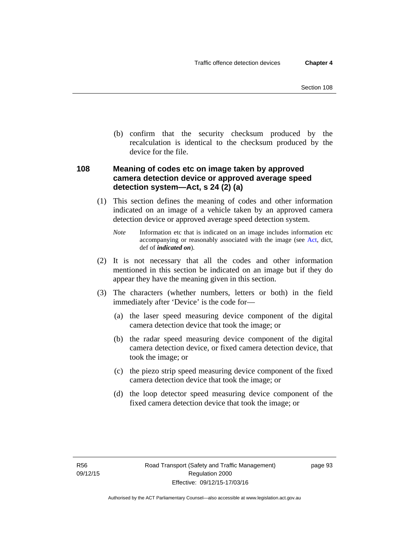(b) confirm that the security checksum produced by the recalculation is identical to the checksum produced by the device for the file.

# **108 Meaning of codes etc on image taken by approved camera detection device or approved average speed detection system—Act, s 24 (2) (a)**

(1) This section defines the meaning of codes and other information indicated on an image of a vehicle taken by an approved camera detection device or approved average speed detection system.

*Note* Information etc that is indicated on an image includes information etc accompanying or reasonably associated with the image (see [Act,](http://www.legislation.act.gov.au/a/1999-80/default.asp) dict, def of *indicated on*).

- (2) It is not necessary that all the codes and other information mentioned in this section be indicated on an image but if they do appear they have the meaning given in this section.
- (3) The characters (whether numbers, letters or both) in the field immediately after 'Device' is the code for—
	- (a) the laser speed measuring device component of the digital camera detection device that took the image; or
	- (b) the radar speed measuring device component of the digital camera detection device, or fixed camera detection device, that took the image; or
	- (c) the piezo strip speed measuring device component of the fixed camera detection device that took the image; or
	- (d) the loop detector speed measuring device component of the fixed camera detection device that took the image; or

page 93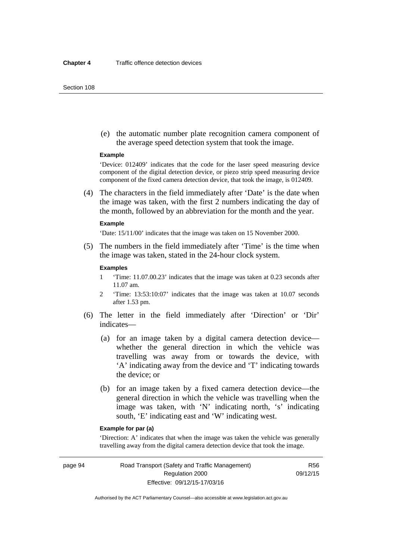#### Section 108

 (e) the automatic number plate recognition camera component of the average speed detection system that took the image.

#### **Example**

'Device: 012409' indicates that the code for the laser speed measuring device component of the digital detection device, or piezo strip speed measuring device component of the fixed camera detection device, that took the image, is 012409.

 (4) The characters in the field immediately after 'Date' is the date when the image was taken, with the first 2 numbers indicating the day of the month, followed by an abbreviation for the month and the year.

#### **Example**

'Date: 15/11/00' indicates that the image was taken on 15 November 2000.

 (5) The numbers in the field immediately after 'Time' is the time when the image was taken, stated in the 24-hour clock system.

#### **Examples**

- 1 'Time: 11.07.00.23' indicates that the image was taken at 0.23 seconds after 11.07 am.
- 2 'Time: 13:53:10:07' indicates that the image was taken at 10.07 seconds after 1.53 pm.
- (6) The letter in the field immediately after 'Direction' or 'Dir' indicates—
	- (a) for an image taken by a digital camera detection device whether the general direction in which the vehicle was travelling was away from or towards the device, with 'A' indicating away from the device and 'T' indicating towards the device; or
	- (b) for an image taken by a fixed camera detection device—the general direction in which the vehicle was travelling when the image was taken, with 'N' indicating north, 's' indicating south, 'E' indicating east and 'W' indicating west.

#### **Example for par (a)**

'Direction: A' indicates that when the image was taken the vehicle was generally travelling away from the digital camera detection device that took the image.

page 94 Road Transport (Safety and Traffic Management) Regulation 2000 Effective: 09/12/15-17/03/16

R56 09/12/15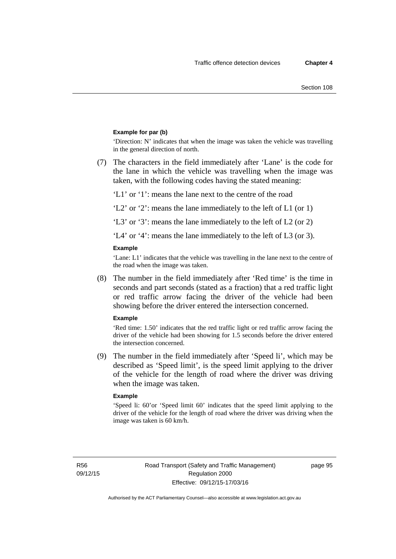#### **Example for par (b)**

'Direction: N' indicates that when the image was taken the vehicle was travelling in the general direction of north.

 (7) The characters in the field immediately after 'Lane' is the code for the lane in which the vehicle was travelling when the image was taken, with the following codes having the stated meaning:

'L1' or '1': means the lane next to the centre of the road

'L2' or '2': means the lane immediately to the left of L1 (or 1)

'L3' or '3': means the lane immediately to the left of L2 (or 2)

'L4' or '4': means the lane immediately to the left of L3 (or 3).

#### **Example**

'Lane: L1' indicates that the vehicle was travelling in the lane next to the centre of the road when the image was taken.

 (8) The number in the field immediately after 'Red time' is the time in seconds and part seconds (stated as a fraction) that a red traffic light or red traffic arrow facing the driver of the vehicle had been showing before the driver entered the intersection concerned.

#### **Example**

'Red time: 1.50' indicates that the red traffic light or red traffic arrow facing the driver of the vehicle had been showing for 1.5 seconds before the driver entered the intersection concerned.

 (9) The number in the field immediately after 'Speed li', which may be described as 'Speed limit', is the speed limit applying to the driver of the vehicle for the length of road where the driver was driving when the image was taken.

#### **Example**

'Speed li: 60'or 'Speed limit 60' indicates that the speed limit applying to the driver of the vehicle for the length of road where the driver was driving when the image was taken is 60 km/h.

R56 09/12/15 page 95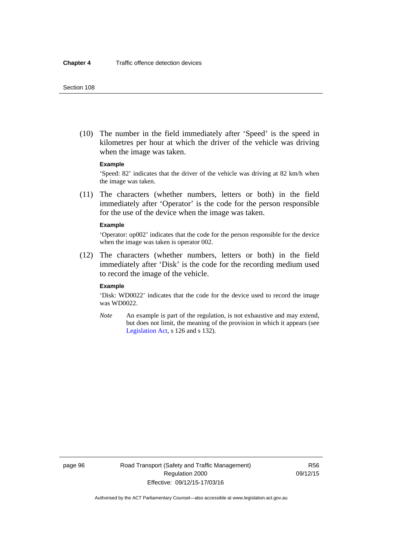(10) The number in the field immediately after 'Speed' is the speed in kilometres per hour at which the driver of the vehicle was driving when the image was taken.

## **Example**

'Speed: 82' indicates that the driver of the vehicle was driving at 82 km/h when the image was taken.

 (11) The characters (whether numbers, letters or both) in the field immediately after 'Operator' is the code for the person responsible for the use of the device when the image was taken.

#### **Example**

'Operator: op002' indicates that the code for the person responsible for the device when the image was taken is operator 002.

 (12) The characters (whether numbers, letters or both) in the field immediately after 'Disk' is the code for the recording medium used to record the image of the vehicle.

#### **Example**

'Disk: WD0022' indicates that the code for the device used to record the image was WD0022.

*Note* An example is part of the regulation, is not exhaustive and may extend, but does not limit, the meaning of the provision in which it appears (see [Legislation Act,](http://www.legislation.act.gov.au/a/2001-14) s 126 and s 132).

page 96 Road Transport (Safety and Traffic Management) Regulation 2000 Effective: 09/12/15-17/03/16

R56 09/12/15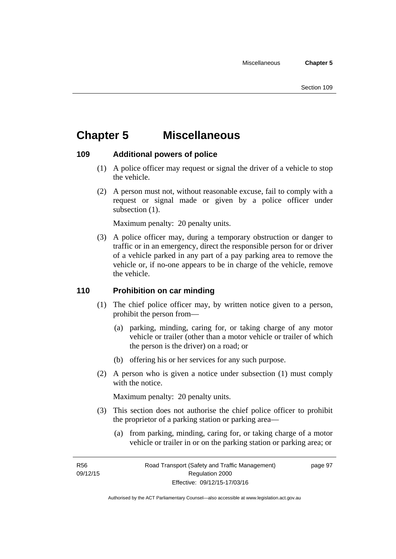# **Chapter 5 Miscellaneous**

# **109 Additional powers of police**

- (1) A police officer may request or signal the driver of a vehicle to stop the vehicle.
- (2) A person must not, without reasonable excuse, fail to comply with a request or signal made or given by a police officer under subsection  $(1)$ .

Maximum penalty: 20 penalty units.

 (3) A police officer may, during a temporary obstruction or danger to traffic or in an emergency, direct the responsible person for or driver of a vehicle parked in any part of a pay parking area to remove the vehicle or, if no-one appears to be in charge of the vehicle, remove the vehicle.

# **110 Prohibition on car minding**

- (1) The chief police officer may, by written notice given to a person, prohibit the person from—
	- (a) parking, minding, caring for, or taking charge of any motor vehicle or trailer (other than a motor vehicle or trailer of which the person is the driver) on a road; or
	- (b) offering his or her services for any such purpose.
- (2) A person who is given a notice under subsection (1) must comply with the notice.

Maximum penalty: 20 penalty units.

- (3) This section does not authorise the chief police officer to prohibit the proprietor of a parking station or parking area—
	- (a) from parking, minding, caring for, or taking charge of a motor vehicle or trailer in or on the parking station or parking area; or

R56 09/12/15 page 97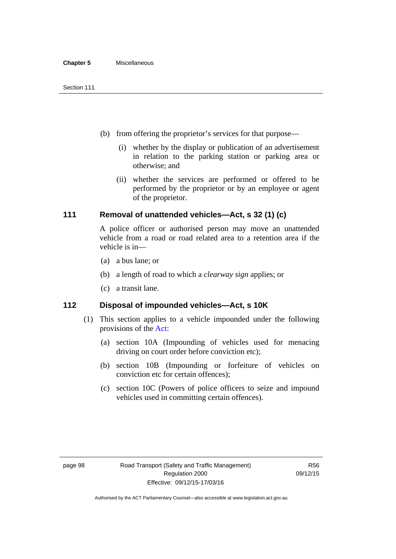- (b) from offering the proprietor's services for that purpose—
	- (i) whether by the display or publication of an advertisement in relation to the parking station or parking area or otherwise; and
	- (ii) whether the services are performed or offered to be performed by the proprietor or by an employee or agent of the proprietor.

# **111 Removal of unattended vehicles—Act, s 32 (1) (c)**

A police officer or authorised person may move an unattended vehicle from a road or road related area to a retention area if the vehicle is in—

- (a) a bus lane; or
- (b) a length of road to which a *clearway sign* applies; or
- (c) a transit lane.

# **112 Disposal of impounded vehicles—Act, s 10K**

- (1) This section applies to a vehicle impounded under the following provisions of the [Act:](http://www.legislation.act.gov.au/a/1999-80/default.asp)
	- (a) section 10A (Impounding of vehicles used for menacing driving on court order before conviction etc);
	- (b) section 10B (Impounding or forfeiture of vehicles on conviction etc for certain offences);
	- (c) section 10C (Powers of police officers to seize and impound vehicles used in committing certain offences).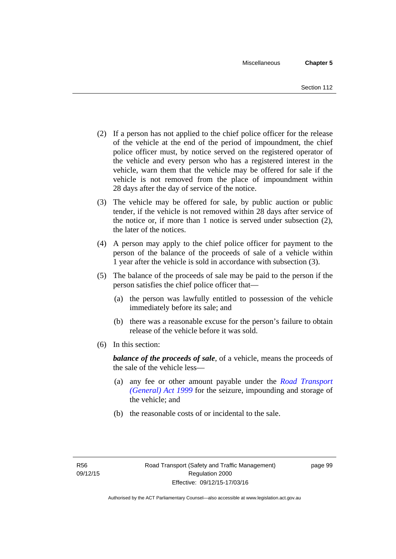- (2) If a person has not applied to the chief police officer for the release of the vehicle at the end of the period of impoundment, the chief police officer must, by notice served on the registered operator of the vehicle and every person who has a registered interest in the vehicle, warn them that the vehicle may be offered for sale if the vehicle is not removed from the place of impoundment within 28 days after the day of service of the notice.
- (3) The vehicle may be offered for sale, by public auction or public tender, if the vehicle is not removed within 28 days after service of the notice or, if more than 1 notice is served under subsection (2), the later of the notices.
- (4) A person may apply to the chief police officer for payment to the person of the balance of the proceeds of sale of a vehicle within 1 year after the vehicle is sold in accordance with subsection (3).
- (5) The balance of the proceeds of sale may be paid to the person if the person satisfies the chief police officer that—
	- (a) the person was lawfully entitled to possession of the vehicle immediately before its sale; and
	- (b) there was a reasonable excuse for the person's failure to obtain release of the vehicle before it was sold.
- (6) In this section:

*balance of the proceeds of sale*, of a vehicle, means the proceeds of the sale of the vehicle less—

- (a) any fee or other amount payable under the *[Road Transport](http://www.legislation.act.gov.au/a/1999-77)  [\(General\) Act 1999](http://www.legislation.act.gov.au/a/1999-77)* for the seizure, impounding and storage of the vehicle; and
- (b) the reasonable costs of or incidental to the sale.

page 99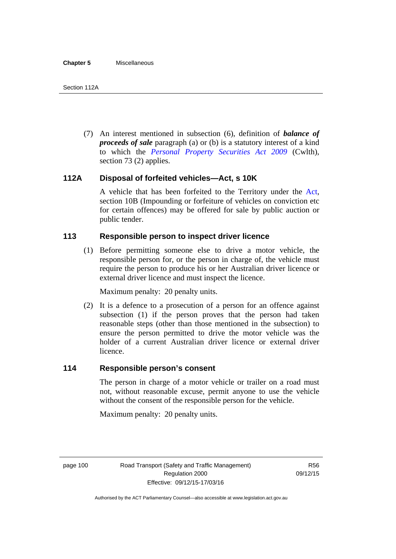(7) An interest mentioned in subsection (6), definition of *balance of proceeds of sale* paragraph (a) or (b) is a statutory interest of a kind to which the *[Personal Property Securities Act 2009](http://www.comlaw.gov.au/Series/C2009A00130)* (Cwlth), section 73 (2) applies.

# **112A Disposal of forfeited vehicles—Act, s 10K**

A vehicle that has been forfeited to the Territory under the [Act](http://www.legislation.act.gov.au/a/1999-80/default.asp), section 10B (Impounding or forfeiture of vehicles on conviction etc for certain offences) may be offered for sale by public auction or public tender.

# **113 Responsible person to inspect driver licence**

(1) Before permitting someone else to drive a motor vehicle, the responsible person for, or the person in charge of, the vehicle must require the person to produce his or her Australian driver licence or external driver licence and must inspect the licence.

Maximum penalty: 20 penalty units.

 (2) It is a defence to a prosecution of a person for an offence against subsection (1) if the person proves that the person had taken reasonable steps (other than those mentioned in the subsection) to ensure the person permitted to drive the motor vehicle was the holder of a current Australian driver licence or external driver licence.

# **114 Responsible person's consent**

The person in charge of a motor vehicle or trailer on a road must not, without reasonable excuse, permit anyone to use the vehicle without the consent of the responsible person for the vehicle.

Maximum penalty: 20 penalty units.

page 100 Road Transport (Safety and Traffic Management) Regulation 2000 Effective: 09/12/15-17/03/16

R56 09/12/15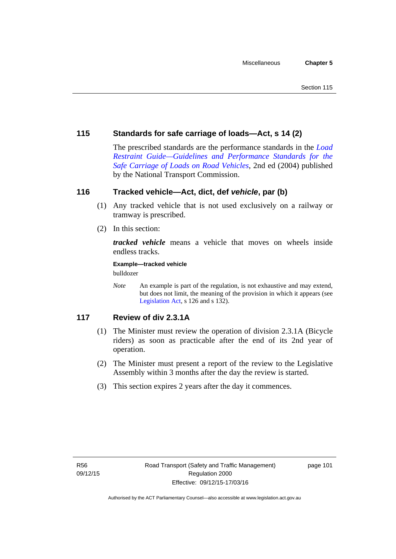# **115 Standards for safe carriage of loads—Act, s 14 (2)**

The prescribed standards are the performance standards in the *[Load](http://www.ntc.gov.au/viewpage.aspx?documentid=862)  [Restraint Guide—Guidelines and Performance Standards for the](http://www.ntc.gov.au/viewpage.aspx?documentid=862)  [Safe Carriage of Loads on Road Vehicles](http://www.ntc.gov.au/viewpage.aspx?documentid=862)*, 2nd ed (2004) published by the National Transport Commission.

# **116 Tracked vehicle—Act, dict, def** *vehicle***, par (b)**

- (1) Any tracked vehicle that is not used exclusively on a railway or tramway is prescribed.
- (2) In this section:

*tracked vehicle* means a vehicle that moves on wheels inside endless tracks.

**Example—tracked vehicle** 

bulldozer

*Note* An example is part of the regulation, is not exhaustive and may extend, but does not limit, the meaning of the provision in which it appears (see [Legislation Act,](http://www.legislation.act.gov.au/a/2001-14) s 126 and s 132).

# **117 Review of div 2.3.1A**

- (1) The Minister must review the operation of division 2.3.1A (Bicycle riders) as soon as practicable after the end of its 2nd year of operation.
- (2) The Minister must present a report of the review to the Legislative Assembly within 3 months after the day the review is started.
- (3) This section expires 2 years after the day it commences.

page 101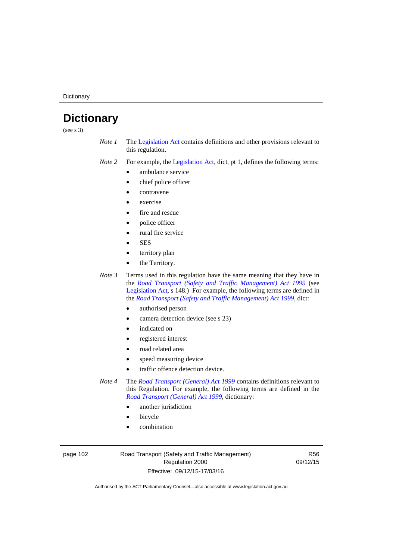**Dictionary** 

# **Dictionary**

(see s 3)

- *Note 1* The [Legislation Act](http://www.legislation.act.gov.au/a/2001-14) contains definitions and other provisions relevant to this regulation.
- *Note 2* For example, the [Legislation Act,](http://www.legislation.act.gov.au/a/2001-14) dict, pt 1, defines the following terms:
	- ambulance service
	- chief police officer
	- contravene
	- exercise
	- fire and rescue
	- police officer
	- rural fire service
	- **SES**
	- territory plan
	- the Territory.

*Note 3* Terms used in this regulation have the same meaning that they have in the *[Road Transport \(Safety and Traffic Management\) Act 1999](http://www.legislation.act.gov.au/a/1999-80)* (see [Legislation Act,](http://www.legislation.act.gov.au/a/2001-14) s 148.) For example, the following terms are defined in the *[Road Transport \(Safety and Traffic Management\) Act 1999](http://www.legislation.act.gov.au/a/1999-80)*, dict:

- authorised person
- camera detection device (see s 23)
- indicated on
- registered interest
- road related area
- speed measuring device
- traffic offence detection device.

*Note 4* The *[Road Transport \(General\) Act 1999](http://www.legislation.act.gov.au/a/1999-77)* contains definitions relevant to this Regulation. For example, the following terms are defined in the *[Road Transport \(General\) Act 1999](http://www.legislation.act.gov.au/a/1999-77)*, dictionary:

- another jurisdiction
- bicycle
- combination

page 102 Road Transport (Safety and Traffic Management) Regulation 2000 Effective: 09/12/15-17/03/16

R56 09/12/15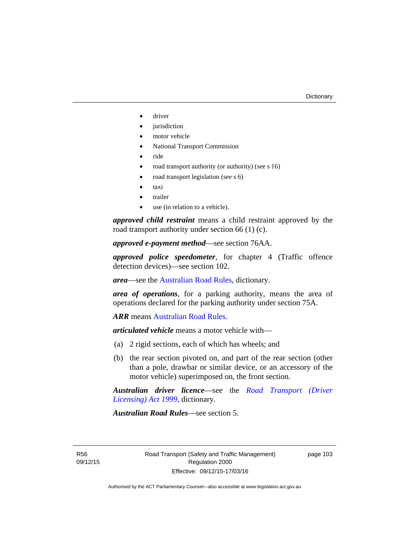- driver
- jurisdiction
- motor vehicle
- National Transport Commission
- ride
- road transport authority (or authority) (see s 16)
- road transport legislation (see s 6)
- taxi
- trailer
- use (in relation to a vehicle).

*approved child restraint* means a child restraint approved by the road transport authority under section 66 (1) (c).

*approved e-payment method*—see section 76AA.

*approved police speedometer*, for chapter 4 (Traffic offence detection devices)—see section 102.

*area*—see the [Australian Road Rules,](http://www.legislation.act.gov.au//ni/db_37271/default.asp) dictionary.

*area of operations*, for a parking authority, means the area of operations declared for the parking authority under section 75A.

*ARR* means [Australian Road Rules](http://www.legislation.act.gov.au//ni/db_37271/default.asp).

*articulated vehicle* means a motor vehicle with—

- (a) 2 rigid sections, each of which has wheels; and
- (b) the rear section pivoted on, and part of the rear section (other than a pole, drawbar or similar device, or an accessory of the motor vehicle) superimposed on, the front section.

*Australian driver licence*—see the *[Road Transport \(Driver](http://www.legislation.act.gov.au/a/1999-78)  [Licensing\) Act 1999](http://www.legislation.act.gov.au/a/1999-78)*, dictionary.

*Australian Road Rules*—see section 5.

R56 09/12/15 page 103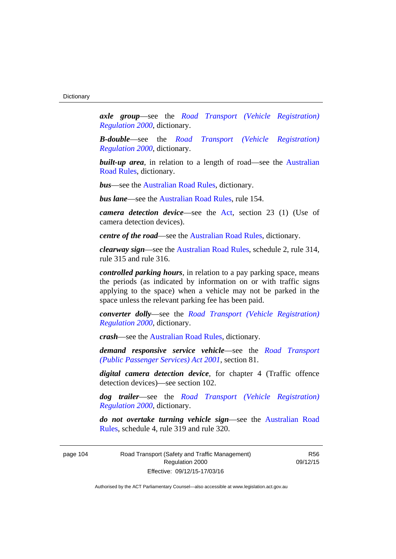*axle group*—see the *[Road Transport \(Vehicle Registration\)](http://www.legislation.act.gov.au/sl/2000-12)  [Regulation 2000](http://www.legislation.act.gov.au/sl/2000-12)*, dictionary.

*B-double*—see the *[Road Transport \(Vehicle Registration\)](http://www.legislation.act.gov.au/sl/2000-12)  [Regulation 2000](http://www.legislation.act.gov.au/sl/2000-12)*, dictionary.

**built-up area**, in relation to a length of road—see the Australian [Road Rules,](http://www.legislation.act.gov.au//ni/db_37271/default.asp) dictionary.

*bus*—see the [Australian Road Rules,](http://www.legislation.act.gov.au//ni/db_37271/default.asp) dictionary.

*bus lane*—see the [Australian Road Rules](http://www.legislation.act.gov.au//ni/db_37271/default.asp), rule 154.

*camera detection device*—see the [Act](http://www.legislation.act.gov.au/a/1999-80/default.asp), section 23 (1) (Use of camera detection devices).

*centre of the road*—see the [Australian Road Rules](http://www.legislation.act.gov.au//ni/db_37271/default.asp), dictionary.

*clearway sign*—see the [Australian Road Rules,](http://www.legislation.act.gov.au//ni/db_37271/default.asp) schedule 2, rule 314, rule 315 and rule 316.

*controlled parking hours*, in relation to a pay parking space, means the periods (as indicated by information on or with traffic signs applying to the space) when a vehicle may not be parked in the space unless the relevant parking fee has been paid.

*converter dolly*—see the *[Road Transport \(Vehicle Registration\)](http://www.legislation.act.gov.au/sl/2000-12)  [Regulation 2000](http://www.legislation.act.gov.au/sl/2000-12)*, dictionary.

*crash*—see the [Australian Road Rules](http://www.legislation.act.gov.au//ni/db_37271/default.asp), dictionary.

*demand responsive service vehicle*—see the *[Road Transport](http://www.legislation.act.gov.au/a/2001-62)  [\(Public Passenger Services\) Act 2001](http://www.legislation.act.gov.au/a/2001-62)*, section 81.

*digital camera detection device*, for chapter 4 (Traffic offence detection devices)—see section 102.

*dog trailer*—see the *[Road Transport \(Vehicle Registration\)](http://www.legislation.act.gov.au/sl/2000-12)  [Regulation 2000](http://www.legislation.act.gov.au/sl/2000-12)*, dictionary.

*do not overtake turning vehicle sign*—see the [Australian Road](http://www.legislation.act.gov.au//ni/db_37271/default.asp)  [Rules](http://www.legislation.act.gov.au//ni/db_37271/default.asp), schedule 4, rule 319 and rule 320.

page 104 Road Transport (Safety and Traffic Management) Regulation 2000 Effective: 09/12/15-17/03/16

R56 09/12/15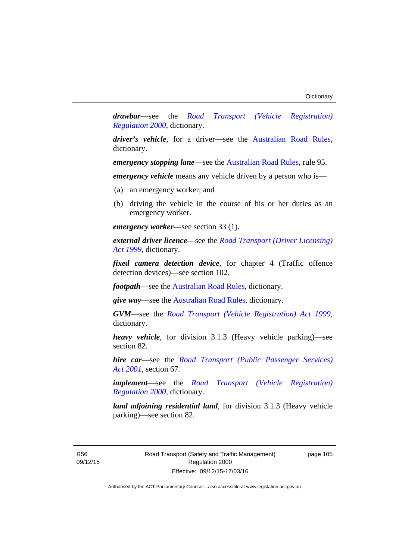*drawbar*—see the *[Road Transport \(Vehicle Registration\)](http://www.legislation.act.gov.au/sl/2000-12)  [Regulation 2000](http://www.legislation.act.gov.au/sl/2000-12)*, dictionary.

*driver's vehicle*, for a driver*—*see the [Australian Road Rules](http://www.legislation.act.gov.au//ni/db_37271/default.asp), dictionary.

*emergency stopping lane—see the [Australian Road Rules](http://www.legislation.act.gov.au//ni/db_37271/default.asp), rule 95.* 

*emergency vehicle* means any vehicle driven by a person who is—

- (a) an emergency worker; and
- (b) driving the vehicle in the course of his or her duties as an emergency worker.

*emergency worker*—see section 33 (1).

*external driver licence*—see the *[Road Transport \(Driver Licensing\)](http://www.legislation.act.gov.au/a/1999-78)  [Act 1999](http://www.legislation.act.gov.au/a/1999-78)*, dictionary.

*fixed camera detection device*, for chapter 4 (Traffic offence detection devices)—see section 102.

*footpath*—see the [Australian Road Rules](http://www.legislation.act.gov.au//ni/db_37271/default.asp), dictionary.

*give way*—see the [Australian Road Rules](http://www.legislation.act.gov.au//ni/db_37271/default.asp), dictionary.

*GVM*—see the *[Road Transport \(Vehicle Registration\) Act 1999](http://www.legislation.act.gov.au/a/1999-81)*, dictionary.

*heavy vehicle*, for division 3.1.3 (Heavy vehicle parking)—see section 82.

*hire car*—see the *[Road Transport \(Public Passenger Services\)](http://www.legislation.act.gov.au/a/2001-62)  [Act 2001](http://www.legislation.act.gov.au/a/2001-62)*, section 67.

*implement*—see the *[Road Transport \(Vehicle Registration\)](http://www.legislation.act.gov.au/sl/2000-12)  [Regulation 2000](http://www.legislation.act.gov.au/sl/2000-12)*, dictionary.

*land adjoining residential land*, for division 3.1.3 (Heavy vehicle parking)—see section 82.

R56 09/12/15 Road Transport (Safety and Traffic Management) Regulation 2000 Effective: 09/12/15-17/03/16

page 105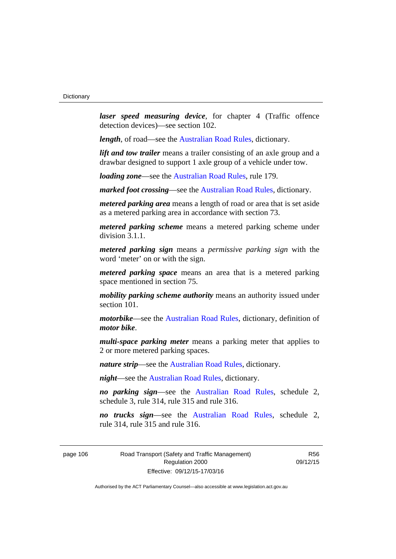*laser speed measuring device*, for chapter 4 (Traffic offence detection devices)—see section 102.

*length*, of road—see the [Australian Road Rules](http://www.legislation.act.gov.au//ni/db_37271/default.asp), dictionary.

*lift and tow trailer* means a trailer consisting of an axle group and a drawbar designed to support 1 axle group of a vehicle under tow.

*loading zone*—see the [Australian Road Rules,](http://www.legislation.act.gov.au//ni/db_37271/default.asp) rule 179.

*marked foot crossing*—see the [Australian Road Rules,](http://www.legislation.act.gov.au//ni/db_37271/default.asp) dictionary.

*metered parking area* means a length of road or area that is set aside as a metered parking area in accordance with section 73.

*metered parking scheme* means a metered parking scheme under division 3.1.1.

*metered parking sign* means a *permissive parking sign* with the word 'meter' on or with the sign.

*metered parking space* means an area that is a metered parking space mentioned in section 75.

*mobility parking scheme authority* means an authority issued under section 101.

*motorbike*—see the [Australian Road Rules,](http://www.legislation.act.gov.au//ni/db_37271/default.asp) dictionary, definition of *motor bike*.

*multi-space parking meter* means a parking meter that applies to 2 or more metered parking spaces.

*nature strip*—see the [Australian Road Rules](http://www.legislation.act.gov.au//ni/db_37271/default.asp), dictionary.

*night*—see the [Australian Road Rules,](http://www.legislation.act.gov.au//ni/db_37271/default.asp) dictionary.

*no parking sign*—see the [Australian Road Rules](http://www.legislation.act.gov.au//ni/db_37271/default.asp), schedule 2, schedule 3, rule 314, rule 315 and rule 316.

*no trucks sign*—see the [Australian Road Rules,](http://www.legislation.act.gov.au//ni/db_37271/default.asp) schedule 2, rule 314, rule 315 and rule 316.

page 106 Road Transport (Safety and Traffic Management) Regulation 2000 Effective: 09/12/15-17/03/16

R56 09/12/15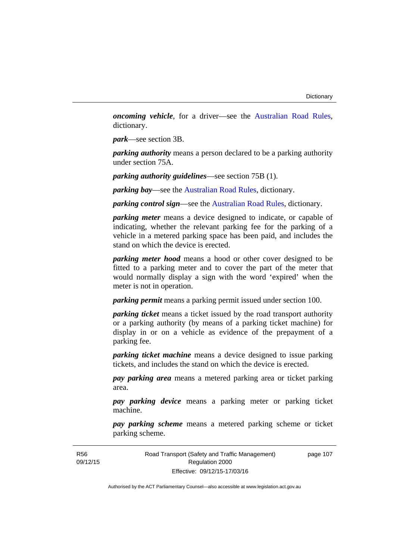*oncoming vehicle*, for a driver—see the [Australian Road Rules](http://www.legislation.act.gov.au//ni/db_37271/default.asp), dictionary.

*park*—see section 3B.

*parking authority* means a person declared to be a parking authority under section 75A.

*parking authority guidelines*—see section 75B (1).

*parking bay*—see the [Australian Road Rules,](http://www.legislation.act.gov.au//ni/db_37271/default.asp) dictionary.

*parking control sign*—see the [Australian Road Rules](http://www.legislation.act.gov.au//ni/db_37271/default.asp), dictionary.

*parking meter* means a device designed to indicate, or capable of indicating, whether the relevant parking fee for the parking of a vehicle in a metered parking space has been paid, and includes the stand on which the device is erected.

*parking meter hood* means a hood or other cover designed to be fitted to a parking meter and to cover the part of the meter that would normally display a sign with the word 'expired' when the meter is not in operation.

*parking permit* means a parking permit issued under section 100.

*parking ticket* means a ticket issued by the road transport authority or a parking authority (by means of a parking ticket machine) for display in or on a vehicle as evidence of the prepayment of a parking fee.

*parking ticket machine* means a device designed to issue parking tickets, and includes the stand on which the device is erected.

*pay parking area* means a metered parking area or ticket parking area.

*pay parking device* means a parking meter or parking ticket machine.

*pay parking scheme* means a metered parking scheme or ticket parking scheme.

Road Transport (Safety and Traffic Management) Regulation 2000 Effective: 09/12/15-17/03/16

page 107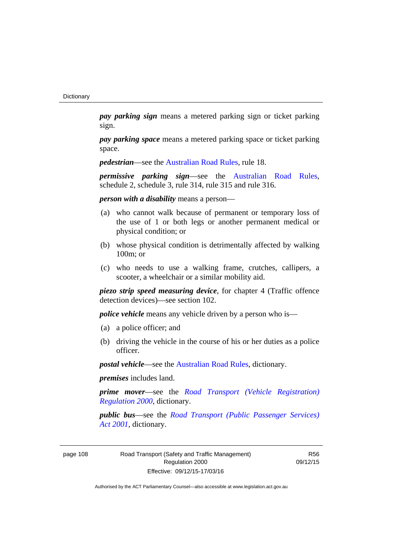*pay parking sign* means a metered parking sign or ticket parking sign.

*pay parking space* means a metered parking space or ticket parking space.

*pedestrian***—see the [Australian Road Rules](http://www.legislation.act.gov.au//ni/db_37271/default.asp)**, rule 18.

*permissive parking sign*—see the [Australian Road Rules](http://www.legislation.act.gov.au//ni/db_37271/default.asp), schedule 2, schedule 3, rule 314, rule 315 and rule 316.

*person with a disability* means a person—

- (a) who cannot walk because of permanent or temporary loss of the use of 1 or both legs or another permanent medical or physical condition; or
- (b) whose physical condition is detrimentally affected by walking 100m; or
- (c) who needs to use a walking frame, crutches, callipers, a scooter, a wheelchair or a similar mobility aid.

*piezo strip speed measuring device*, for chapter 4 (Traffic offence detection devices)—see section 102.

*police vehicle* means any vehicle driven by a person who is—

- (a) a police officer; and
- (b) driving the vehicle in the course of his or her duties as a police officer.

*postal vehicle*—see the [Australian Road Rules,](http://www.legislation.act.gov.au//ni/db_37271/default.asp) dictionary.

*premises* includes land.

*prime mover*—see the *[Road Transport \(Vehicle Registration\)](http://www.legislation.act.gov.au/sl/2000-12)  [Regulation 2000](http://www.legislation.act.gov.au/sl/2000-12)*, dictionary.

*public bus*—see the *[Road Transport \(Public Passenger Services\)](http://www.legislation.act.gov.au/a/2001-62)  [Act 2001](http://www.legislation.act.gov.au/a/2001-62)*, dictionary.

page 108 Road Transport (Safety and Traffic Management) Regulation 2000 Effective: 09/12/15-17/03/16

R56 09/12/15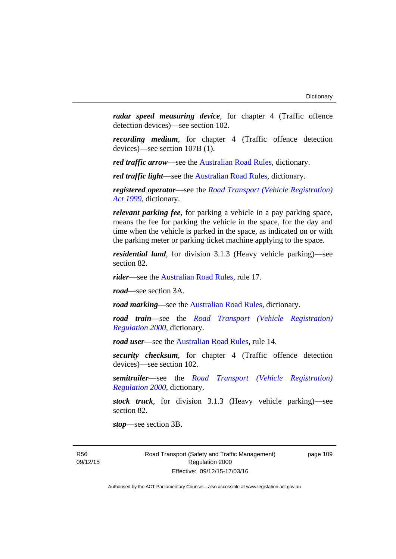*radar speed measuring device*, for chapter 4 (Traffic offence detection devices)—see section 102.

*recording medium*, for chapter 4 (Traffic offence detection devices)—see section 107B (1).

*red traffic arrow*—see the [Australian Road Rules,](http://www.legislation.act.gov.au//ni/db_37271/default.asp) dictionary.

*red traffic light*—see the [Australian Road Rules](http://www.legislation.act.gov.au//ni/db_37271/default.asp), dictionary.

*registered operator*—see the *[Road Transport \(Vehicle Registration\)](http://www.legislation.act.gov.au/a/1999-81)  [Act 1999](http://www.legislation.act.gov.au/a/1999-81)*, dictionary.

*relevant parking fee*, for parking a vehicle in a pay parking space, means the fee for parking the vehicle in the space, for the day and time when the vehicle is parked in the space, as indicated on or with the parking meter or parking ticket machine applying to the space.

*residential land*, for division 3.1.3 (Heavy vehicle parking)—see section 82.

*rider*—see the [Australian Road Rules,](http://www.legislation.act.gov.au//ni/db_37271/default.asp) rule 17.

*road*—see section 3A.

*road marking*—see the [Australian Road Rules](http://www.legislation.act.gov.au//ni/db_37271/default.asp), dictionary.

*road train*—see the *[Road Transport \(Vehicle Registration\)](http://www.legislation.act.gov.au/sl/2000-12)  [Regulation 2000](http://www.legislation.act.gov.au/sl/2000-12)*, dictionary.

*road user***—see the Australian Road Rules**, rule 14.

*security checksum*, for chapter 4 (Traffic offence detection devices)—see section 102.

*semitrailer*—see the *[Road Transport \(Vehicle Registration\)](http://www.legislation.act.gov.au/sl/2000-12)  [Regulation 2000](http://www.legislation.act.gov.au/sl/2000-12)*, dictionary.

*stock truck*, for division 3.1.3 (Heavy vehicle parking)—see section 82.

*stop*—see section 3B.

R56 09/12/15 Road Transport (Safety and Traffic Management) Regulation 2000 Effective: 09/12/15-17/03/16

page 109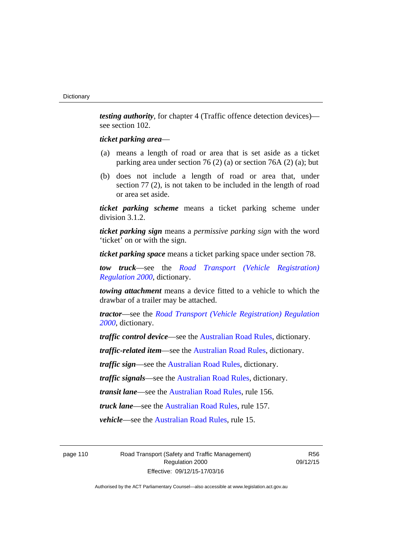*testing authority*, for chapter 4 (Traffic offence detection devices) see section 102.

# *ticket parking area*—

- (a) means a length of road or area that is set aside as a ticket parking area under section 76 (2) (a) or section 76A (2) (a); but
- (b) does not include a length of road or area that, under section 77 (2), is not taken to be included in the length of road or area set aside.

*ticket parking scheme* means a ticket parking scheme under division 3.1.2.

*ticket parking sign* means a *permissive parking sign* with the word 'ticket' on or with the sign.

*ticket parking space* means a ticket parking space under section 78.

*tow truck*—see the *[Road Transport \(Vehicle Registration\)](http://www.legislation.act.gov.au/sl/2000-12)  [Regulation 2000](http://www.legislation.act.gov.au/sl/2000-12)*, dictionary.

*towing attachment* means a device fitted to a vehicle to which the drawbar of a trailer may be attached.

*tractor*—see the *[Road Transport \(Vehicle Registration\) Regulation](http://www.legislation.act.gov.au/sl/2000-12)  [2000](http://www.legislation.act.gov.au/sl/2000-12)*, dictionary.

*traffic control device*—see the [Australian Road Rules](http://www.legislation.act.gov.au//ni/db_37271/default.asp), dictionary.

*traffic-related item*—see the [Australian Road Rules,](http://www.legislation.act.gov.au//ni/db_37271/default.asp) dictionary.

*traffic sign*—see the [Australian Road Rules](http://www.legislation.act.gov.au//ni/db_37271/default.asp), dictionary.

*traffic signals*—see the [Australian Road Rules](http://www.legislation.act.gov.au//ni/db_37271/default.asp), dictionary.

*transit lane*—see the [Australian Road Rules,](http://www.legislation.act.gov.au//ni/db_37271/default.asp) rule 156.

*truck lane*—see the [Australian Road Rules,](http://www.legislation.act.gov.au//ni/db_37271/default.asp) rule 157.

*vehicle*—see the [Australian Road Rules](http://www.legislation.act.gov.au//ni/db_37271/default.asp), rule 15.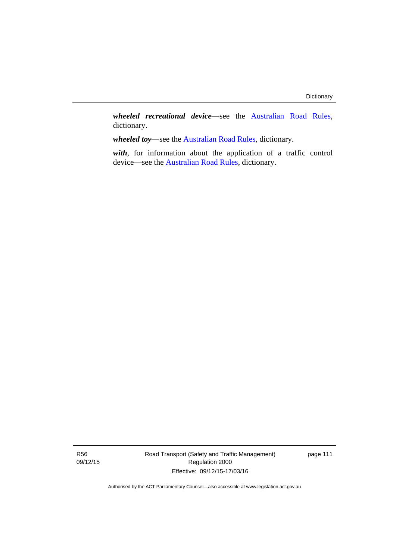*wheeled recreational device*—see the [Australian Road Rules](http://www.legislation.act.gov.au//ni/db_37271/default.asp), dictionary.

*wheeled toy*—see the [Australian Road Rules](http://www.legislation.act.gov.au//ni/db_37271/default.asp), dictionary.

*with*, for information about the application of a traffic control device—see the [Australian Road Rules](http://www.legislation.act.gov.au//ni/db_37271/default.asp), dictionary.

R56 09/12/15 Road Transport (Safety and Traffic Management) Regulation 2000 Effective: 09/12/15-17/03/16

page 111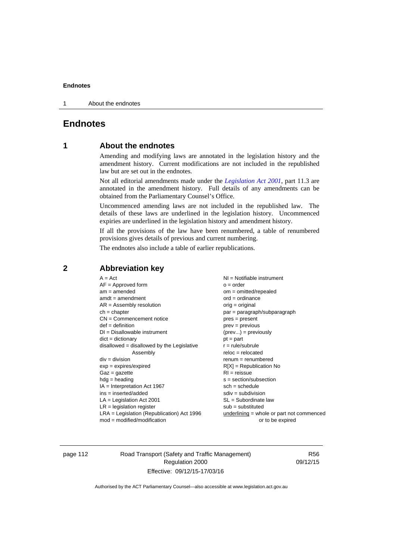1 About the endnotes

# **Endnotes**

# **1 About the endnotes**

Amending and modifying laws are annotated in the legislation history and the amendment history. Current modifications are not included in the republished law but are set out in the endnotes.

Not all editorial amendments made under the *[Legislation Act 2001](http://www.legislation.act.gov.au/a/2001-14)*, part 11.3 are annotated in the amendment history. Full details of any amendments can be obtained from the Parliamentary Counsel's Office.

Uncommenced amending laws are not included in the republished law. The details of these laws are underlined in the legislation history. Uncommenced expiries are underlined in the legislation history and amendment history.

If all the provisions of the law have been renumbered, a table of renumbered provisions gives details of previous and current numbering.

The endnotes also include a table of earlier republications.

| $A = Act$                                    | NI = Notifiable instrument                  |
|----------------------------------------------|---------------------------------------------|
| $AF =$ Approved form                         | $o = order$                                 |
| $am = amended$                               | $om = omitted/repealed$                     |
| $amdt = amendment$                           | $ord = ordinance$                           |
| $AR = Assembly resolution$                   | $orig = original$                           |
| $ch = chapter$                               | par = paragraph/subparagraph                |
| $CN =$ Commencement notice                   | $pres = present$                            |
| $def = definition$                           | prev = previous                             |
| $DI = Disallowable instrument$               | $(\text{prev}) = \text{previously}$         |
| $dict = dictionary$                          | $pt = part$                                 |
| disallowed = disallowed by the Legislative   | $r = rule/subrule$                          |
| Assembly                                     | $reloc = relocated$                         |
| $div = division$                             | $remum = renumbered$                        |
| $exp = expires/expired$                      | $R[X]$ = Republication No                   |
| $Gaz = gazette$                              | $RI = reissue$                              |
| $hdg =$ heading                              | $s = section/subsection$                    |
| $IA = Interpretation Act 1967$               | $sch = schedule$                            |
| $ins = inserted/added$                       | $sdiv = subdivision$                        |
| $LA =$ Legislation Act 2001                  | $SL = Subordinate$ law                      |
| $LR =$ legislation register                  | $sub =$ substituted                         |
| $LRA =$ Legislation (Republication) Act 1996 | $underlining = whole or part not commenced$ |
| $mod = modified/modification$                | or to be expired                            |
|                                              |                                             |

# **2 Abbreviation key**

page 112 Road Transport (Safety and Traffic Management) Regulation 2000 Effective: 09/12/15-17/03/16

R56 09/12/15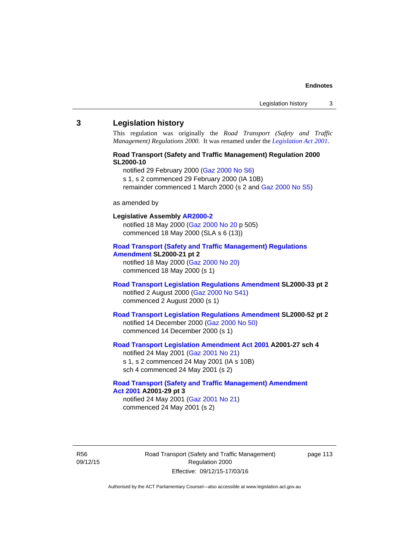#### **3 Legislation history**

This regulation was originally the *Road Transport (Safety and Traffic Management) Regulations 2000*. It was renamed under the *[Legislation Act 2001](http://www.legislation.act.gov.au/a/2001-14)*.

# **Road Transport (Safety and Traffic Management) Regulation 2000 SL2000-10**

notified 29 February 2000 [\(Gaz 2000 No S6](http://www.legislation.act.gov.au/gaz/2000-S6/default.asp))

s 1, s 2 commenced 29 February 2000 (IA 10B)

remainder commenced 1 March 2000 (s 2 and [Gaz 2000 No S5\)](http://www.legislation.act.gov.au/gaz/2000-S5/default.asp)

#### as amended by

# **Legislative Assembly [AR2000-2](http://www.legislation.act.gov.au/ar/2000-2/default.asp)**

notified 18 May 2000 ([Gaz 2000 No 20 p](http://www.legislation.act.gov.au/gaz/2000-20/default.asp) 505) commenced 18 May 2000 (SLA s 6 (13))

#### **[Road Transport \(Safety and Traffic Management\) Regulations](http://www.legislation.act.gov.au/sl/2000-21/default.asp)  [Amendment](http://www.legislation.act.gov.au/sl/2000-21/default.asp) SL2000-21 pt 2**

notified 18 May 2000 ([Gaz 2000 No 20\)](http://www.legislation.act.gov.au/gaz/2000-20/default.asp) commenced 18 May 2000 (s 1)

# **[Road Transport Legislation Regulations Amendment](http://www.legislation.act.gov.au/sl/2000-33/default.asp) SL2000-33 pt 2**  notified 2 August 2000 ([Gaz 2000 No S41](http://www.legislation.act.gov.au/gaz/2000-S41/default.asp)) commenced 2 August 2000 (s 1)

# **[Road Transport Legislation Regulations Amendment](http://www.legislation.act.gov.au/sl/2000-52/default.asp) SL2000-52 pt 2**  notified 14 December 2000 [\(Gaz 2000 No 50](http://www.legislation.act.gov.au/gaz/2000-50/default.asp)) commenced 14 December 2000 (s 1)

# **[Road Transport Legislation Amendment Act 2001](http://www.legislation.act.gov.au/a/2001-27) A2001-27 sch 4**

notified 24 May 2001 ([Gaz 2001 No 21\)](http://www.legislation.act.gov.au/gaz/2001-21/default.asp) s 1, s 2 commenced 24 May 2001 (IA s 10B) sch 4 commenced 24 May 2001 (s 2)

# **[Road Transport \(Safety and Traffic Management\) Amendment](http://www.legislation.act.gov.au/a/2001-29)  [Act 2001](http://www.legislation.act.gov.au/a/2001-29) A2001-29 pt 3**  notified 24 May 2001 ([Gaz 2001 No 21\)](http://www.legislation.act.gov.au/gaz/2001-21/default.asp)

commenced 24 May 2001 (s 2)

R56 09/12/15 Road Transport (Safety and Traffic Management) Regulation 2000 Effective: 09/12/15-17/03/16

page 113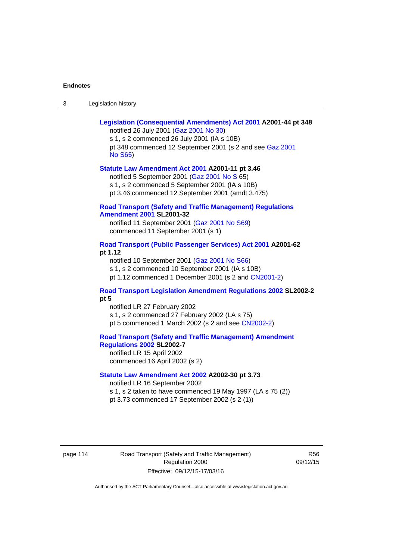| Legislation history<br>-3 |
|---------------------------|
|---------------------------|

| Legislation (Consequential Amendments) Act 2001 A2001-44 pt 348<br>notified 26 July 2001 (Gaz 2001 No 30)<br>s 1, s 2 commenced 26 July 2001 (IA s 10B)<br>pt 348 commenced 12 September 2001 (s 2 and see Gaz 2001<br><b>No S65)</b> |
|---------------------------------------------------------------------------------------------------------------------------------------------------------------------------------------------------------------------------------------|
| Statute Law Amendment Act 2001 A2001-11 pt 3.46<br>notified 5 September 2001 (Gaz 2001 No S 65)<br>s 1, s 2 commenced 5 September 2001 (IA s 10B)<br>pt 3.46 commenced 12 September 2001 (amdt 3.475)                                 |
| <b>Road Transport (Safety and Traffic Management) Regulations</b><br><b>Amendment 2001 SL2001-32</b><br>notified 11 September 2001 (Gaz 2001 No S69)<br>commenced 11 September 2001 (s 1)                                             |
| Road Transport (Public Passenger Services) Act 2001 A2001-62<br>pt 1.12<br>notified 10 September 2001 (Gaz 2001 No S66)<br>s 1, s 2 commenced 10 September 2001 (IA s 10B)<br>pt 1.12 commenced 1 December 2001 (s 2 and CN2001-2)    |
| <b>Road Transport Legislation Amendment Regulations 2002 SL2002-2</b><br>pt 5<br>notified LR 27 February 2002<br>s 1, s 2 commenced 27 February 2002 (LA s 75)<br>pt 5 commenced 1 March 2002 (s 2 and see CN2002-2)                  |
| <b>Road Transport (Safety and Traffic Management) Amendment</b><br>Regulations 2002 SL2002-7<br>notified LR 15 April 2002<br>commenced 16 April 2002 (s 2)                                                                            |
| Statute Law Amendment Act 2002 A2002-30 pt 3.73<br>notified LR 16 September 2002<br>s 1, s 2 taken to have commenced 19 May 1997 (LA s 75 (2))<br>pt 3.73 commenced 17 September 2002 (s 2 (1))                                       |

page 114 Road Transport (Safety and Traffic Management) Regulation 2000 Effective: 09/12/15-17/03/16

R56 09/12/15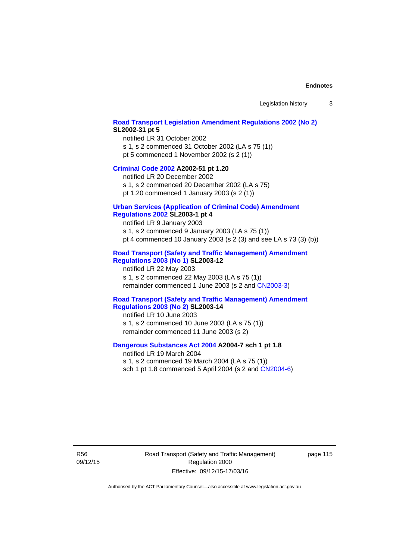## **[Road Transport Legislation Amendment Regulations 2002 \(No 2\)](http://www.legislation.act.gov.au/sl/2002-31) SL2002-31 pt 5**

notified LR 31 October 2002 s 1, s 2 commenced 31 October 2002 (LA s 75 (1)) pt 5 commenced 1 November 2002 (s 2 (1))

#### **[Criminal Code 2002](http://www.legislation.act.gov.au/a/2002-51) A2002-51 pt 1.20**

notified LR 20 December 2002 s 1, s 2 commenced 20 December 2002 (LA s 75)

pt 1.20 commenced 1 January 2003 (s 2 (1))

# **[Urban Services \(Application of Criminal Code\) Amendment](http://www.legislation.act.gov.au/sl/2003-1)**

# **[Regulations 2002](http://www.legislation.act.gov.au/sl/2003-1) SL2003-1 pt 4**

notified LR 9 January 2003 s 1, s 2 commenced 9 January 2003 (LA s 75 (1)) pt 4 commenced 10 January 2003 (s 2 (3) and see LA s 73 (3) (b))

# **[Road Transport \(Safety and Traffic Management\) Amendment](http://www.legislation.act.gov.au/sl/2003-12)  [Regulations 2003 \(No 1\)](http://www.legislation.act.gov.au/sl/2003-12) SL2003-12**

notified LR 22 May 2003 s 1, s 2 commenced 22 May 2003 (LA s 75 (1)) remainder commenced 1 June 2003 (s 2 and [CN2003-3](http://www.legislation.act.gov.au/cn/2003-3/default.asp))

# **[Road Transport \(Safety and Traffic Management\) Amendment](http://www.legislation.act.gov.au/sl/2003-14)  [Regulations 2003 \(No 2\)](http://www.legislation.act.gov.au/sl/2003-14) SL2003-14**

notified LR 10 June 2003 s 1, s 2 commenced 10 June 2003 (LA s 75 (1)) remainder commenced 11 June 2003 (s 2)

# **[Dangerous Substances Act 2004](http://www.legislation.act.gov.au/a/2004-7) A2004-7 sch 1 pt 1.8**

notified LR 19 March 2004 s 1, s 2 commenced 19 March 2004 (LA s 75 (1)) sch 1 pt 1.8 commenced 5 April 2004 (s 2 and [CN2004-6](http://www.legislation.act.gov.au/cn/2004-6/default.asp))

R56 09/12/15 Road Transport (Safety and Traffic Management) Regulation 2000 Effective: 09/12/15-17/03/16

page 115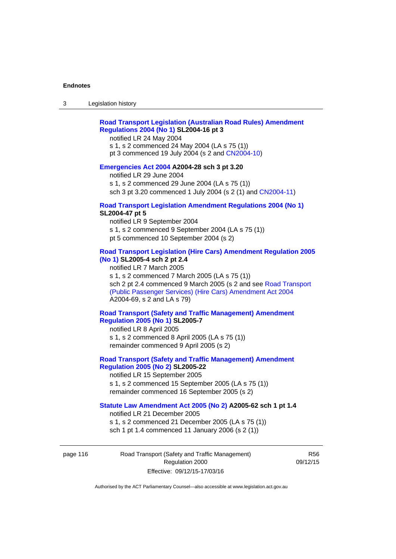# **[Road Transport Legislation \(Australian Road Rules\) Amendment](http://www.legislation.act.gov.au/sl/2004-16)  [Regulations 2004 \(No 1\)](http://www.legislation.act.gov.au/sl/2004-16) SL2004-16 pt 3**

notified LR 24 May 2004

s 1, s 2 commenced 24 May 2004 (LA s 75 (1)) pt 3 commenced 19 July 2004 (s 2 and [CN2004-10](http://www.legislation.act.gov.au/cn/2004-10/default.asp))

# **[Emergencies Act 2004](http://www.legislation.act.gov.au/a/2004-28) A2004-28 sch 3 pt 3.20**

notified LR 29 June 2004 s 1, s 2 commenced 29 June 2004 (LA s 75 (1)) sch 3 pt 3.20 commenced 1 July 2004 (s 2 (1) and [CN2004-11](http://www.legislation.act.gov.au/cn/2004-11/default.asp))

#### **[Road Transport Legislation Amendment Regulations 2004 \(No 1\)](http://www.legislation.act.gov.au/sl/2004-47) SL2004-47 pt 5**

notified LR 9 September 2004 s 1, s 2 commenced 9 September 2004 (LA s 75 (1)) pt 5 commenced 10 September 2004 (s 2)

# **[Road Transport Legislation \(Hire Cars\) Amendment Regulation 2005](http://www.legislation.act.gov.au/sl/2005-4)  [\(No 1\)](http://www.legislation.act.gov.au/sl/2005-4) SL2005-4 sch 2 pt 2.4**

notified LR 7 March 2005 s 1, s 2 commenced 7 March 2005 (LA s 75 (1)) sch 2 pt 2.4 commenced 9 March 2005 (s 2 and see [Road Transport](http://www.legislation.act.gov.au/a/2004-69)  [\(Public Passenger Services\) \(Hire Cars\) Amendment Act 2004](http://www.legislation.act.gov.au/a/2004-69) A2004-69, s 2 and LA s 79)

# **[Road Transport \(Safety and Traffic Management\) Amendment](http://www.legislation.act.gov.au/sl/2005-7)  [Regulation 2005 \(No 1\)](http://www.legislation.act.gov.au/sl/2005-7) SL2005-7**

notified LR 8 April 2005 s 1, s 2 commenced 8 April 2005 (LA s 75 (1)) remainder commenced 9 April 2005 (s 2)

# **[Road Transport \(Safety and Traffic Management\) Amendment](http://www.legislation.act.gov.au/sl/2005-22)  [Regulation 2005 \(No 2\)](http://www.legislation.act.gov.au/sl/2005-22) SL2005-22**

notified LR 15 September 2005 s 1, s 2 commenced 15 September 2005 (LA s 75 (1)) remainder commenced 16 September 2005 (s 2)

# **[Statute Law Amendment Act 2005 \(No 2\)](http://www.legislation.act.gov.au/a/2005-62) A2005-62 sch 1 pt 1.4**

notified LR 21 December 2005 s 1, s 2 commenced 21 December 2005 (LA s 75 (1)) sch 1 pt 1.4 commenced 11 January 2006 (s 2 (1))

page 116 Road Transport (Safety and Traffic Management) Regulation 2000 Effective: 09/12/15-17/03/16

R56 09/12/15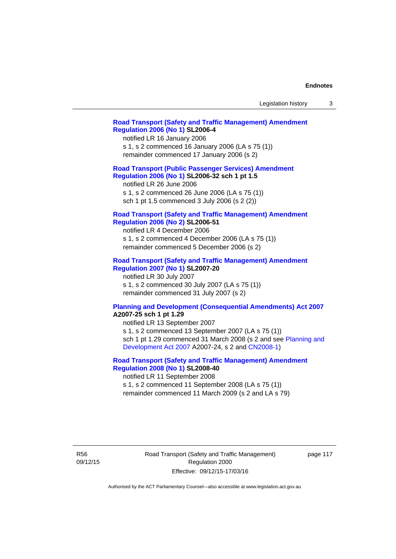| Legislation history |  |
|---------------------|--|
|---------------------|--|

# **[Road Transport \(Safety and Traffic Management\) Amendment](http://www.legislation.act.gov.au/sl/2006-4)  [Regulation 2006 \(No 1\)](http://www.legislation.act.gov.au/sl/2006-4) SL2006-4**

notified LR 16 January 2006 s 1, s 2 commenced 16 January 2006 (LA s 75 (1)) remainder commenced 17 January 2006 (s 2)

# **[Road Transport \(Public Passenger Services\) Amendment](http://www.legislation.act.gov.au/sl/2006-32)  [Regulation 2006 \(No 1\)](http://www.legislation.act.gov.au/sl/2006-32) SL2006-32 sch 1 pt 1.5**

notified LR 26 June 2006 s 1, s 2 commenced 26 June 2006 (LA s 75 (1)) sch 1 pt 1.5 commenced 3 July 2006 (s 2 (2))

#### **[Road Transport \(Safety and Traffic Management\) Amendment](http://www.legislation.act.gov.au/sl/2006-51)  [Regulation 2006 \(No 2\)](http://www.legislation.act.gov.au/sl/2006-51) SL2006-51**

notified LR 4 December 2006 s 1, s 2 commenced 4 December 2006 (LA s 75 (1)) remainder commenced 5 December 2006 (s 2)

# **[Road Transport \(Safety and Traffic Management\) Amendment](http://www.legislation.act.gov.au/sl/2007-20)**

**[Regulation 2007 \(No 1\)](http://www.legislation.act.gov.au/sl/2007-20) SL2007-20**  notified LR 30 July 2007 s 1, s 2 commenced 30 July 2007 (LA s 75 (1)) remainder commenced 31 July 2007 (s 2)

#### **[Planning and Development \(Consequential Amendments\) Act 2007](http://www.legislation.act.gov.au/a/2007-25) A2007-25 sch 1 pt 1.29**

notified LR 13 September 2007 s 1, s 2 commenced 13 September 2007 (LA s 75 (1)) sch 1 pt 1.29 commenced 31 March 2008 (s 2 and see [Planning and](http://www.legislation.act.gov.au/a/2007-24)  [Development Act 2007](http://www.legislation.act.gov.au/a/2007-24) A2007-24, s 2 and [CN2008-1](http://www.legislation.act.gov.au/cn/2008-1/default.asp))

# **[Road Transport \(Safety and Traffic Management\) Amendment](http://www.legislation.act.gov.au/sl/2008-40)  [Regulation 2008 \(No 1\)](http://www.legislation.act.gov.au/sl/2008-40) SL2008-40**

notified LR 11 September 2008 s 1, s 2 commenced 11 September 2008 (LA s 75 (1)) remainder commenced 11 March 2009 (s 2 and LA s 79)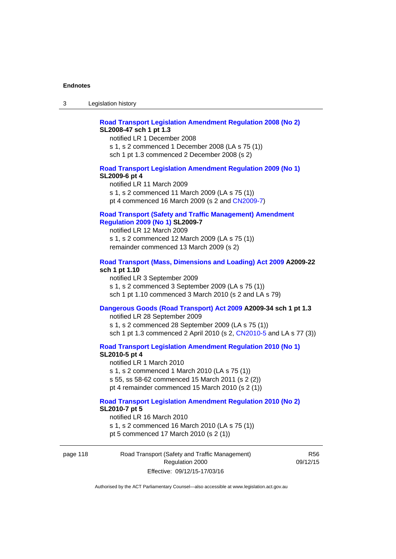# **[Road Transport Legislation Amendment Regulation 2008 \(No 2\)](http://www.legislation.act.gov.au/sl/2008-47) SL2008-47 sch 1 pt 1.3**

notified LR 1 December 2008 s 1, s 2 commenced 1 December 2008 (LA s 75 (1)) sch 1 pt 1.3 commenced 2 December 2008 (s 2)

# **[Road Transport Legislation Amendment Regulation 2009 \(No 1\)](http://www.legislation.act.gov.au/sl/2009-6) SL2009-6 pt 4**

notified LR 11 March 2009 s 1, s 2 commenced 11 March 2009 (LA s 75 (1)) pt 4 commenced 16 March 2009 (s 2 and [CN2009-7\)](http://www.legislation.act.gov.au/cn/2009-7/default.asp)

# **[Road Transport \(Safety and Traffic Management\) Amendment](http://www.legislation.act.gov.au/sl/2009-7)  [Regulation 2009 \(No 1\)](http://www.legislation.act.gov.au/sl/2009-7) SL2009-7**

notified LR 12 March 2009 s 1, s 2 commenced 12 March 2009 (LA s 75 (1)) remainder commenced 13 March 2009 (s 2)

#### **[Road Transport \(Mass, Dimensions and Loading\) Act 2009](http://www.legislation.act.gov.au/a/2009-22/default.asp) A2009-22 sch 1 pt 1.10**

notified LR 3 September 2009 s 1, s 2 commenced 3 September 2009 (LA s 75 (1)) sch 1 pt 1.10 commenced 3 March 2010 (s 2 and LA s 79)

# **[Dangerous Goods \(Road Transport\) Act 2009](http://www.legislation.act.gov.au/a/2009-34) A2009-34 sch 1 pt 1.3**

notified LR 28 September 2009 s 1, s 2 commenced 28 September 2009 (LA s 75 (1)) sch 1 pt 1.3 commenced 2 April 2010 (s 2, [CN2010-5 a](http://www.legislation.act.gov.au/cn/2010-5/default.asp)nd LA s 77 (3))

**[Road Transport Legislation Amendment Regulation 2010 \(No 1\)](http://www.legislation.act.gov.au/sl/2010-5)**

#### **SL2010-5 pt 4**

notified LR 1 March 2010 s 1, s 2 commenced 1 March 2010 (LA s 75 (1)) s 55, ss 58-62 commenced 15 March 2011 (s 2 (2)) pt 4 remainder commenced 15 March 2010 (s 2 (1))

#### **[Road Transport Legislation Amendment Regulation 2010 \(No 2\)](http://www.legislation.act.gov.au/sl/2010-7) SL2010-7 pt 5**  notified LR 16 March 2010

s 1, s 2 commenced 16 March 2010 (LA s 75 (1)) pt 5 commenced 17 March 2010 (s 2 (1))

page 118 Road Transport (Safety and Traffic Management) Regulation 2000 Effective: 09/12/15-17/03/16

R56 09/12/15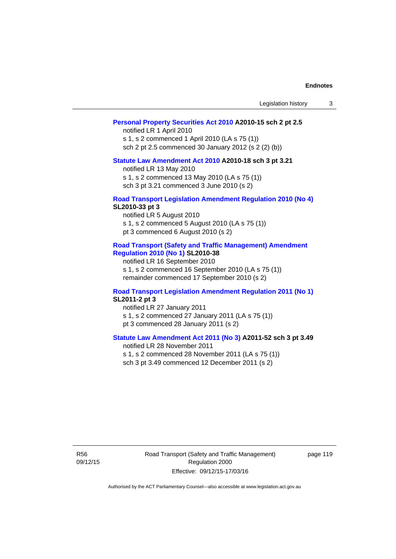| Legislation history |  |  |
|---------------------|--|--|
|---------------------|--|--|

# **[Personal Property Securities Act 2010](http://www.legislation.act.gov.au/a/2010-15) A2010-15 sch 2 pt 2.5**

notified LR 1 April 2010 s 1, s 2 commenced 1 April 2010 (LA s 75 (1)) sch 2 pt 2.5 commenced 30 January 2012 (s 2 (2) (b))

# **[Statute Law Amendment Act 2010](http://www.legislation.act.gov.au/a/2010-18) A2010-18 sch 3 pt 3.21**

notified LR 13 May 2010 s 1, s 2 commenced 13 May 2010 (LA s 75 (1)) sch 3 pt 3.21 commenced 3 June 2010 (s 2)

#### **[Road Transport Legislation Amendment Regulation 2010 \(No 4\)](http://www.legislation.act.gov.au/sl/2010-33) SL2010-33 pt 3**

notified LR 5 August 2010 s 1, s 2 commenced 5 August 2010 (LA s 75 (1)) pt 3 commenced 6 August 2010 (s 2)

#### **[Road Transport \(Safety and Traffic Management\) Amendment](http://www.legislation.act.gov.au/sl/2010-38)  [Regulation 2010 \(No 1\)](http://www.legislation.act.gov.au/sl/2010-38) SL2010-38**

notified LR 16 September 2010 s 1, s 2 commenced 16 September 2010 (LA s 75 (1)) remainder commenced 17 September 2010 (s 2)

#### **[Road Transport Legislation Amendment Regulation 2011 \(No 1\)](http://www.legislation.act.gov.au/sl/2011-2) SL2011-2 pt 3**

notified LR 27 January 2011 s 1, s 2 commenced 27 January 2011 (LA s 75 (1)) pt 3 commenced 28 January 2011 (s 2)

# **[Statute Law Amendment Act 2011 \(No 3\)](http://www.legislation.act.gov.au/a/2011-52) A2011-52 sch 3 pt 3.49**

notified LR 28 November 2011 s 1, s 2 commenced 28 November 2011 (LA s 75 (1)) sch 3 pt 3.49 commenced 12 December 2011 (s 2)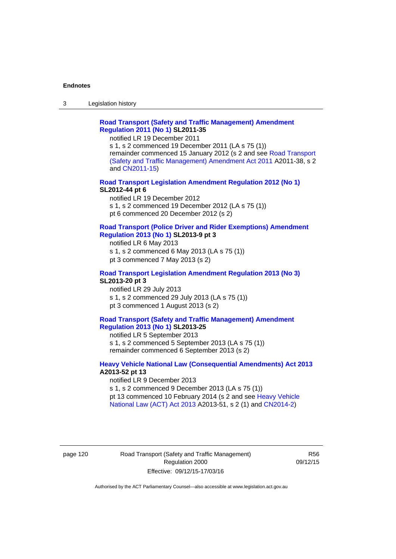3 Legislation history

# **[Road Transport \(Safety and Traffic Management\) Amendment](http://www.legislation.act.gov.au/sl/2011-35)  [Regulation 2011 \(No 1\)](http://www.legislation.act.gov.au/sl/2011-35) SL2011-35**

notified LR 19 December 2011

s 1, s 2 commenced 19 December 2011 (LA s 75 (1)) remainder commenced 15 January 2012 (s 2 and see [Road Transport](http://www.legislation.act.gov.au/a/2011-38)  [\(Safety and Traffic Management\) Amendment Act 2011](http://www.legislation.act.gov.au/a/2011-38) A2011-38, s 2 and [CN2011-15\)](http://www.legislation.act.gov.au/cn/2011-15/default.asp)

# **[Road Transport Legislation Amendment Regulation 2012 \(No 1\)](http://www.legislation.act.gov.au/sl/2012-44/default.asp) SL2012-44 pt 6**

notified LR 19 December 2012 s 1, s 2 commenced 19 December 2012 (LA s 75 (1)) pt 6 commenced 20 December 2012 (s 2)

#### **[Road Transport \(Police Driver and Rider Exemptions\) Amendment](http://www.legislation.act.gov.au/sl/2013-9/default.asp)  [Regulation 2013 \(No 1\)](http://www.legislation.act.gov.au/sl/2013-9/default.asp) SL2013-9 pt 3**

notified LR 6 May 2013 s 1, s 2 commenced 6 May 2013 (LA s 75 (1)) pt 3 commenced 7 May 2013 (s 2)

#### **[Road Transport Legislation Amendment Regulation 2013 \(No 3\)](http://www.legislation.act.gov.au/sl/2013-20) SL2013-20 pt 3**  notified LR 29 July 2013

s 1, s 2 commenced 29 July 2013 (LA s 75 (1)) pt 3 commenced 1 August 2013 (s 2)

# **[Road Transport \(Safety and Traffic Management\) Amendment](http://www.legislation.act.gov.au/sl/2013-25)  [Regulation 2013 \(No 1\)](http://www.legislation.act.gov.au/sl/2013-25) SL2013-25**

notified LR 5 September 2013 s 1, s 2 commenced 5 September 2013 (LA s 75 (1)) remainder commenced 6 September 2013 (s 2)

# **[Heavy Vehicle National Law \(Consequential Amendments\) Act 2013](http://www.legislation.act.gov.au/a/2013-52) A2013-52 pt 13**  notified LR 9 December 2013

s 1, s 2 commenced 9 December 2013 (LA s 75 (1)) pt 13 commenced 10 February 2014 (s 2 and see [Heavy Vehicle](http://www.legislation.act.gov.au/a/2013-51/default.asp)  [National Law \(ACT\) Act 2013](http://www.legislation.act.gov.au/a/2013-51/default.asp) A2013-51, s 2 (1) and [CN2014-2](http://www.legislation.act.gov.au/cn/2014-2/default.asp))

# page 120 Road Transport (Safety and Traffic Management) Regulation 2000 Effective: 09/12/15-17/03/16

R56 09/12/15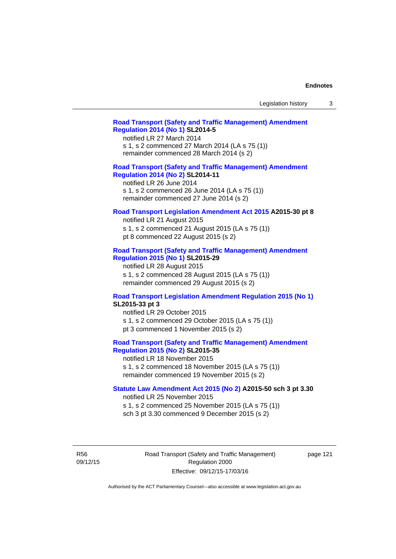| Legislation history |  |  |
|---------------------|--|--|
|---------------------|--|--|

# **[Road Transport \(Safety and Traffic Management\) Amendment](http://www.legislation.act.gov.au/sl/2014-5)  [Regulation 2014 \(No 1\)](http://www.legislation.act.gov.au/sl/2014-5) SL2014-5**

notified LR 27 March 2014 s 1, s 2 commenced 27 March 2014 (LA s 75 (1)) remainder commenced 28 March 2014 (s 2)

# **[Road Transport \(Safety and Traffic Management\) Amendment](http://www.legislation.act.gov.au/sl/2014-11)**

**[Regulation 2014 \(No 2\)](http://www.legislation.act.gov.au/sl/2014-11) SL2014-11**  notified LR 26 June 2014

s 1, s 2 commenced 26 June 2014 (LA s 75 (1)) remainder commenced 27 June 2014 (s 2)

#### **[Road Transport Legislation Amendment Act 2015](http://www.legislation.act.gov.au/a/2015-30/default.asp) A2015-30 pt 8**

notified LR 21 August 2015 s 1, s 2 commenced 21 August 2015 (LA s 75 (1)) pt 8 commenced 22 August 2015 (s 2)

# **[Road Transport \(Safety and Traffic Management\) Amendment](http://www.legislation.act.gov.au/sl/2015-29)  [Regulation 2015 \(No 1\)](http://www.legislation.act.gov.au/sl/2015-29) SL2015-29**

notified LR 28 August 2015 s 1, s 2 commenced 28 August 2015 (LA s 75 (1)) remainder commenced 29 August 2015 (s 2)

#### **[Road Transport Legislation Amendment Regulation 2015 \(No 1\)](http://www.legislation.act.gov.au/sl/2015-33) SL2015-33 pt 3**

notified LR 29 October 2015 s 1, s 2 commenced 29 October 2015 (LA s 75 (1)) pt 3 commenced 1 November 2015 (s 2)

# **[Road Transport \(Safety and Traffic Management\) Amendment](http://www.legislation.act.gov.au/sl/2015-35)  [Regulation 2015 \(No 2\)](http://www.legislation.act.gov.au/sl/2015-35) SL2015-35**

notified LR 18 November 2015 s 1, s 2 commenced 18 November 2015 (LA s 75 (1)) remainder commenced 19 November 2015 (s 2)

#### **[Statute Law Amendment Act 2015 \(No 2\)](http://www.legislation.act.gov.au/a/2015-50) A2015-50 sch 3 pt 3.30**

notified LR 25 November 2015

s 1, s 2 commenced 25 November 2015 (LA s 75 (1)) sch 3 pt 3.30 commenced 9 December 2015 (s 2)

R56 09/12/15 Road Transport (Safety and Traffic Management) Regulation 2000 Effective: 09/12/15-17/03/16

page 121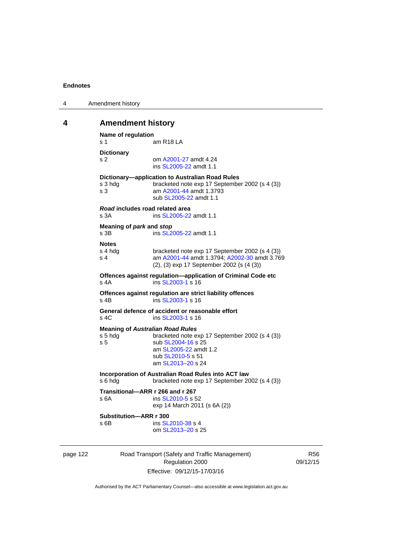| 4 | Amendment history |
|---|-------------------|
|---|-------------------|

# **4 Amendment history**

```
Name of regulation 
s 1 am R18 LA
Dictionary 
s 2 om A2001-27 amdt 4.24
                ins SL2005-22 amdt 1.1 
Dictionary—application to Australian Road Rules 
s 3 hdg bracketed note exp 17 September 2002 (s 4 (3))
s 3 am A2001-44 amdt 1.3793 
                sub SL2005-22 amdt 1.1 
Road includes road related area 
s 3A ins SL2005-22 amdt 1.1
Meaning of park and stop
SL2005-22 amdt 1.1
Notes 
s 4 hdg bracketed note exp 17 September 2002 (s 4 (3))<br>s 4 am A2001-44 amdt 1.3794: A2002-30 amdt 3.76
                A2001-44 A2002-30 amdt 3.769
                (2), (3) exp 17 September 2002 (s (4 (3)) 
Offences against regulation—application of Criminal Code etc 
SL2003-1 s 16
Offences against regulation are strict liability offences 
SL2003-1 s 16
General defence of accident or reasonable effort 
SL2003-1 s 16
Meaning of Australian Road Rules
s 5 hdg bracketed note exp 17 September 2002 (s 4 (3)) 
SL2004-16 s 25
                 am SL2005-22 amdt 1.2 
                sub SL2010-5 s 51 
                 am SL2013–20 s 24 
Incorporation of Australian Road Rules into ACT law 
s 6 hdg bracketed note exp 17 September 2002 (s 4 (3)) 
Transitional—ARR r 266 and r 267 
SL2010-5 s 52
                exp 14 March 2011 (s 6A (2)) 
Substitution—ARR r 300 
SL2010-38 s 4
                 om SL2013–20 s 25
```
page 122 Road Transport (Safety and Traffic Management) Regulation 2000 Effective: 09/12/15-17/03/16

R56 09/12/15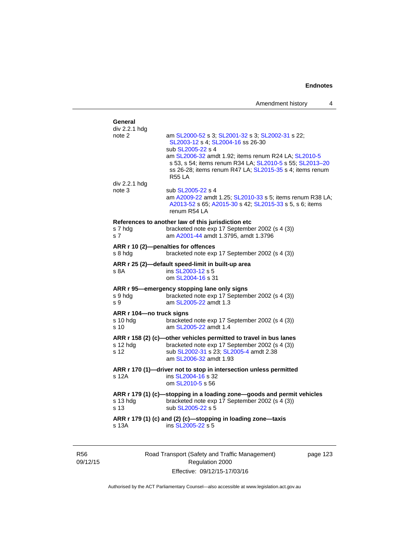| General<br>div 2.2.1 hdg    |                                                                                                                                                                                               |
|-----------------------------|-----------------------------------------------------------------------------------------------------------------------------------------------------------------------------------------------|
| note 2                      | am SL2000-52 s 3; SL2001-32 s 3; SL2002-31 s 22;<br>SL2003-12 s 4; SL2004-16 ss 26-30<br>sub SL2005-22 s 4                                                                                    |
|                             | am SL2006-32 amdt 1.92; items renum R24 LA; SL2010-5<br>s 53, s 54; items renum R34 LA; SL2010-5 s 55; SL2013-20<br>ss 26-28; items renum R47 LA; SL2015-35 s 4; items renum<br><b>R55 LA</b> |
| div 2.2.1 hdg               |                                                                                                                                                                                               |
| note 3                      | sub SL2005-22 s 4<br>am A2009-22 amdt 1.25; SL2010-33 s 5; items renum R38 LA;<br>A2013-52 s 65; A2015-30 s 42; SL2015-33 s 5, s 6; items<br>renum R54 LA                                     |
|                             | References to another law of this jurisdiction etc                                                                                                                                            |
| s 7 hdg<br>s <sub>7</sub>   | bracketed note exp 17 September 2002 (s 4 (3))<br>am A2001-44 amdt 1.3795, amdt 1.3796                                                                                                        |
|                             | ARR r 10 (2)-penalties for offences                                                                                                                                                           |
| s 8 hda                     | bracketed note exp 17 September 2002 (s 4 (3))                                                                                                                                                |
|                             | ARR r 25 (2)-default speed-limit in built-up area                                                                                                                                             |
| s 8A                        | ins SL2003-12 s 5<br>om SL2004-16 s 31                                                                                                                                                        |
|                             | ARR r 95-emergency stopping lane only signs                                                                                                                                                   |
| s 9 hdg<br>s 9              | bracketed note exp 17 September 2002 (s 4 (3))<br>am SL2005-22 amdt 1.3                                                                                                                       |
| ARR r 104-no truck signs    |                                                                                                                                                                                               |
| s 10 hdg<br>s <sub>10</sub> | bracketed note exp 17 September 2002 (s 4 (3))<br>am SL2005-22 amdt 1.4                                                                                                                       |
|                             | ARR r 158 (2) (c)-other vehicles permitted to travel in bus lanes                                                                                                                             |
| s 12 hdg                    | bracketed note exp 17 September 2002 (s 4 (3))                                                                                                                                                |
| s 12                        | sub SL2002-31 s 23; SL2005-4 amdt 2.38<br>am SL2006-32 amdt 1.93                                                                                                                              |
|                             | ARR r 170 (1)-driver not to stop in intersection unless permitted                                                                                                                             |
| s 12A                       | ins SL2004-16 s 32<br>om SL2010-5 s 56                                                                                                                                                        |
|                             | ARR r 179 (1) (c)-stopping in a loading zone-goods and permit vehicles                                                                                                                        |
| s 13 hdg<br>s 13            | bracketed note exp 17 September 2002 (s 4 (3))<br>sub SL2005-22 s 5                                                                                                                           |
| s 13A                       | ARR r 179 (1) (c) and (2) (c)-stopping in loading zone-taxis<br>ins SL2005-22 s 5                                                                                                             |
|                             |                                                                                                                                                                                               |

R56 09/12/15 Road Transport (Safety and Traffic Management) Regulation 2000 Effective: 09/12/15-17/03/16

page 123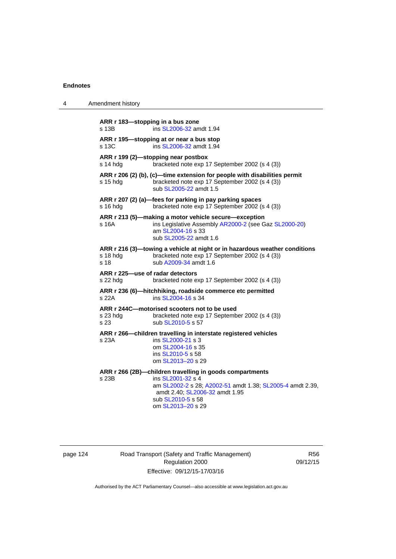| 4 | Amendment history                                                                                                                                                                                                               |
|---|---------------------------------------------------------------------------------------------------------------------------------------------------------------------------------------------------------------------------------|
|   | ARR r 183-stopping in a bus zone<br>ins SL2006-32 amdt 1.94<br>s 13B                                                                                                                                                            |
|   | ARR r 195—stopping at or near a bus stop<br>ins SL2006-32 amdt 1.94<br>s 13C                                                                                                                                                    |
|   | ARR r 199 (2)-stopping near postbox<br>bracketed note exp 17 September 2002 (s 4 (3))<br>s 14 hdg                                                                                                                               |
|   | ARR r 206 (2) (b), (c)—time extension for people with disabilities permit<br>bracketed note exp 17 September 2002 (s 4 (3))<br>s 15 hda<br>sub SL2005-22 amdt 1.5                                                               |
|   | ARR r 207 (2) (a)-fees for parking in pay parking spaces<br>bracketed note exp 17 September 2002 (s 4 (3))<br>s 16 hda                                                                                                          |
|   | ARR r 213 (5)-making a motor vehicle secure-exception<br>ins Legislative Assembly AR2000-2 (see Gaz SL2000-20)<br>s 16A<br>am SL2004-16 s 33<br>sub SL2005-22 amdt 1.6                                                          |
|   | ARR r 216 (3)—towing a vehicle at night or in hazardous weather conditions<br>s 18 hdg<br>bracketed note exp 17 September 2002 (s 4 (3))<br>sub A2009-34 amdt 1.6<br>s 18                                                       |
|   | ARR r 225-use of radar detectors<br>s 22 hdg<br>bracketed note exp 17 September 2002 (s 4 (3))                                                                                                                                  |
|   | ARR r 236 (6)-hitchhiking, roadside commerce etc permitted<br>s 22A<br>ins SL2004-16 s 34                                                                                                                                       |
|   | ARR r 244C-motorised scooters not to be used<br>bracketed note exp 17 September 2002 (s 4 (3))<br>s 23 hdg<br>sub SL2010-5 s 57<br>s 23                                                                                         |
|   | ARR r 266-children travelling in interstate registered vehicles<br>ins SL2000-21 s 3<br>s 23A<br>om SL2004-16 s 35<br>ins SL2010-5 s 58<br>om SL2013-20 s 29                                                                    |
|   | ARR r 266 (2B)-children travelling in goods compartments<br>s 23B<br>ins SL2001-32 s 4<br>am SL2002-2 s 28; A2002-51 amdt 1.38; SL2005-4 amdt 2.39,<br>amdt 2.40; SL2006-32 amdt 1.95<br>sub SL2010-5 s 58<br>om SL2013-20 s 29 |

page 124 Road Transport (Safety and Traffic Management) Regulation 2000 Effective: 09/12/15-17/03/16

R56 09/12/15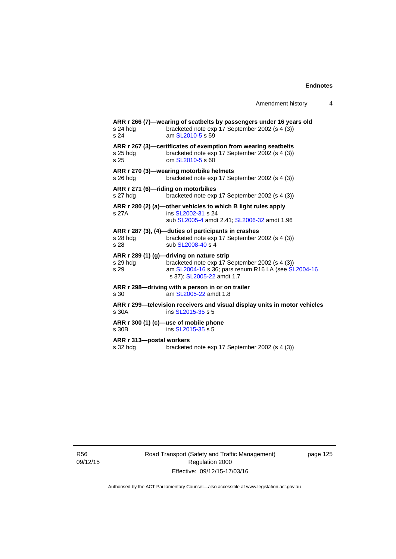**ARR r 266 (7)—wearing of seatbelts by passengers under 16 years old**  s 24 hdg bracketed note exp 17 September 2002 (s 4 (3)) s 24 am [SL2010-5](http://www.legislation.act.gov.au/sl/2010-5) s 59 **ARR r 267 (3)—certificates of exemption from wearing seatbelts**  s 25 hdg bracketed note exp 17 September 2002 (s 4 (3)) s 25 om [SL2010-5](http://www.legislation.act.gov.au/sl/2010-5) s 60 **ARR r 270 (3)—wearing motorbike helmets**  s 26 hdg bracketed note exp 17 September 2002 (s 4 (3)) **ARR r 271 (6)—riding on motorbikes**  s 27 hdg bracketed note exp 17 September 2002 (s 4 (3)) **ARR r 280 (2) (a)—other vehicles to which B light rules apply**  s 27A **ins [SL2002-31](http://www.legislation.act.gov.au/sl/2002-31) s 24**  sub [SL2005-4](http://www.legislation.act.gov.au/sl/2005-4) amdt 2.41; [SL2006-32](http://www.legislation.act.gov.au/sl/2006-32) amdt 1.96 **ARR r 287 (3), (4)—duties of participants in crashes**  s 28 hdg bracketed note exp 17 September 2002 (s 4 (3))<br>s 28 sub SL 2008-40 s 4 sub [SL2008-40](http://www.legislation.act.gov.au/sl/2008-40) s 4 **ARR r 289 (1) (g)—driving on nature strip**  s 29 hdg bracketed note exp 17 September 2002 (s 4 (3)) s 29 am [SL2004-16](http://www.legislation.act.gov.au/sl/2004-16) s 36; pars renum R16 LA (see [SL2004-16](http://www.legislation.act.gov.au/sl/2004-16) s 37); [SL2005-22](http://www.legislation.act.gov.au/sl/2005-22) amdt 1.7 **ARR r 298—driving with a person in or on trailer**  s 30 am [SL2005-22](http://www.legislation.act.gov.au/sl/2005-22) amdt 1.8 **ARR r 299—television receivers and visual display units in motor vehicles**  s 30A ins [SL2015-35](http://www.legislation.act.gov.au/sl/2015-35) s 5 **ARR r 300 (1) (c)—use of mobile phone**  s 30B ins [SL2015-35](http://www.legislation.act.gov.au/sl/2015-35) s 5 **ARR r 313—postal workers**  s 32 hdg bracketed note exp 17 September 2002 (s 4 (3))

R56 09/12/15 Road Transport (Safety and Traffic Management) Regulation 2000 Effective: 09/12/15-17/03/16

page 125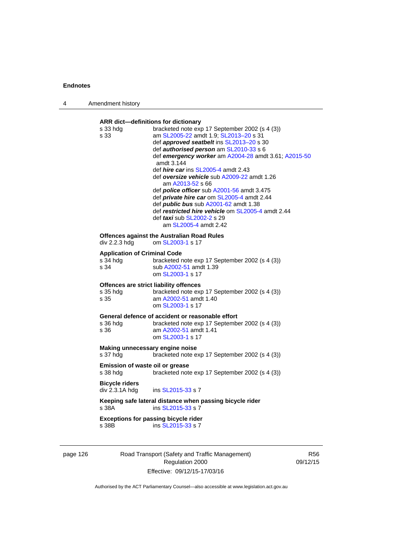| 4 | Amendment history                                       |                                                                                                                                                                                                                                                                                                                                                                                                                                                                                                                                                                                                                                                                                          |
|---|---------------------------------------------------------|------------------------------------------------------------------------------------------------------------------------------------------------------------------------------------------------------------------------------------------------------------------------------------------------------------------------------------------------------------------------------------------------------------------------------------------------------------------------------------------------------------------------------------------------------------------------------------------------------------------------------------------------------------------------------------------|
|   | s 33 hdg<br>s 33                                        | ARR dict-definitions for dictionary<br>bracketed note exp 17 September 2002 (s 4 (3))<br>am SL2005-22 amdt 1.9; SL2013-20 s 31<br>def <i>approved seatbelt</i> ins SL2013-20 s 30<br>def authorised person am SL2010-33 s 6<br>def emergency worker am A2004-28 amdt 3.61; A2015-50<br>amdt 3.144<br>def <i>hire car</i> ins SL2005-4 amdt 2.43<br>def oversize vehicle sub A2009-22 amdt 1.26<br>am A2013-52 s 66<br>def <i>police officer</i> sub A2001-56 amdt 3.475<br>def private hire car om SL2005-4 amdt 2.44<br>def <i>public bus</i> sub A2001-62 amdt 1.38<br>def restricted hire vehicle om SL2005-4 amdt 2.44<br>def <i>taxi</i> sub SL2002-2 s 29<br>am SL2005-4 amdt 2.42 |
|   | div 2.2.3 hdg                                           | <b>Offences against the Australian Road Rules</b><br>om SL2003-1 s 17                                                                                                                                                                                                                                                                                                                                                                                                                                                                                                                                                                                                                    |
|   | <b>Application of Criminal Code</b><br>s 34 hdg<br>s 34 | bracketed note exp 17 September 2002 (s 4 (3))<br>sub A2002-51 amdt 1.39<br>om SL2003-1 s 17                                                                                                                                                                                                                                                                                                                                                                                                                                                                                                                                                                                             |
|   | s 35 hdg<br>s 35                                        | Offences are strict liability offences<br>bracketed note exp 17 September 2002 (s 4 (3))<br>am A2002-51 amdt 1.40<br>om SL2003-1 s 17                                                                                                                                                                                                                                                                                                                                                                                                                                                                                                                                                    |
|   | s 36 hdg<br>s 36                                        | General defence of accident or reasonable effort<br>bracketed note exp 17 September 2002 (s 4 (3))<br>am A2002-51 amdt 1.41<br>om SL2003-1 s 17                                                                                                                                                                                                                                                                                                                                                                                                                                                                                                                                          |
|   | s 37 hdg                                                | Making unnecessary engine noise<br>bracketed note exp 17 September 2002 (s 4 (3))                                                                                                                                                                                                                                                                                                                                                                                                                                                                                                                                                                                                        |
|   | s 38 hdg                                                | <b>Emission of waste oil or grease</b><br>bracketed note exp 17 September 2002 (s 4 (3))                                                                                                                                                                                                                                                                                                                                                                                                                                                                                                                                                                                                 |
|   | <b>Bicycle riders</b><br>div 2.3.1A hdg                 | ins SL2015-33 s 7                                                                                                                                                                                                                                                                                                                                                                                                                                                                                                                                                                                                                                                                        |
|   | s 38A                                                   | Keeping safe lateral distance when passing bicycle rider<br>ins SL2015-33 s 7                                                                                                                                                                                                                                                                                                                                                                                                                                                                                                                                                                                                            |
|   | s 38B                                                   | <b>Exceptions for passing bicycle rider</b><br>ins SL2015-33 s 7                                                                                                                                                                                                                                                                                                                                                                                                                                                                                                                                                                                                                         |
|   |                                                         |                                                                                                                                                                                                                                                                                                                                                                                                                                                                                                                                                                                                                                                                                          |

page 126 Road Transport (Safety and Traffic Management) Regulation 2000 Effective: 09/12/15-17/03/16

R56 09/12/15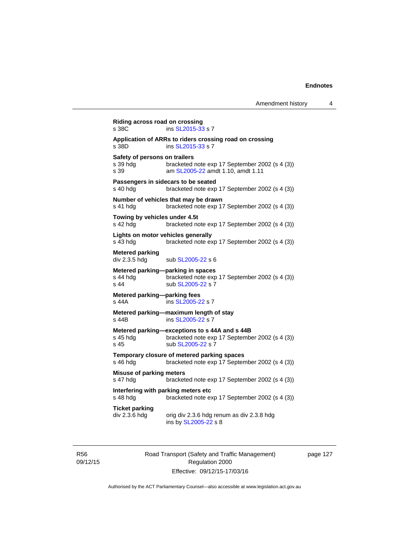```
Riding across road on crossing 
SL2015-33 s 7
Application of ARRs to riders crossing road on crossing 
                 SL2015-33 s 7
Safety of persons on trailers<br>s 39 hdg bracketed
                 bracketed note exp 17 September 2002 (s 4 (3))
s 39 am SL2005-22 amdt 1.10, amdt 1.11
Passengers in sidecars to be seated 
s 40 hdg bracketed note exp 17 September 2002 (s 4 (3))
Number of vehicles that may be drawn 
s 41 hdg bracketed note exp 17 September 2002 (s 4 (3)) 
Towing by vehicles under 4.5t 
s 42 hdg bracketed note exp 17 September 2002 (s 4 (3))
Lights on motor vehicles generally 
s 43 hdg bracketed note exp 17 September 2002 (s 4 (3)) 
Metered parking 
div 2.3.5 hdg sub SL2005-22 s 6
Metered parking—parking in spaces 
s 44 hdg bracketed note exp 17 September 2002 (s 4 (3))
SL2005-22 s 7
Metered parking—parking fees 
s 44A ins SL2005-22 s 7 
Metered parking—maximum length of stay 
s 44B ins SL2005-22 s 7 
Metered parking—exceptions to s 44A and s 44B<br>s 45 hdg bracketed note exp 17 Septembe
                 bracketed note exp 17 September 2002 (s 4 (3))
SL2005-22 s 7
Temporary closure of metered parking spaces 
s 46 hdg bracketed note exp 17 September 2002 (s 4 (3))
Misuse of parking meters 
s 47 hdg bracketed note exp 17 September 2002 (s 4 (3))
Interfering with parking meters etc<br>s 48 hdg bracketed note ex
                 bracketed note exp 17 September 2002 (s 4 (3))
Ticket parking 
div 2.3.6 hdg orig div 2.3.6 hdg renum as div 2.3.8 hdg
                  ins by SL2005-22 s 8
```
R56 09/12/15 Road Transport (Safety and Traffic Management) Regulation 2000 Effective: 09/12/15-17/03/16

page 127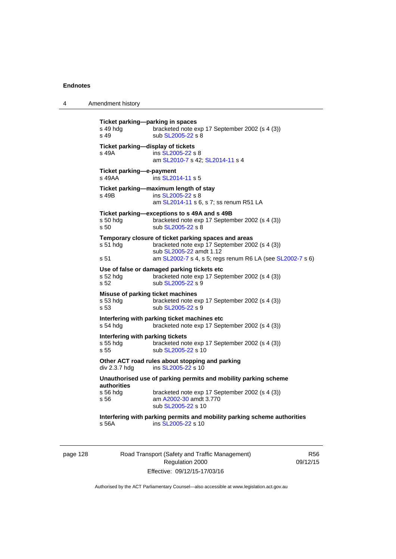4 Amendment history **Ticket parking—parking in spaces**  s 49 hdg bracketed note exp 17 September 2002 (s 4 (3)) s 49 sub [SL2005-22](http://www.legislation.act.gov.au/sl/2005-22) s 8 **Ticket parking—display of tickets**  s 49A ins [SL2005-22](http://www.legislation.act.gov.au/sl/2005-22) s 8 am [SL2010-7](http://www.legislation.act.gov.au/sl/2010-7) s 42; [SL2014-11](http://www.legislation.act.gov.au/sl/2014-11) s 4 **Ticket parking—e-payment**  s 49AA **ins [SL2014-11](http://www.legislation.act.gov.au/sl/2014-11) s 5 Ticket parking—maximum length of stay**  s 49B ins [SL2005-22](http://www.legislation.act.gov.au/sl/2005-22) s 8 am [SL2014-11](http://www.legislation.act.gov.au/sl/2014-11) s 6, s 7; ss renum R51 LA **Ticket parking—exceptions to s 49A and s 49B**  bracketed note exp 17 September 2002 (s 4 (3)) s 50 sub [SL2005-22](http://www.legislation.act.gov.au/sl/2005-22) s 8 **Temporary closure of ticket parking spaces and areas**  s 51 hdg bracketed note exp 17 September 2002 (s 4 (3)) sub [SL2005-22](http://www.legislation.act.gov.au/sl/2005-22) amdt 1.12 s 51 am [SL2002-7](http://www.legislation.act.gov.au/sl/2002-7) s 4, s 5; regs renum R6 LA (see [SL2002-7](http://www.legislation.act.gov.au/sl/2002-7) s 6) **Use of false or damaged parking tickets etc**  s 52 hdg bracketed note exp 17 September 2002 (s 4 (3)) s 52 sub [SL2005-22](http://www.legislation.act.gov.au/sl/2005-22) s 9 **Misuse of parking ticket machines**<br>s 53 hdg bracketed note e bracketed note exp 17 September 2002 (s 4 (3)) s 53 sub [SL2005-22](http://www.legislation.act.gov.au/sl/2005-22) s 9 **Interfering with parking ticket machines etc**  s 54 hdg bracketed note exp 17 September 2002 (s 4 (3)) **Interfering with parking tickets**  bracketed note exp 17 September 2002 (s 4 (3)) s 55 sub [SL2005-22](http://www.legislation.act.gov.au/sl/2005-22) s 10 **Other ACT road rules about stopping and parking div 2.3.7 hdg ins SL2005-22 s 10** ins  $SL2005-22$  s 10 **Unauthorised use of parking permits and mobility parking scheme authorities**  bracketed note exp 17 September 2002 (s 4 (3)) s 56 am [A2002-30](http://www.legislation.act.gov.au/a/2002-30) amdt 3.770 sub [SL2005-22](http://www.legislation.act.gov.au/sl/2005-22) s 10 **Interfering with parking permits and mobility parking scheme authorities**  s 56A ins [SL2005-22](http://www.legislation.act.gov.au/sl/2005-22) s 10

page 128 Road Transport (Safety and Traffic Management) Regulation 2000 Effective: 09/12/15-17/03/16

R56 09/12/15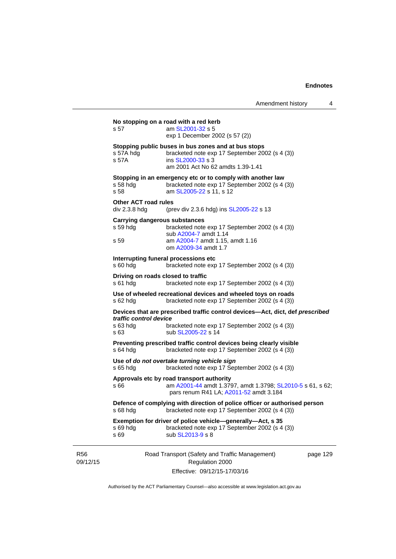|                        |                                                           | No stopping on a road with a red kerb                                                                                                                           |          |
|------------------------|-----------------------------------------------------------|-----------------------------------------------------------------------------------------------------------------------------------------------------------------|----------|
|                        | s 57                                                      | am SL2001-32 s 5<br>exp 1 December 2002 (s 57 (2))                                                                                                              |          |
|                        | s 57A hdg<br>s 57A                                        | Stopping public buses in bus zones and at bus stops<br>bracketed note exp 17 September 2002 (s 4 (3))<br>ins SL2000-33 s 3<br>am 2001 Act No 62 amdts 1.39-1.41 |          |
|                        | s 58 hdg<br>s 58                                          | Stopping in an emergency etc or to comply with another law<br>bracketed note exp 17 September 2002 (s 4 (3))<br>am SL2005-22 s 11, s 12                         |          |
|                        | <b>Other ACT road rules</b><br>div 2.3.8 hdg              | (prev div 2.3.6 hdg) ins SL2005-22 s 13                                                                                                                         |          |
|                        | <b>Carrying dangerous substances</b><br>$s59$ hdg<br>s 59 | bracketed note exp 17 September 2002 (s 4 (3))<br>sub A2004-7 amdt 1.14<br>am A2004-7 amdt 1.15, amdt 1.16<br>om A2009-34 amdt 1.7                              |          |
|                        | $s$ 60 hdg                                                | Interrupting funeral processions etc<br>bracketed note exp 17 September 2002 (s 4 (3))                                                                          |          |
|                        | s 61 hdg                                                  | Driving on roads closed to traffic<br>bracketed note exp 17 September 2002 (s 4 (3))                                                                            |          |
|                        | s 62 hdg                                                  | Use of wheeled recreational devices and wheeled toys on roads<br>bracketed note exp 17 September 2002 (s 4 (3))                                                 |          |
|                        | traffic control device<br>$s$ 63 hdg<br>s 63              | Devices that are prescribed traffic control devices-Act, dict, def prescribed<br>bracketed note exp 17 September 2002 (s 4 (3))<br>sub SL2005-22 s 14           |          |
|                        | s 64 hdg                                                  | Preventing prescribed traffic control devices being clearly visible<br>bracketed note exp 17 September 2002 (s 4 (3))                                           |          |
|                        | $s$ 65 hdg                                                | Use of do not overtake turning vehicle sign<br>bracketed note exp 17 September 2002 (s 4 (3))                                                                   |          |
|                        | s 66                                                      | Approvals etc by road transport authority<br>am A2001-44 amdt 1.3797, amdt 1.3798; SL2010-5 s 61, s 62;<br>pars renum R41 LA; A2011-52 amdt 3.184               |          |
|                        | s 68 hdg                                                  | Defence of complying with direction of police officer or authorised person<br>bracketed note exp 17 September 2002 (s 4 (3))                                    |          |
|                        | s 69 hdg<br>s 69                                          | Exemption for driver of police vehicle—generally—Act, s 35<br>bracketed note exp 17 September 2002 (s 4 (3))<br>sub SL2013-9 s 8                                |          |
| <b>R56</b><br>09/12/15 |                                                           | Road Transport (Safety and Traffic Management)<br>Regulation 2000<br>Effective: 09/12/15-17/03/16                                                               | page 129 |

Authorised by the ACT Parliamentary Counsel—also accessible at www.legislation.act.gov.au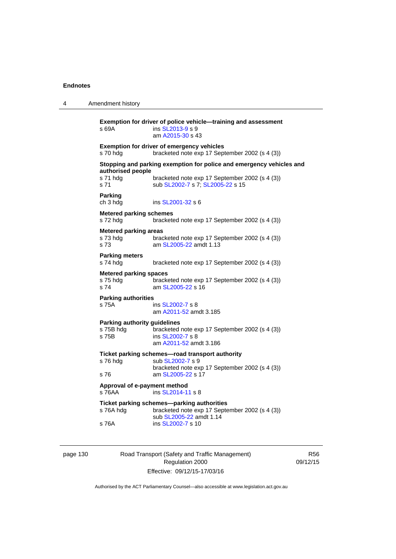| 4 | Amendment history                                         |                                                                                                                                                            |
|---|-----------------------------------------------------------|------------------------------------------------------------------------------------------------------------------------------------------------------------|
|   | s 69A                                                     | Exemption for driver of police vehicle-training and assessment<br>ins SL2013-9 s 9<br>am A2015-30 s 43                                                     |
|   | s 70 hdg                                                  | <b>Exemption for driver of emergency vehicles</b><br>bracketed note exp 17 September 2002 (s 4 (3))                                                        |
|   | authorised people<br>s 71 hdg<br>s 71                     | Stopping and parking exemption for police and emergency vehicles and<br>bracketed note exp 17 September 2002 (s 4 (3))<br>sub SL2002-7 s 7; SL2005-22 s 15 |
|   | <b>Parking</b><br>ch 3 hdg                                | ins SL2001-32 s 6                                                                                                                                          |
|   | <b>Metered parking schemes</b><br>s 72 hda                | bracketed note exp 17 September 2002 (s 4 (3))                                                                                                             |
|   | <b>Metered parking areas</b><br>s 73 hdg<br>s 73          | bracketed note exp 17 September 2002 (s 4 (3))<br>am SL2005-22 amdt 1.13                                                                                   |
|   | <b>Parking meters</b><br>s 74 hdg                         | bracketed note exp 17 September 2002 (s 4 (3))                                                                                                             |
|   | <b>Metered parking spaces</b><br>s 75 hdg<br>s 74         | bracketed note exp 17 September 2002 (s 4 (3))<br>am SL2005-22 s 16                                                                                        |
|   | <b>Parking authorities</b><br>s 75A                       | ins SL2002-7 s 8<br>am A2011-52 amdt 3.185                                                                                                                 |
|   | <b>Parking authority guidelines</b><br>s 75B hdg<br>s 75B | bracketed note exp 17 September 2002 (s 4 (3))<br>ins SL2002-7 s 8<br>am A2011-52 amdt 3.186                                                               |
|   | s 76 hdg                                                  | Ticket parking schemes—road transport authority<br>sub SL2002-7 s 9<br>bracketed note exp 17 September 2002 (s 4 (3))                                      |
|   | s 76                                                      | am SL2005-22 s 17                                                                                                                                          |
|   | Approval of e-payment method<br>s 76AA                    | ins SL2014-11 s 8                                                                                                                                          |
|   | s 76A hdg                                                 | Ticket parking schemes-parking authorities<br>bracketed note exp 17 September 2002 (s 4 (3))<br>sub SL2005-22 amdt 1.14                                    |
|   | s 76A                                                     | ins SL2002-7 s 10                                                                                                                                          |

page 130 Road Transport (Safety and Traffic Management) Regulation 2000 Effective: 09/12/15-17/03/16

R56 09/12/15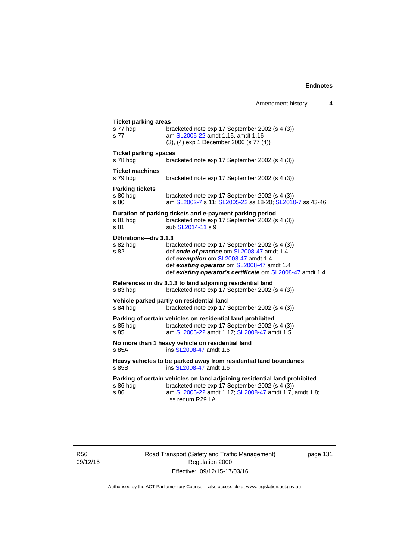| s 77 hdg<br>s 77                           | bracketed note exp 17 September 2002 (s 4 (3))<br>am SL2005-22 amdt 1.15, amdt 1.16<br>(3), (4) exp 1 December 2006 (s 77 (4))                                                                                                                  |
|--------------------------------------------|-------------------------------------------------------------------------------------------------------------------------------------------------------------------------------------------------------------------------------------------------|
| <b>Ticket parking spaces</b><br>s 78 hdg   | bracketed note exp 17 September 2002 (s 4 (3))                                                                                                                                                                                                  |
| <b>Ticket machines</b><br>s 79 hdg         | bracketed note exp 17 September 2002 (s 4 (3))                                                                                                                                                                                                  |
| <b>Parking tickets</b><br>s 80 hdg<br>s 80 | bracketed note exp 17 September 2002 (s 4 (3))<br>am SL2002-7 s 11; SL2005-22 ss 18-20; SL2010-7 ss 43-46                                                                                                                                       |
| s 81 hdg<br>s 81                           | Duration of parking tickets and e-payment parking period<br>bracketed note exp 17 September 2002 (s 4 (3))<br>sub SL2014-11 s 9                                                                                                                 |
| Definitions-div 3.1.3<br>s 82 hdg<br>s 82  | bracketed note exp 17 September 2002 (s 4 (3))<br>def code of practice om SL2008-47 amdt 1.4<br>def exemption om SL2008-47 amdt 1.4<br>def existing operator om SL2008-47 amdt 1.4<br>def existing operator's certificate om SL2008-47 amdt 1.4 |
| s 83 hdg                                   | References in div 3.1.3 to land adjoining residential land<br>bracketed note exp 17 September 2002 (s 4 (3))                                                                                                                                    |
| s 84 hdg                                   | Vehicle parked partly on residential land<br>bracketed note exp 17 September 2002 (s 4 (3))                                                                                                                                                     |
| s 85 hdg<br>s 85                           | Parking of certain vehicles on residential land prohibited<br>bracketed note exp 17 September 2002 (s 4 (3))<br>am SL2005-22 amdt 1.17; SL2008-47 amdt 1.5                                                                                      |
| s 85A                                      | No more than 1 heavy vehicle on residential land<br>ins SL2008-47 amdt 1.6                                                                                                                                                                      |
| s 85B                                      | Heavy vehicles to be parked away from residential land boundaries<br>ins SL2008-47 amdt 1.6                                                                                                                                                     |
| s 86 hdg<br>s 86                           | Parking of certain vehicles on land adjoining residential land prohibited<br>bracketed note exp 17 September 2002 (s 4 (3))<br>am SL2005-22 amdt 1.17; SL2008-47 amdt 1.7, amdt 1.8;<br>ss renum R29 LA                                         |

R56 09/12/15 Road Transport (Safety and Traffic Management) Regulation 2000 Effective: 09/12/15-17/03/16

page 131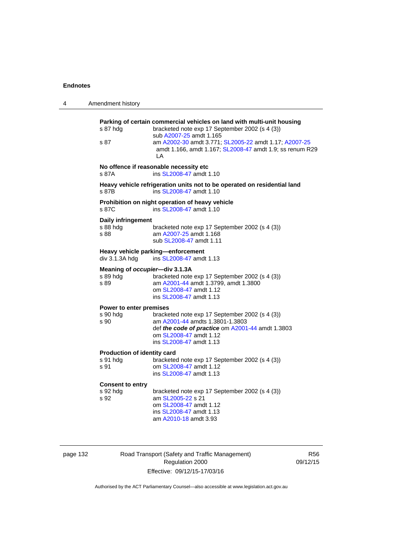| 4 | Amendment history                                  |                                                                                                                                                                                                                                                                                 |
|---|----------------------------------------------------|---------------------------------------------------------------------------------------------------------------------------------------------------------------------------------------------------------------------------------------------------------------------------------|
|   | s 87 hda<br>s 87                                   | Parking of certain commercial vehicles on land with multi-unit housing<br>bracketed note exp 17 September 2002 (s 4 (3))<br>sub A2007-25 amdt 1.165<br>am A2002-30 amdt 3.771; SL2005-22 amdt 1.17; A2007-25<br>amdt 1.166, amdt 1.167; SL2008-47 amdt 1.9; ss renum R29<br>I A |
|   | s 87A                                              | No offence if reasonable necessity etc<br>ins SL2008-47 amdt 1.10                                                                                                                                                                                                               |
|   | s 87B                                              | Heavy vehicle refrigeration units not to be operated on residential land<br>ins SL2008-47 amdt 1.10                                                                                                                                                                             |
|   | s 87C                                              | Prohibition on night operation of heavy vehicle<br>ins SL2008-47 amdt 1.10                                                                                                                                                                                                      |
|   | Daily infringement<br>s 88 hdg<br>s 88             | bracketed note exp 17 September 2002 (s 4 (3))<br>am A2007-25 amdt 1.168<br>sub SL2008-47 amdt 1.11                                                                                                                                                                             |
|   | div 3.1.3A hdg                                     | Heavy vehicle parking-enforcement<br>ins SL2008-47 amdt 1.13                                                                                                                                                                                                                    |
|   | Meaning of occupier-div 3.1.3A<br>s 89 hdg<br>s 89 | bracketed note exp 17 September 2002 (s 4 (3))<br>am A2001-44 amdt 1.3799, amdt 1.3800<br>om SL2008-47 amdt 1.12<br>ins SL2008-47 amdt 1.13                                                                                                                                     |
|   | Power to enter premises<br>s 90 hdg<br>s 90        | bracketed note exp 17 September 2002 (s 4 (3))<br>am A2001-44 amdts 1.3801-1.3803<br>def the code of practice om A2001-44 amdt 1.3803<br>om SL2008-47 amdt 1.12<br>ins SL2008-47 amdt 1.13                                                                                      |
|   | Production of identity card<br>s 91 hdg<br>s 91    | bracketed note exp 17 September 2002 (s 4 (3))<br>om SL2008-47 amdt 1.12<br>ins SL2008-47 amdt 1.13                                                                                                                                                                             |
|   | <b>Consent to entry</b><br>s 92 hda<br>s 92        | bracketed note exp 17 September 2002 (s 4 (3))<br>am SL2005-22 s 21<br>om SL2008-47 amdt 1.12<br>ins SL2008-47 amdt 1.13<br>am A2010-18 amdt 3.93                                                                                                                               |

page 132 Road Transport (Safety and Traffic Management) Regulation 2000 Effective: 09/12/15-17/03/16

R56 09/12/15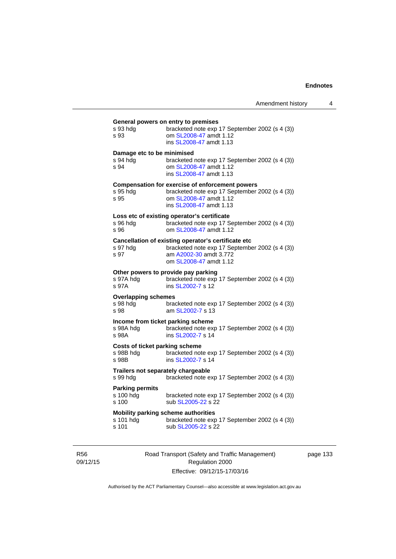| s 93 hda                              | General powers on entry to premises<br>bracketed note exp 17 September 2002 (s 4 (3))               |
|---------------------------------------|-----------------------------------------------------------------------------------------------------|
| s 93                                  | om SL2008-47 amdt 1.12<br>ins SL2008-47 amdt 1.13                                                   |
| Damage etc to be minimised            |                                                                                                     |
| s 94 hdg<br>s 94                      | bracketed note exp 17 September 2002 (s 4 (3))<br>om SL2008-47 amdt 1.12<br>ins SL2008-47 amdt 1.13 |
|                                       | <b>Compensation for exercise of enforcement powers</b>                                              |
| s 95 hda<br>s 95                      | bracketed note exp 17 September 2002 (s 4 (3))<br>om SL2008-47 amdt 1.12<br>ins SL2008-47 amdt 1.13 |
|                                       | Loss etc of existing operator's certificate                                                         |
| s 96 hda<br>s 96                      | bracketed note exp 17 September 2002 (s 4 (3))<br>om SL2008-47 amdt 1.12                            |
|                                       | Cancellation of existing operator's certificate etc                                                 |
| s 97 hdg<br>s 97                      | bracketed note exp 17 September 2002 (s 4 (3))<br>am A2002-30 amdt 3.772<br>om SL2008-47 amdt 1.12  |
|                                       | Other powers to provide pay parking                                                                 |
| s 97A hdg<br>s 97A                    | bracketed note exp 17 September 2002 (s 4 (3))<br>ins SL2002-7 s 12                                 |
| <b>Overlapping schemes</b>            |                                                                                                     |
| s 98 hdg<br>s 98                      | bracketed note exp 17 September 2002 (s 4 (3))<br>am SL2002-7 s 13                                  |
|                                       | Income from ticket parking scheme                                                                   |
| s 98A hdg<br>s 98A                    | bracketed note exp 17 September 2002 (s 4 (3))<br>ins SL2002-7 s 14                                 |
| <b>Costs of ticket parking scheme</b> |                                                                                                     |
| s 98B hdg<br>s 98B                    | bracketed note exp 17 September 2002 (s 4 (3))<br>ins SL2002-7 s 14                                 |
| s 99 hdg                              | Trailers not separately chargeable<br>bracketed note exp 17 September 2002 (s 4 (3))                |
| <b>Parking permits</b>                |                                                                                                     |
| s 100 hdg<br>s 100                    | bracketed note exp 17 September 2002 (s 4 (3))<br>sub SL2005-22 s 22                                |
|                                       | Mobility parking scheme authorities                                                                 |
| s 101 hdg                             | bracketed note exp 17 September 2002 (s 4 (3))                                                      |

R56 09/12/15 Road Transport (Safety and Traffic Management) Regulation 2000 Effective: 09/12/15-17/03/16

page 133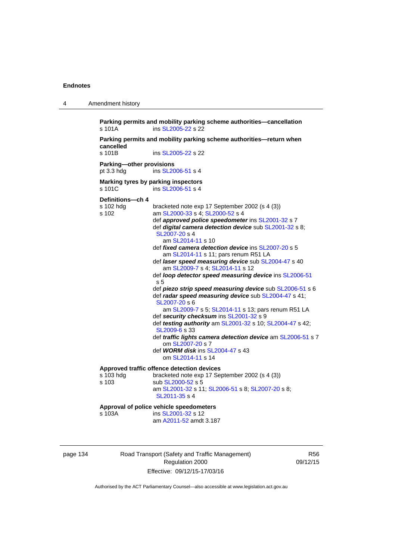4 Amendment history

| s 101A                                   | Parking permits and mobility parking scheme authorities-cancellation<br>ins SL2005-22 s 22                                   |
|------------------------------------------|------------------------------------------------------------------------------------------------------------------------------|
| cancelled                                | Parking permits and mobility parking scheme authorities-return when                                                          |
| s 101B                                   | ins SL2005-22 s 22                                                                                                           |
| Parking-other provisions<br>pt $3.3$ hdg | ins SL2006-51 s 4                                                                                                            |
| s 101C                                   | Marking tyres by parking inspectors<br>ins SL2006-51 s 4                                                                     |
| Definitions-ch 4                         |                                                                                                                              |
| s 102 hdg<br>s 102                       | bracketed note exp 17 September 2002 (s 4 (3))<br>am SL2000-33 s 4; SL2000-52 s 4                                            |
|                                          | def approved police speedometer ins SL2001-32 s 7<br>def digital camera detection device sub SL2001-32 s 8;<br>SL2007-20 s 4 |
|                                          | am SL2014-11 s 10                                                                                                            |
|                                          | def fixed camera detection device ins SL2007-20 s 5<br>am SL2014-11 s 11; pars renum R51 LA                                  |
|                                          | def laser speed measuring device sub SL2004-47 s 40                                                                          |
|                                          | am SL2009-7 s 4; SL2014-11 s 12<br>def loop detector speed measuring device ins SL2006-51                                    |
|                                          | s 5                                                                                                                          |
|                                          | def piezo strip speed measuring device sub SL2006-51 s 6                                                                     |
|                                          | def radar speed measuring device sub SL2004-47 s 41;<br>SL2007-20 s 6                                                        |
|                                          | am SL2009-7 s 5; SL2014-11 s 13; pars renum R51 LA                                                                           |
|                                          | def security checksum ins SL2001-32 s 9<br>def testing authority am SL2001-32 s 10; SL2004-47 s 42;                          |
|                                          | SL2009-6 s 33                                                                                                                |
|                                          | def traffic lights camera detection device am SL2006-51 s 7                                                                  |
|                                          | om SL2007-20 s 7<br>def <b>WORM disk</b> ins SL2004-47 s 43                                                                  |
|                                          | om SL2014-11 s 14                                                                                                            |
|                                          | Approved traffic offence detection devices                                                                                   |
| s 103 hdg                                | bracketed note exp 17 September 2002 (s 4 (3))<br>sub SL2000-52 s 5                                                          |
| s 103                                    | am SL2001-32 s 11; SL2006-51 s 8; SL2007-20 s 8;<br>SL2011-35 s 4                                                            |
|                                          | Approval of police vehicle speedometers                                                                                      |
| s 103A                                   | ins SL2001-32 s 12<br>am A2011-52 amdt 3.187                                                                                 |

| page 134 |  |
|----------|--|
|----------|--|

Road Transport (Safety and Traffic Management) Regulation 2000 Effective: 09/12/15-17/03/16

R56 09/12/15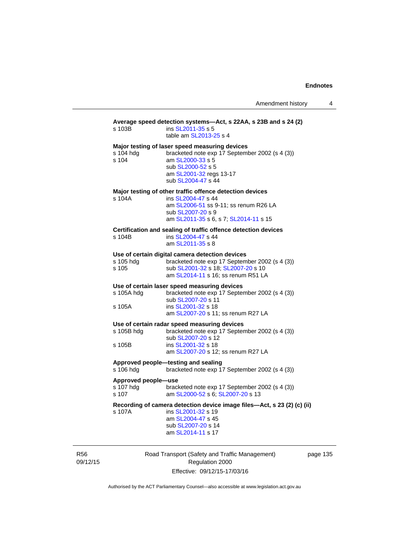| s 103B                                    | Average speed detection systems—Act, s 22AA, s 23B and s 24 (2)<br>ins SL2011-35 s 5<br>table am SL2013-25 s 4                                                                             |    |
|-------------------------------------------|--------------------------------------------------------------------------------------------------------------------------------------------------------------------------------------------|----|
| s 104 hdg<br>s 104                        | Major testing of laser speed measuring devices<br>bracketed note exp 17 September 2002 (s 4 (3))<br>am SL2000-33 s 5<br>sub SL2000-52 s 5<br>am SL2001-32 regs 13-17<br>sub SL2004-47 s 44 |    |
| s 104A                                    | Major testing of other traffic offence detection devices<br>ins SL2004-47 s 44<br>am SL2006-51 ss 9-11; ss renum R26 LA<br>sub SL2007-20 s 9<br>am SL2011-35 s 6, s 7; SL2014-11 s 15      |    |
| s 104B                                    | Certification and sealing of traffic offence detection devices<br>ins SL2004-47 s 44<br>am SL2011-35 s 8                                                                                   |    |
| s 105 hdg<br>s 105                        | Use of certain digital camera detection devices<br>bracketed note exp 17 September 2002 (s 4 (3))<br>sub SL2001-32 s 18; SL2007-20 s 10<br>am SL2014-11 s 16; ss renum R51 LA              |    |
| s 105A hdg<br>s 105A                      | Use of certain laser speed measuring devices<br>bracketed note exp 17 September 2002 (s 4 (3))<br>sub SL2007-20 s 11<br>ins SL2001-32 s 18<br>am SL2007-20 s 11; ss renum R27 LA           |    |
| s 105B hdg<br>s 105B                      | Use of certain radar speed measuring devices<br>bracketed note exp 17 September 2002 (s 4 (3))<br>sub SL2007-20 s 12<br>ins SL2001-32 s 18<br>am SL2007-20 s 12; ss renum R27 LA           |    |
| s 106 hdg                                 | Approved people—testing and sealing<br>bracketed note exp 17 September 2002 (s 4 (3))                                                                                                      |    |
| Approved people-use<br>s 107 hdg<br>s 107 | bracketed note exp 17 September 2002 (s 4 (3))<br>am SL2000-52 s 6; SL2007-20 s 13                                                                                                         |    |
| s 107A                                    | Recording of camera detection device image files-Act, s 23 (2) (c) (ii)<br>ins SL2001-32 s 19<br>am SL2004-47 s 45<br>sub SL2007-20 s 14<br>am SL2014-11 s 17                              |    |
|                                           | Road Transport (Safety and Traffic Management)                                                                                                                                             | n: |

R56 09/12/15

Road Transport (Safety and Traffic Management) Regulation 2000 Effective: 09/12/15-17/03/16

page 135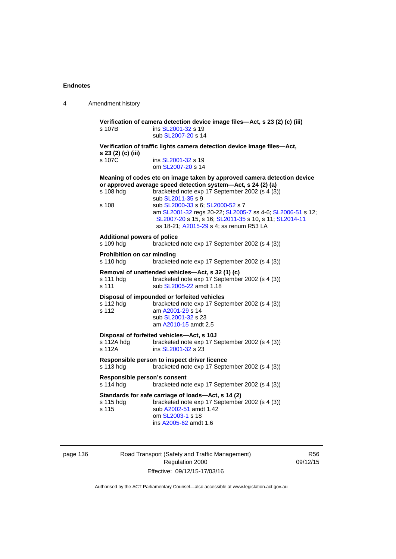4 Amendment history **Verification of camera detection device image files—Act, s 23 (2) (c) (iii)**  s 107B ins [SL2001-32](http://www.legislation.act.gov.au/sl/2001-32) s 19 sub [SL2007-20](http://www.legislation.act.gov.au/sl/2007-20) s 14 **Verification of traffic lights camera detection device image files—Act, s 23 (2) (c) (iii)**  s 107C ins [SL2001-32](http://www.legislation.act.gov.au/sl/2001-32) s 19 om [SL2007-20](http://www.legislation.act.gov.au/sl/2007-20) s 14 **Meaning of codes etc on image taken by approved camera detection device or approved average speed detection system—Act, s 24 (2) (a)**  s 108 hdg bracketed note exp 17 September 2002 (s 4 (3)) sub [SL2011-35](http://www.legislation.act.gov.au/sl/2011-35) s 9 s 108 sub [SL2000-33](http://www.legislation.act.gov.au/sl/2000-33) s 6; [SL2000-52](http://www.legislation.act.gov.au/sl/2000-52) s 7 am [SL2001-32](http://www.legislation.act.gov.au/sl/2001-32) regs 20-22; [SL2005-7](http://www.legislation.act.gov.au/sl/2005-7) ss 4-6; [SL2006-51](http://www.legislation.act.gov.au/sl/2006-51) s 12; [SL2007-20](http://www.legislation.act.gov.au/sl/2007-20) s 15, s 16; [SL2011-35](http://www.legislation.act.gov.au/sl/2011-35) s 10, s 11; [SL2014-11](http://www.legislation.act.gov.au/sl/2014-11) ss 18-21; [A2015-29](http://www.legislation.act.gov.au/a/2015-29) s 4; ss renum R53 LA **Additional powers of police**  s 109 hdg bracketed note exp 17 September 2002 (s 4 (3)) **Prohibition on car minding**  s 110 hdg bracketed note exp 17 September 2002 (s 4 (3)) **Removal of unattended vehicles—Act, s 32 (1) (c)**  s 111 hdg bracketed note exp 17 September 2002 (s 4 (3)) s 111 sub [SL2005-22](http://www.legislation.act.gov.au/sl/2005-22) amdt 1.18 **Disposal of impounded or forfeited vehicles**  s 112 hdg bracketed note exp 17 September 2002 (s 4 (3)) s 112 am [A2001-29](http://www.legislation.act.gov.au/a/2001-29) s 14 sub [SL2001-32](http://www.legislation.act.gov.au/sl/2001-32) s 23 am [A2010-15](http://www.legislation.act.gov.au/a/2010-15) amdt 2.5 **Disposal of forfeited vehicles—Act, s 10J**  s 112A hdg bracketed note exp 17 September 2002 (s 4 (3))<br>s 112A ins SL2001-32 s 23 ins [SL2001-32](http://www.legislation.act.gov.au/sl/2001-32) s 23 **Responsible person to inspect driver licence**  s 113 hdg bracketed note exp 17 September 2002 (s 4 (3)) **Responsible person's consent**  s 114 hdg bracketed note exp 17 September 2002 (s 4 (3)) **Standards for safe carriage of loads—Act, s 14 (2)**  s 115 hdg bracketed note exp 17 September 2002 (s 4 (3)) s 115 sub [A2002-51](http://www.legislation.act.gov.au/a/2002-51) amdt 1.42 om [SL2003-1](http://www.legislation.act.gov.au/sl/2003-1) s 18 ins [A2005-62](http://www.legislation.act.gov.au/a/2005-62) amdt 1.6

page 136 Road Transport (Safety and Traffic Management) Regulation 2000 Effective: 09/12/15-17/03/16

R56 09/12/15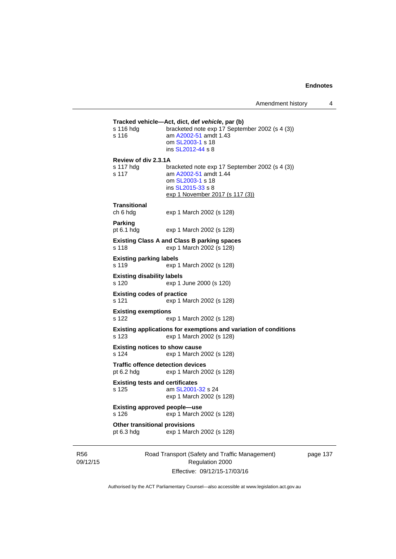```
Tracked vehicle—Act, dict, def vehicle, par (b) 
s 116 hdg bracketed note exp 17 September 2002 (s 4 (3))
s 116 am A2002-51 amdt 1.43
                  om SL2003-1 s 18 
                  ins SL2012-44 s 8 
Review of div 2.3.1A 
s 117 hdg bracketed note exp 17 September 2002 (s 4 (3))<br>s 117 am A2002-51 amdt 1.44
                 A2002-51 amdt 1.44
                  om SL2003-1 s 18 
                  ins SL2015-33 s 8 
                 exp 1 November 2017 (s 117 (3))
Transitional 
ch 6 hdg exp 1 March 2002 (s 128) 
Parking 
pt 6.1 hdg exp 1 March 2002 (s 128) 
Existing Class A and Class B parking spaces 
s 118 exp 1 March 2002 (s 128) 
Existing parking labels 
s 119 exp 1 March 2002 (s 128) 
Existing disability labels 
s 120 exp 1 June 2000 (s 120) 
Existing codes of practice 
s 121 exp 1 March 2002 (s 128) 
Existing exemptions 
s 122 exp 1 March 2002 (s 128) 
Existing applications for exemptions and variation of conditions 
s 123 exp 1 March 2002 (s 128) 
Existing notices to show cause 
s 124 exp 1 March 2002 (s 128) 
Traffic offence detection devices 
pt 6.2 hdg exp 1 March 2002 (s 128) 
Existing tests and certificates 
s 125 am SL2001-32 s 24 
                 exp 1 March 2002 (s 128) 
Existing approved people—use 
s 126 exp 1 March 2002 (s 128) 
Other transitional provisions 
pt 6.3 hdg exp 1 March 2002 (s 128)
```
R56 09/12/15 Road Transport (Safety and Traffic Management) Regulation 2000 Effective: 09/12/15-17/03/16

page 137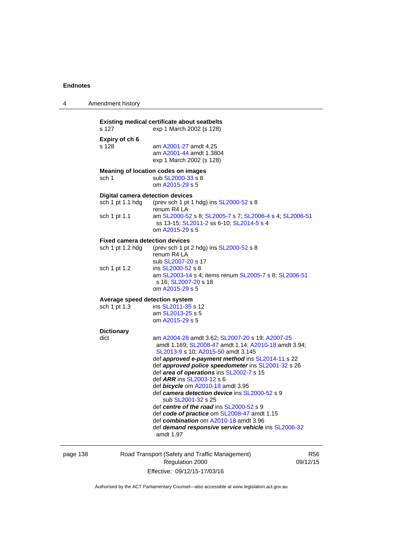| 4        | Amendment history                                                           |                                                                                                                                                                                                                                                                                                                                                                                                                                                                                                                                                                                                                                                      |                |
|----------|-----------------------------------------------------------------------------|------------------------------------------------------------------------------------------------------------------------------------------------------------------------------------------------------------------------------------------------------------------------------------------------------------------------------------------------------------------------------------------------------------------------------------------------------------------------------------------------------------------------------------------------------------------------------------------------------------------------------------------------------|----------------|
|          | s 127                                                                       | <b>Existing medical certificate about seatbelts</b><br>exp 1 March 2002 (s 128)                                                                                                                                                                                                                                                                                                                                                                                                                                                                                                                                                                      |                |
|          | Expiry of ch 6<br>s 128                                                     | am A2001-27 amdt 4.25<br>am A2001-44 amdt 1.3804<br>exp 1 March 2002 (s 128)                                                                                                                                                                                                                                                                                                                                                                                                                                                                                                                                                                         |                |
|          | sch 1                                                                       | <b>Meaning of location codes on images</b><br>sub SL2000-33 s 8<br>om A2015-29 s 5                                                                                                                                                                                                                                                                                                                                                                                                                                                                                                                                                                   |                |
|          | <b>Digital camera detection devices</b><br>sch 1 pt 1.1 hdg<br>sch 1 pt 1.1 | (prev sch 1 pt 1 hdg) ins SL2000-52 s 8<br>renum R4 LA<br>am SL2000-52 s 8; SL2005-7 s 7; SL2006-4 s 4; SL2006-51<br>om A2015-29 s 5                                                                                                                                                                                                                                                                                                                                                                                                                                                                                                                 |                |
|          | <b>Fixed camera detection devices</b><br>sch 1 pt 1.2 hdg                   | (prev sch 1 pt 2 hdg) ins $SL2000-52$ s 8<br>renum R4 LA<br>sub SL2007-20 s 17                                                                                                                                                                                                                                                                                                                                                                                                                                                                                                                                                                       |                |
|          | sch 1 pt 1.2                                                                | ins SL2000-52 s 8<br>am SL2003-14 s 4; items renum SL2005-7 s 8; SL2006-51<br>s 16, SL2007-20 s 18<br>om A2015-29 s 5                                                                                                                                                                                                                                                                                                                                                                                                                                                                                                                                |                |
|          | Average speed detection system<br>sch 1 pt 1.3                              | ins SL2011-35 s 12<br>am SL2013-25 s 5<br>om A2015-29 s 5                                                                                                                                                                                                                                                                                                                                                                                                                                                                                                                                                                                            |                |
|          | <b>Dictionary</b><br>dict                                                   | am A2004-28 amdt 3.62; SL2007-20 s 19; A2007-25<br>amdt 1.169; SL2008-47 amdt 1.14; A2010-18 amdt 3.94;<br>SL2013-9 s 10; A2015-50 amdt 3.145<br>def approved e-payment method ins SL2014-11 s 22<br>def approved police speedometer ins SL2001-32 s 26<br>def area of operations ins SL2002-7 s 15<br>def ARR ins SL2003-12 s 6<br>def bicycle om A2010-18 amdt 3.95<br>def camera detection device ins SL2000-52 s 9<br>sub SL2001-32 s 25<br>def centre of the road ins SL2000-52 s 9<br>def code of practice om SL2008-47 amdt 1.15<br>def combination om A2010-18 amdt 3.96<br>def demand responsive service vehicle ins SL2006-32<br>amdt 1.97 |                |
| page 138 |                                                                             | Road Transport (Safety and Traffic Management)                                                                                                                                                                                                                                                                                                                                                                                                                                                                                                                                                                                                       | R <sub>5</sub> |

Regulation 2000 Effective: 09/12/15-17/03/16

R56 09/12/15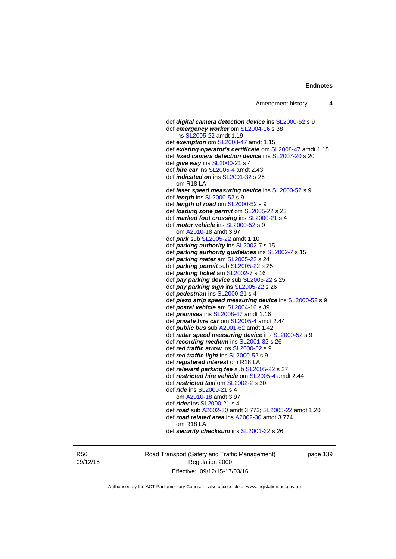```
 def digital camera detection device ins SL2000-52 s 9 
 def emergency worker om SL2004-16 s 38 
    ins SL2005-22 amdt 1.19 
 def exemption om SL2008-47 amdt 1.15
 def existing operator's certificate om SL2008-47 amdt 1.15 
 def fixed camera detection device ins SL2007-20 s 20 
 def give way ins SL2000-21 s 4 
 def hire car ins SL2005-4 amdt 2.43 
 def indicated on ins SL2001-32 s 26 
   om R18 LA 
 def laser speed measuring device ins SL2000-52 s 9 
 def length ins SL2000-52 s 9 
 def length of road om SL2000-52 s 9 
 def loading zone permit om SL2005-22 s 23 
 def marked foot crossing ins SL2000-21 s 4 
 def motor vehicle ins SL2000-52 s 9 
    om A2010-18 amdt 3.97
 def park sub SL2005-22 amdt 1.10 
 def parking authority ins SL2002-7 s 15 
 def parking authority guidelines ins SL2002-7 s 15 
 def parking meter am SL2005-22 s 24 
 def parking permit sub SL2005-22 s 25 
 def parking ticket am SL2002-7 s 16 
 def pay parking device sub SL2005-22 s 25 
 def pay parking sign ins SL2005-22 s 26 
 def pedestrian ins SL2000-21 s 4 
 def piezo strip speed measuring device ins SL2000-52 s 9 
 def postal vehicle am SL2004-16 s 39 
 def premises ins SL2008-47 amdt 1.16 
 def private hire car om SL2005-4 amdt 2.44 
 def public bus sub A2001-62 amdt 1.42
 def radar speed measuring device ins SL2000-52 s 9 
 def recording medium ins SL2001-32 s 26 
 def red traffic arrow ins SL2000-52 s 9 
 def red traffic light ins SL2000-52 s 9 
 def registered interest om R18 LA 
 def relevant parking fee sub SL2005-22 s 27 
 def restricted hire vehicle om SL2005-4 amdt 2.44 
 def restricted taxi om SL2002-2 s 30 
 def ride ins SL2000-21 s 4 
    om A2010-18 amdt 3.97
 def rider ins SL2000-21 s 4 
 def road sub A2002-30 amdt 3.773; SL2005-22 amdt 1.20 
 def road related area ins A2002-30 amdt 3.774 
   om R18 LA 
 def security checksum ins SL2001-32 s 26
```
R56 09/12/15 Road Transport (Safety and Traffic Management) Regulation 2000 Effective: 09/12/15-17/03/16

page 139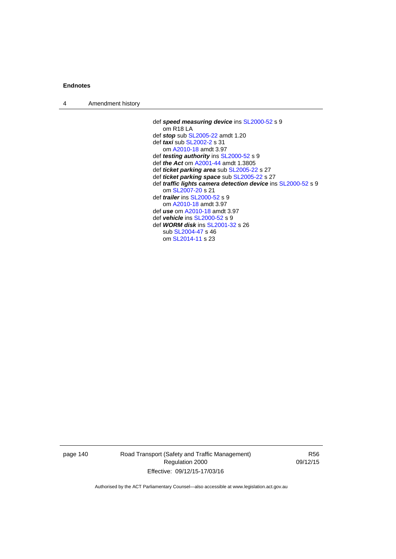| $\boldsymbol{\Lambda}$ | Amendment history |  |
|------------------------|-------------------|--|
|------------------------|-------------------|--|

 def *speed measuring device* ins [SL2000-52](http://www.legislation.act.gov.au/sl/2000-52) s 9 om R18 LA def *stop* sub [SL2005-22](http://www.legislation.act.gov.au/sl/2005-22) amdt 1.20 def *taxi* sub [SL2002-2](http://www.legislation.act.gov.au/sl/2002-2) s 31 om [A2010-18](http://www.legislation.act.gov.au/a/2010-18) amdt 3.97 def *testing authority* ins [SL2000-52](http://www.legislation.act.gov.au/sl/2000-52) s 9 def *the Act* om [A2001-44](http://www.legislation.act.gov.au/a/2001-44) amdt 1.3805 def *ticket parking area* sub [SL2005-22](http://www.legislation.act.gov.au/sl/2005-22) s 27 def *ticket parking space* sub [SL2005-22](http://www.legislation.act.gov.au/sl/2005-22) s 27 def *traffic lights camera detection device* ins [SL2000-52](http://www.legislation.act.gov.au/sl/2000-52) s 9 om [SL2007-20](http://www.legislation.act.gov.au/sl/2007-20) s 21 def *trailer* ins [SL2000-52](http://www.legislation.act.gov.au/sl/2000-52) s 9 om [A2010-18](http://www.legislation.act.gov.au/a/2010-18) amdt 3.97 def *use* om [A2010-18](http://www.legislation.act.gov.au/a/2010-18) amdt 3.97 def *vehicle* ins [SL2000-52](http://www.legislation.act.gov.au/sl/2000-52) s 9 def *WORM disk* ins [SL2001-32](http://www.legislation.act.gov.au/sl/2001-32) s 26 sub [SL2004-47](http://www.legislation.act.gov.au/sl/2004-47) s 46 om [SL2014-11](http://www.legislation.act.gov.au/sl/2014-11) s 23

page 140 Road Transport (Safety and Traffic Management) Regulation 2000 Effective: 09/12/15-17/03/16

R56 09/12/15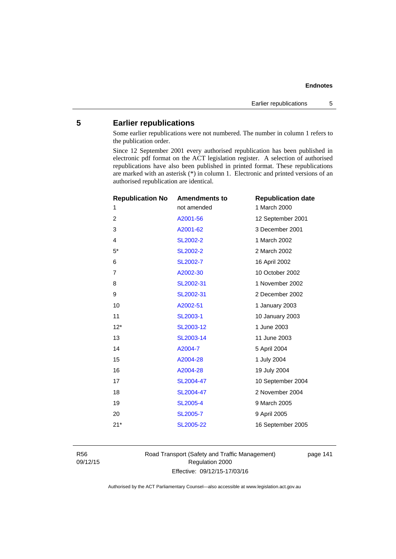# **5 Earlier republications**

Some earlier republications were not numbered. The number in column 1 refers to the publication order.

Since 12 September 2001 every authorised republication has been published in electronic pdf format on the ACT legislation register. A selection of authorised republications have also been published in printed format. These republications are marked with an asterisk (\*) in column 1. Electronic and printed versions of an authorised republication are identical.

| <b>Republication No</b> | <b>Amendments to</b> | <b>Republication date</b> |
|-------------------------|----------------------|---------------------------|
| 1                       | not amended          | 1 March 2000              |
| $\overline{2}$          | A2001-56             | 12 September 2001         |
| 3                       | A2001-62             | 3 December 2001           |
| $\overline{4}$          | <b>SL2002-2</b>      | 1 March 2002              |
| $5*$                    | SL2002-2             | 2 March 2002              |
| 6                       | SL2002-7             | 16 April 2002             |
| $\overline{7}$          | A2002-30             | 10 October 2002           |
| 8                       | SL2002-31            | 1 November 2002           |
| 9                       | SL2002-31            | 2 December 2002           |
| 10                      | A2002-51             | 1 January 2003            |
| 11                      | SL2003-1             | 10 January 2003           |
| $12*$                   | SL2003-12            | 1 June 2003               |
| 13                      | SL2003-14            | 11 June 2003              |
| 14                      | A2004-7              | 5 April 2004              |
| 15                      | A2004-28             | 1 July 2004               |
| 16                      | A2004-28             | 19 July 2004              |
| 17                      | SL2004-47            | 10 September 2004         |
| 18                      | SL2004-47            | 2 November 2004           |
| 19                      | <b>SL2005-4</b>      | 9 March 2005              |
| 20                      | <b>SL2005-7</b>      | 9 April 2005              |
| $21*$                   | SL2005-22            | 16 September 2005         |
|                         |                      |                           |

R56 09/12/15 Road Transport (Safety and Traffic Management) Regulation 2000 Effective: 09/12/15-17/03/16

page 141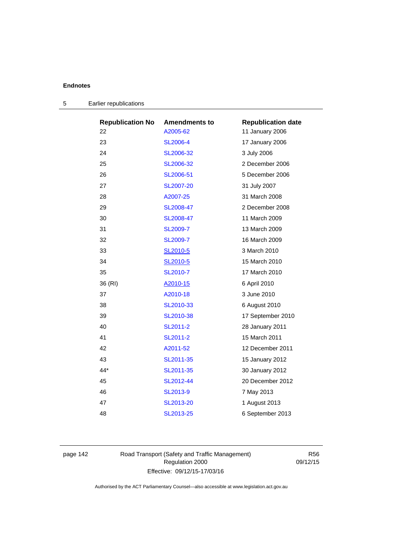| <b>Republication No</b> | <b>Amendments to</b> | <b>Republication date</b> |
|-------------------------|----------------------|---------------------------|
| 22                      | A2005-62             | 11 January 2006           |
| 23                      | SL2006-4             | 17 January 2006           |
| 24                      | SL2006-32            | 3 July 2006               |
| 25                      | SL2006-32            | 2 December 2006           |
| 26                      | SL2006-51            | 5 December 2006           |
| 27                      | SL2007-20            | 31 July 2007              |
| 28                      | A2007-25             | 31 March 2008             |
| 29                      | SL2008-47            | 2 December 2008           |
| 30                      | SL2008-47            | 11 March 2009             |
| 31                      | SL2009-7             | 13 March 2009             |
| 32                      | <b>SL2009-7</b>      | 16 March 2009             |
| 33                      | SL2010-5             | 3 March 2010              |
| 34                      | SL2010-5             | 15 March 2010             |
| 35                      | SL2010-7             | 17 March 2010             |
| 36 (RI)                 | A2010-15             | 6 April 2010              |
| 37                      | A2010-18             | 3 June 2010               |
| 38                      | SL2010-33            | 6 August 2010             |
| 39                      | SL2010-38            | 17 September 2010         |
| 40                      | SL2011-2             | 28 January 2011           |
| 41                      | SL2011-2             | 15 March 2011             |
| 42                      | A2011-52             | 12 December 2011          |
| 43                      | SL2011-35            | 15 January 2012           |
| 44*                     | SL2011-35            | 30 January 2012           |
| 45                      | SL2012-44            | 20 December 2012          |
| 46                      | SL2013-9             | 7 May 2013                |
| 47                      | SL2013-20            | 1 August 2013             |
| 48                      | SL2013-25            | 6 September 2013          |

| 5 | Earlier republications |
|---|------------------------|
|---|------------------------|

page 142 Road Transport (Safety and Traffic Management) Regulation 2000 Effective: 09/12/15-17/03/16

R56 09/12/15